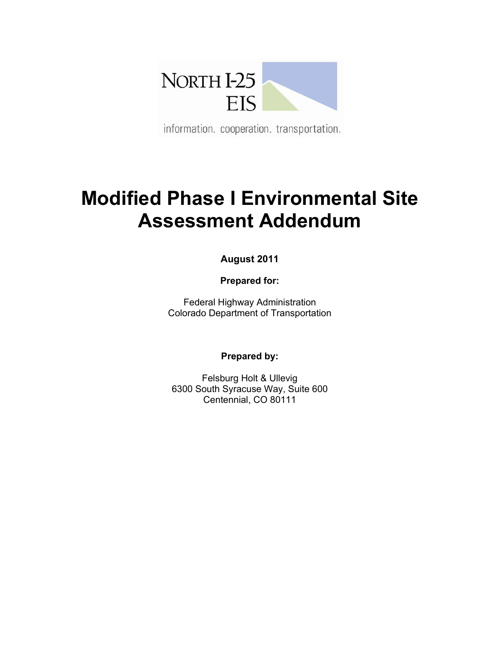

information. cooperation. transportation.

# **Modified Phase I Environmental Site Assessment Addendum**

**August 2011**

**Prepared for:** 

Federal Highway Administration Colorado Department of Transportation

**Prepared by:** 

Felsburg Holt & Ullevig 6300 South Syracuse Way, Suite 600 Centennial, CO 80111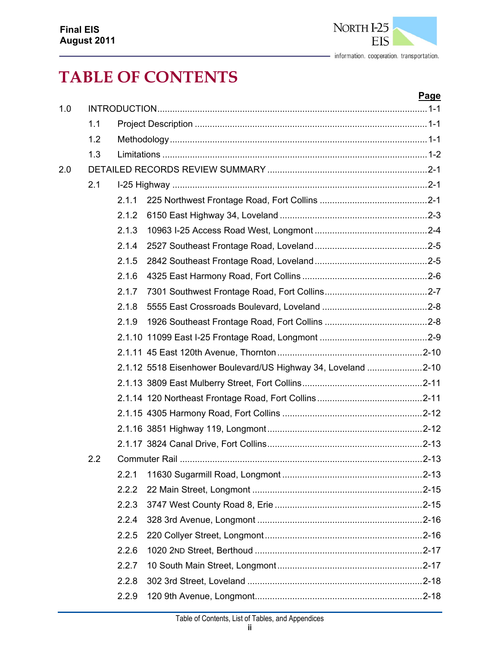

- information. cooperation. transportation.

## **TABLE OF CONTENTS**

|     |     |       |                                                               | Page |
|-----|-----|-------|---------------------------------------------------------------|------|
| 1.0 |     |       |                                                               |      |
|     | 1.1 |       |                                                               |      |
|     | 1.2 |       |                                                               |      |
|     | 1.3 |       |                                                               |      |
| 2.0 |     |       |                                                               |      |
|     | 2.1 |       |                                                               |      |
|     |     | 2.1.1 |                                                               |      |
|     |     | 2.1.2 |                                                               |      |
|     |     | 2.1.3 |                                                               |      |
|     |     | 2.1.4 |                                                               |      |
|     |     | 2.1.5 |                                                               |      |
|     |     | 2.1.6 |                                                               |      |
|     |     | 2.1.7 |                                                               |      |
|     |     | 2.1.8 |                                                               |      |
|     |     | 2.1.9 |                                                               |      |
|     |     |       |                                                               |      |
|     |     |       |                                                               |      |
|     |     |       | 2.1.12 5518 Eisenhower Boulevard/US Highway 34, Loveland 2-10 |      |
|     |     |       |                                                               |      |
|     |     |       |                                                               |      |
|     |     |       |                                                               |      |
|     |     |       |                                                               |      |
|     |     |       |                                                               |      |
|     | 2.2 |       |                                                               |      |
|     |     | 2.2.1 |                                                               |      |
|     |     | 2.2.2 |                                                               |      |
|     |     | 2.2.3 |                                                               |      |
|     |     | 2.2.4 |                                                               |      |
|     |     | 2.2.5 |                                                               |      |
|     |     | 2.2.6 |                                                               |      |
|     |     | 2.2.7 |                                                               |      |
|     |     | 2.2.8 |                                                               |      |
|     |     | 2.2.9 |                                                               |      |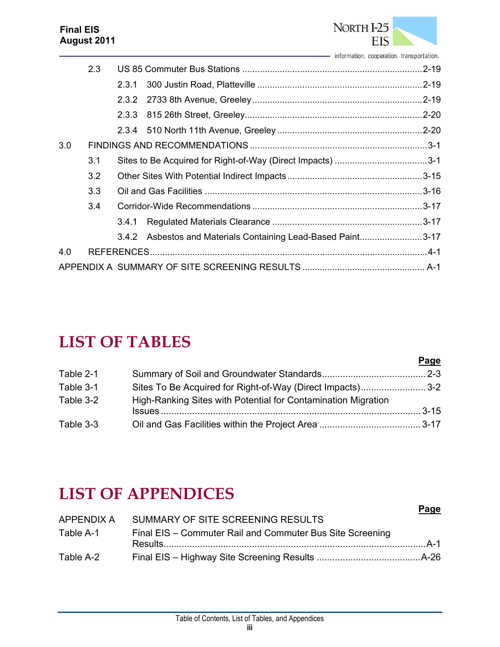

information. cooperation. transportation.

|     | 2.3 |                                                              |  |  |  |  |
|-----|-----|--------------------------------------------------------------|--|--|--|--|
|     |     |                                                              |  |  |  |  |
|     |     |                                                              |  |  |  |  |
|     |     |                                                              |  |  |  |  |
|     |     |                                                              |  |  |  |  |
| 3.0 |     |                                                              |  |  |  |  |
|     | 3.1 |                                                              |  |  |  |  |
|     | 3.2 |                                                              |  |  |  |  |
|     | 3.3 |                                                              |  |  |  |  |
|     | 3.4 |                                                              |  |  |  |  |
|     |     |                                                              |  |  |  |  |
|     |     | 3.4.2 Asbestos and Materials Containing Lead-Based Paint3-17 |  |  |  |  |
| 4.0 |     |                                                              |  |  |  |  |
|     |     |                                                              |  |  |  |  |

### **LIST OF TABLES**

|           |                                                                                                                   | Page |
|-----------|-------------------------------------------------------------------------------------------------------------------|------|
| Table 2-1 |                                                                                                                   |      |
| Table 3-1 | Sites To Be Acquired for Right-of-Way (Direct Impacts)3-2                                                         |      |
| Table 3-2 | High-Ranking Sites with Potential for Contamination Migration<br><u> ISSUES ………………………………………………………………………………………</u> | 3-15 |
| Table 3-3 |                                                                                                                   |      |

## **LIST OF APPENDICES**

|            |                                                           | <b>Page</b> |
|------------|-----------------------------------------------------------|-------------|
| APPENDIX A | SUMMARY OF SITE SCREENING RESULTS                         |             |
| Table A-1  | Final EIS - Commuter Rail and Commuter Bus Site Screening |             |
|            |                                                           | A-1         |
| Table A-2  |                                                           |             |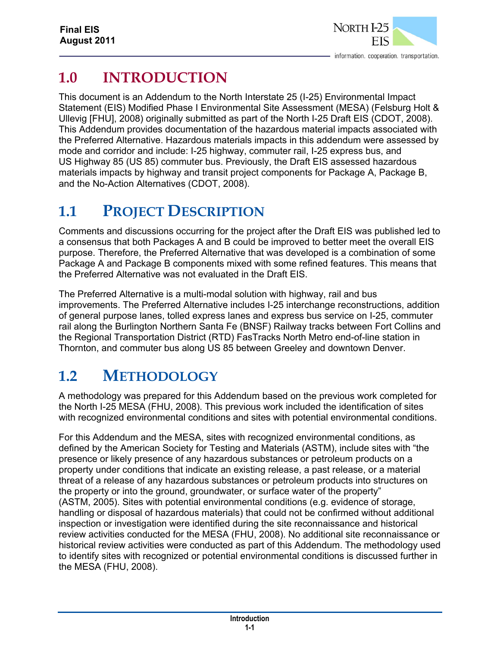

### **1.0 INTRODUCTION**

This document is an Addendum to the North Interstate 25 (I-25) Environmental Impact Statement (EIS) Modified Phase I Environmental Site Assessment (MESA) (Felsburg Holt & Ullevig [FHU], 2008) originally submitted as part of the North I-25 Draft EIS (CDOT, 2008). This Addendum provides documentation of the hazardous material impacts associated with the Preferred Alternative. Hazardous materials impacts in this addendum were assessed by mode and corridor and include: I-25 highway, commuter rail, I-25 express bus, and US Highway 85 (US 85) commuter bus. Previously, the Draft EIS assessed hazardous materials impacts by highway and transit project components for Package A, Package B, and the No-Action Alternatives (CDOT, 2008).

### **1.1 PROJECT DESCRIPTION**

Comments and discussions occurring for the project after the Draft EIS was published led to a consensus that both Packages A and B could be improved to better meet the overall EIS purpose. Therefore, the Preferred Alternative that was developed is a combination of some Package A and Package B components mixed with some refined features. This means that the Preferred Alternative was not evaluated in the Draft EIS.

The Preferred Alternative is a multi-modal solution with highway, rail and bus improvements. The Preferred Alternative includes I-25 interchange reconstructions, addition of general purpose lanes, tolled express lanes and express bus service on I-25, commuter rail along the Burlington Northern Santa Fe (BNSF) Railway tracks between Fort Collins and the Regional Transportation District (RTD) FasTracks North Metro end-of-line station in Thornton, and commuter bus along US 85 between Greeley and downtown Denver.

### **1.2 METHODOLOGY**

A methodology was prepared for this Addendum based on the previous work completed for the North I-25 MESA (FHU, 2008). This previous work included the identification of sites with recognized environmental conditions and sites with potential environmental conditions.

For this Addendum and the MESA, sites with recognized environmental conditions, as defined by the American Society for Testing and Materials (ASTM), include sites with "the presence or likely presence of any hazardous substances or petroleum products on a property under conditions that indicate an existing release, a past release, or a material threat of a release of any hazardous substances or petroleum products into structures on the property or into the ground, groundwater, or surface water of the property" (ASTM, 2005). Sites with potential environmental conditions (e.g. evidence of storage, handling or disposal of hazardous materials) that could not be confirmed without additional inspection or investigation were identified during the site reconnaissance and historical review activities conducted for the MESA (FHU, 2008). No additional site reconnaissance or historical review activities were conducted as part of this Addendum. The methodology used to identify sites with recognized or potential environmental conditions is discussed further in the MESA (FHU, 2008).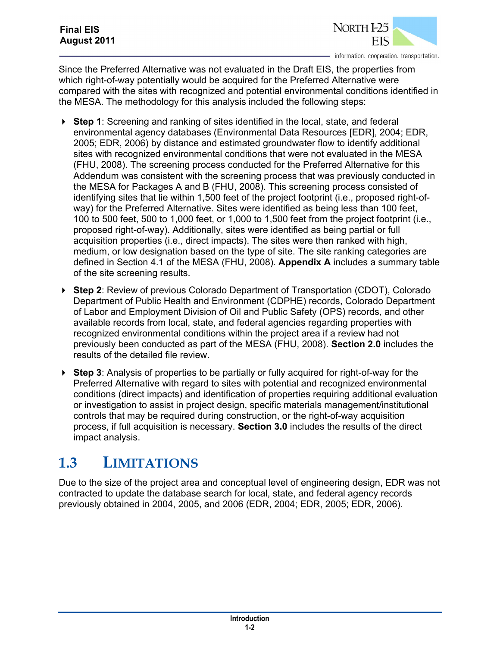

information. cooperation. transportation.

Since the Preferred Alternative was not evaluated in the Draft EIS, the properties from which right-of-way potentially would be acquired for the Preferred Alternative were compared with the sites with recognized and potential environmental conditions identified in the MESA. The methodology for this analysis included the following steps:

- **Step 1**: Screening and ranking of sites identified in the local, state, and federal environmental agency databases (Environmental Data Resources [EDR], 2004; EDR, 2005; EDR, 2006) by distance and estimated groundwater flow to identify additional sites with recognized environmental conditions that were not evaluated in the MESA (FHU, 2008). The screening process conducted for the Preferred Alternative for this Addendum was consistent with the screening process that was previously conducted in the MESA for Packages A and B (FHU, 2008). This screening process consisted of identifying sites that lie within 1,500 feet of the project footprint (i.e., proposed right-ofway) for the Preferred Alternative. Sites were identified as being less than 100 feet, 100 to 500 feet, 500 to 1,000 feet, or 1,000 to 1,500 feet from the project footprint (i.e., proposed right-of-way). Additionally, sites were identified as being partial or full acquisition properties (i.e., direct impacts). The sites were then ranked with high, medium, or low designation based on the type of site. The site ranking categories are defined in Section 4.1 of the MESA (FHU, 2008). **Appendix A** includes a summary table of the site screening results.
- **Step 2**: Review of previous Colorado Department of Transportation (CDOT), Colorado Department of Public Health and Environment (CDPHE) records, Colorado Department of Labor and Employment Division of Oil and Public Safety (OPS) records, and other available records from local, state, and federal agencies regarding properties with recognized environmental conditions within the project area if a review had not previously been conducted as part of the MESA (FHU, 2008). **Section 2.0** includes the results of the detailed file review.
- **Step 3**: Analysis of properties to be partially or fully acquired for right-of-way for the Preferred Alternative with regard to sites with potential and recognized environmental conditions (direct impacts) and identification of properties requiring additional evaluation or investigation to assist in project design, specific materials management/institutional controls that may be required during construction, or the right-of-way acquisition process, if full acquisition is necessary. **Section 3.0** includes the results of the direct impact analysis.

### **1.3 LIMITATIONS**

Due to the size of the project area and conceptual level of engineering design, EDR was not contracted to update the database search for local, state, and federal agency records previously obtained in 2004, 2005, and 2006 (EDR, 2004; EDR, 2005; EDR, 2006).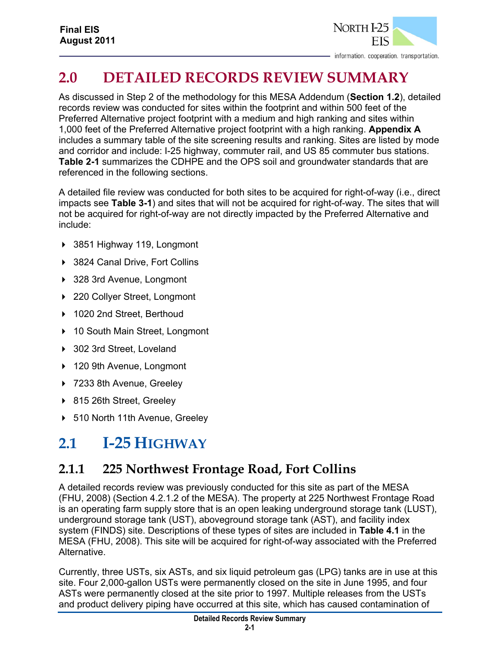

information. cooperation. transportation.

### **2.0 DETAILED RECORDS REVIEW SUMMARY**

As discussed in Step 2 of the methodology for this MESA Addendum (**Section 1.2**), detailed records review was conducted for sites within the footprint and within 500 feet of the Preferred Alternative project footprint with a medium and high ranking and sites within 1,000 feet of the Preferred Alternative project footprint with a high ranking. **Appendix A** includes a summary table of the site screening results and ranking. Sites are listed by mode and corridor and include: I-25 highway, commuter rail, and US 85 commuter bus stations. **Table 2-1** summarizes the CDHPE and the OPS soil and groundwater standards that are referenced in the following sections.

A detailed file review was conducted for both sites to be acquired for right-of-way (i.e., direct impacts see **Table 3-1**) and sites that will not be acquired for right-of-way. The sites that will not be acquired for right-of-way are not directly impacted by the Preferred Alternative and include:

- 3851 Highway 119, Longmont
- ▶ 3824 Canal Drive, Fort Collins
- ▶ 328 3rd Avenue, Longmont
- ▶ 220 Collyer Street, Longmont
- ▶ 1020 2nd Street, Berthoud
- ▶ 10 South Main Street, Longmont
- ▶ 302 3rd Street, Loveland
- ▶ 120 9th Avenue, Longmont
- ▶ 7233 8th Avenue, Greeley
- ▶ 815 26th Street, Greeley
- ▶ 510 North 11th Avenue, Greeley

### **2.1 I-25 HIGHWAY**

#### **2.1.1 225 Northwest Frontage Road, Fort Collins**

A detailed records review was previously conducted for this site as part of the MESA (FHU, 2008) (Section 4.2.1.2 of the MESA). The property at 225 Northwest Frontage Road is an operating farm supply store that is an open leaking underground storage tank (LUST), underground storage tank (UST), aboveground storage tank (AST), and facility index system (FINDS) site. Descriptions of these types of sites are included in **Table 4.1** in the MESA (FHU, 2008). This site will be acquired for right-of-way associated with the Preferred Alternative.

Currently, three USTs, six ASTs, and six liquid petroleum gas (LPG) tanks are in use at this site. Four 2,000-gallon USTs were permanently closed on the site in June 1995, and four ASTs were permanently closed at the site prior to 1997. Multiple releases from the USTs and product delivery piping have occurred at this site, which has caused contamination of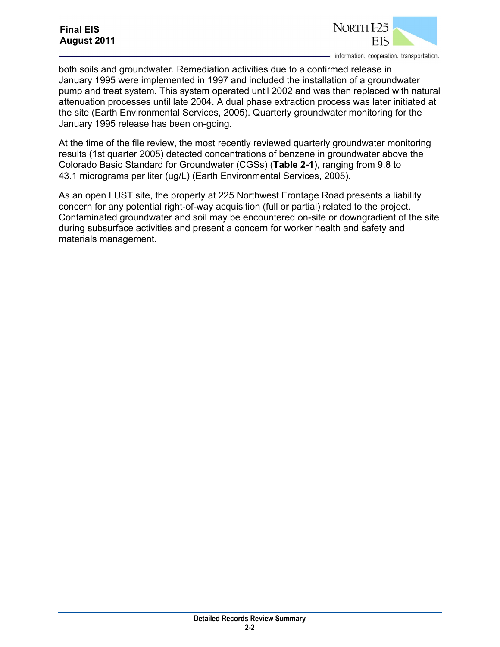

information, cooperation, transportation.

both soils and groundwater. Remediation activities due to a confirmed release in January 1995 were implemented in 1997 and included the installation of a groundwater pump and treat system. This system operated until 2002 and was then replaced with natural attenuation processes until late 2004. A dual phase extraction process was later initiated at the site (Earth Environmental Services, 2005). Quarterly groundwater monitoring for the January 1995 release has been on-going.

At the time of the file review, the most recently reviewed quarterly groundwater monitoring results (1st quarter 2005) detected concentrations of benzene in groundwater above the Colorado Basic Standard for Groundwater (CGSs) (**Table 2-1**), ranging from 9.8 to 43.1 micrograms per liter (ug/L) (Earth Environmental Services, 2005).

As an open LUST site, the property at 225 Northwest Frontage Road presents a liability concern for any potential right-of-way acquisition (full or partial) related to the project. Contaminated groundwater and soil may be encountered on-site or downgradient of the site during subsurface activities and present a concern for worker health and safety and materials management.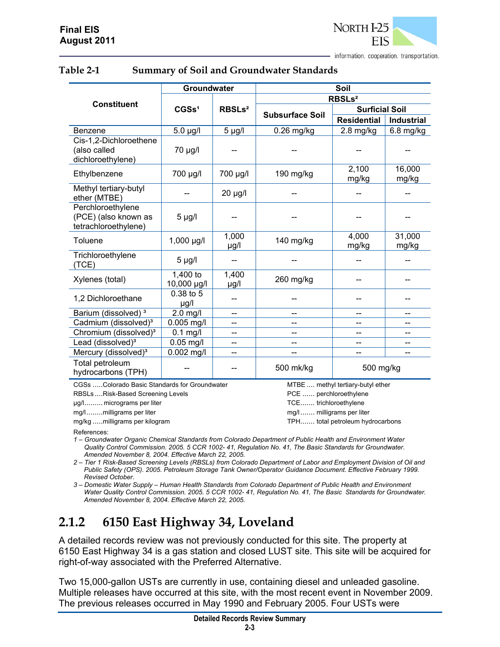

information. cooperation. transportation.

#### **Table 2-1 Summary of Soil and Groundwater Standards**

|                                                                                                                                                                                                                                                                                                                                         | Groundwater             |                    | Soil                   |                       |                 |  |  |
|-----------------------------------------------------------------------------------------------------------------------------------------------------------------------------------------------------------------------------------------------------------------------------------------------------------------------------------------|-------------------------|--------------------|------------------------|-----------------------|-----------------|--|--|
| <b>Constituent</b>                                                                                                                                                                                                                                                                                                                      |                         |                    |                        | RBSLs <sup>2</sup>    |                 |  |  |
|                                                                                                                                                                                                                                                                                                                                         | CGSs <sup>1</sup>       | RBSLs <sup>2</sup> | <b>Subsurface Soil</b> | <b>Surficial Soil</b> |                 |  |  |
|                                                                                                                                                                                                                                                                                                                                         |                         |                    |                        | <b>Residential</b>    | Industrial      |  |  |
| Benzene                                                                                                                                                                                                                                                                                                                                 | $5.0 \mu g/l$           | $5 \mu g/l$        | $0.26$ mg/kg           | $2.8$ mg/kg           | 6.8 mg/kg       |  |  |
| Cis-1,2-Dichloroethene<br>(also called<br>dichloroethylene)                                                                                                                                                                                                                                                                             | 70 µg/l                 |                    |                        |                       |                 |  |  |
| Ethylbenzene                                                                                                                                                                                                                                                                                                                            | 700 µg/l                | 700 µg/l           | 190 mg/kg              | 2,100<br>mg/kg        | 16,000<br>mg/kg |  |  |
| Methyl tertiary-butyl<br>ether (MTBE)                                                                                                                                                                                                                                                                                                   |                         | $20 \mu g/l$       |                        |                       |                 |  |  |
| Perchloroethylene<br>(PCE) (also known as<br>tetrachloroethylene)                                                                                                                                                                                                                                                                       | $5 \mu g/l$             |                    |                        |                       |                 |  |  |
| Toluene                                                                                                                                                                                                                                                                                                                                 | 1,000 µg/l              | 1,000<br>µg/l      | 140 mg/kg              | 4,000<br>mg/kg        | 31,000<br>mg/kg |  |  |
| Trichloroethylene<br>(TCE)                                                                                                                                                                                                                                                                                                              | $5 \mu g/l$             |                    |                        |                       |                 |  |  |
| Xylenes (total)                                                                                                                                                                                                                                                                                                                         | 1,400 to<br>10,000 µg/l | 1,400<br>µg/l      | 260 mg/kg              |                       |                 |  |  |
| 1,2 Dichloroethane                                                                                                                                                                                                                                                                                                                      | 0.38 to 5<br>µg/l       |                    |                        |                       |                 |  |  |
| Barium (dissolved) <sup>3</sup>                                                                                                                                                                                                                                                                                                         | $2.0$ mg/l              | --                 |                        |                       |                 |  |  |
| Cadmium (dissolved) <sup>3</sup>                                                                                                                                                                                                                                                                                                        | $0.005$ mg/l            |                    |                        |                       |                 |  |  |
| Chromium (dissolved) <sup>3</sup>                                                                                                                                                                                                                                                                                                       | $0.1$ mg/l              |                    |                        |                       |                 |  |  |
| Lead (dissolved) <sup>3</sup>                                                                                                                                                                                                                                                                                                           | $0.05$ mg/l             | --                 | --                     | --                    |                 |  |  |
| Mercury (dissolved) <sup>3</sup>                                                                                                                                                                                                                                                                                                        | $0.002$ mg/l            |                    |                        |                       |                 |  |  |
| Total petroleum<br>hydrocarbons (TPH)                                                                                                                                                                                                                                                                                                   | 500 mk/kg<br>500 mg/kg  |                    |                        |                       |                 |  |  |
| CGSs Colorado Basic Standards for Groundwater<br>MTBE  methyl tertiary-butyl ether<br>RBSLs  Risk-Based Screening Levels<br>PCE  perchloroethylene<br>µg/l micrograms per liter<br>TCE trichloroethylene<br>mg/lmilligrams per liter<br>mg/l  milligrams per liter<br>mg/kg milligrams per kilogram<br>TPH total petroleum hydrocarbons |                         |                    |                        |                       |                 |  |  |

References:

*1 – Groundwater Organic Chemical Standards from Colorado Department of Public Health and Environment Water Quality Control Commission. 2005. 5 CCR 1002- 41, Regulation No. 41, The Basic Standards for Groundwater. Amended November 8, 2004. Effective March 22, 2005.* 

*2 – Tier 1 Risk-Based Screening Levels (RBSLs) from Colorado Department of Labor and Employment Division of Oil and Public Safety (OPS). 2005. Petroleum Storage Tank Owner/Operator Guidance Document. Effective February 1999. Revised October.* 

*3 – Domestic Water Supply – Human Health Standards from Colorado Department of Public Health and Environment Water Quality Control Commission. 2005. 5 CCR 1002- 41, Regulation No. 41, The Basic Standards for Groundwater. Amended November 8, 2004. Effective March 22, 2005.* 

### **2.1.2 6150 East Highway 34, Loveland**

A detailed records review was not previously conducted for this site. The property at 6150 East Highway 34 is a gas station and closed LUST site. This site will be acquired for right-of-way associated with the Preferred Alternative.

Two 15,000-gallon USTs are currently in use, containing diesel and unleaded gasoline. Multiple releases have occurred at this site, with the most recent event in November 2009. The previous releases occurred in May 1990 and February 2005. Four USTs were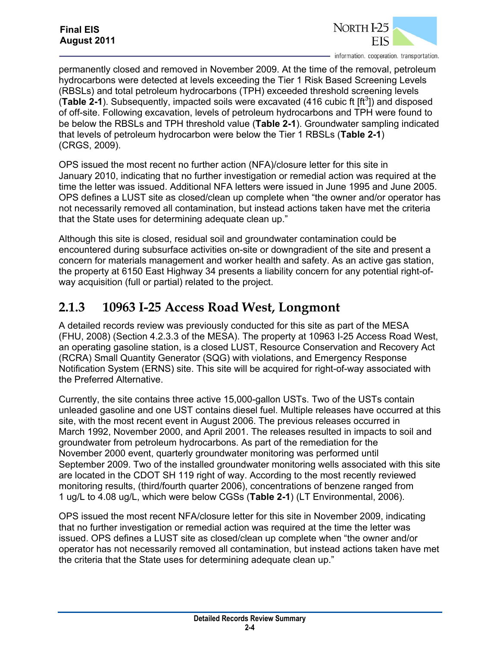

permanently closed and removed in November 2009. At the time of the removal, petroleum hydrocarbons were detected at levels exceeding the Tier 1 Risk Based Screening Levels (RBSLs) and total petroleum hydrocarbons (TPH) exceeded threshold screening levels  $(Table 2-1)$ . Subsequently, impacted soils were excavated  $(416$  cubic ft  $[ft^3]$ ) and disposed of off-site. Following excavation, levels of petroleum hydrocarbons and TPH were found to be below the RBSLs and TPH threshold value (**Table 2-1**). Groundwater sampling indicated that levels of petroleum hydrocarbon were below the Tier 1 RBSLs (**Table 2-1**) (CRGS, 2009).

OPS issued the most recent no further action (NFA)/closure letter for this site in January 2010, indicating that no further investigation or remedial action was required at the time the letter was issued. Additional NFA letters were issued in June 1995 and June 2005. OPS defines a LUST site as closed/clean up complete when "the owner and/or operator has not necessarily removed all contamination, but instead actions taken have met the criteria that the State uses for determining adequate clean up."

Although this site is closed, residual soil and groundwater contamination could be encountered during subsurface activities on-site or downgradient of the site and present a concern for materials management and worker health and safety. As an active gas station, the property at 6150 East Highway 34 presents a liability concern for any potential right-ofway acquisition (full or partial) related to the project.

#### **2.1.3 10963 I-25 Access Road West, Longmont**

A detailed records review was previously conducted for this site as part of the MESA (FHU, 2008) (Section 4.2.3.3 of the MESA). The property at 10963 I-25 Access Road West, an operating gasoline station, is a closed LUST, Resource Conservation and Recovery Act (RCRA) Small Quantity Generator (SQG) with violations, and Emergency Response Notification System (ERNS) site. This site will be acquired for right-of-way associated with the Preferred Alternative.

Currently, the site contains three active 15,000-gallon USTs. Two of the USTs contain unleaded gasoline and one UST contains diesel fuel. Multiple releases have occurred at this site, with the most recent event in August 2006. The previous releases occurred in March 1992, November 2000, and April 2001. The releases resulted in impacts to soil and groundwater from petroleum hydrocarbons. As part of the remediation for the November 2000 event, quarterly groundwater monitoring was performed until September 2009. Two of the installed groundwater monitoring wells associated with this site are located in the CDOT SH 119 right of way. According to the most recently reviewed monitoring results, (third/fourth quarter 2006), concentrations of benzene ranged from 1 ug/L to 4.08 ug/L, which were below CGSs (**Table 2-1**) (LT Environmental, 2006).

OPS issued the most recent NFA/closure letter for this site in November 2009, indicating that no further investigation or remedial action was required at the time the letter was issued. OPS defines a LUST site as closed/clean up complete when "the owner and/or operator has not necessarily removed all contamination, but instead actions taken have met the criteria that the State uses for determining adequate clean up."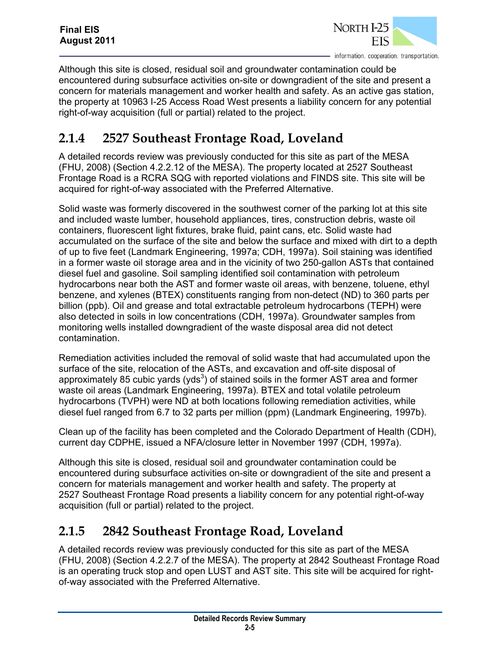

Although this site is closed, residual soil and groundwater contamination could be encountered during subsurface activities on-site or downgradient of the site and present a concern for materials management and worker health and safety. As an active gas station, the property at 10963 I-25 Access Road West presents a liability concern for any potential right-of-way acquisition (full or partial) related to the project.

#### **2.1.4 2527 Southeast Frontage Road, Loveland**

A detailed records review was previously conducted for this site as part of the MESA (FHU, 2008) (Section 4.2.2.12 of the MESA). The property located at 2527 Southeast Frontage Road is a RCRA SQG with reported violations and FINDS site. This site will be acquired for right-of-way associated with the Preferred Alternative.

Solid waste was formerly discovered in the southwest corner of the parking lot at this site and included waste lumber, household appliances, tires, construction debris, waste oil containers, fluorescent light fixtures, brake fluid, paint cans, etc. Solid waste had accumulated on the surface of the site and below the surface and mixed with dirt to a depth of up to five feet (Landmark Engineering, 1997a; CDH, 1997a). Soil staining was identified in a former waste oil storage area and in the vicinity of two 250-gallon ASTs that contained diesel fuel and gasoline. Soil sampling identified soil contamination with petroleum hydrocarbons near both the AST and former waste oil areas, with benzene, toluene, ethyl benzene, and xylenes (BTEX) constituents ranging from non-detect (ND) to 360 parts per billion (ppb). Oil and grease and total extractable petroleum hydrocarbons (TEPH) were also detected in soils in low concentrations (CDH, 1997a). Groundwater samples from monitoring wells installed downgradient of the waste disposal area did not detect contamination.

Remediation activities included the removal of solid waste that had accumulated upon the surface of the site, relocation of the ASTs, and excavation and off-site disposal of approximately 85 cubic yards (yds<sup>3</sup>) of stained soils in the former AST area and former waste oil areas (Landmark Engineering, 1997a). BTEX and total volatile petroleum hydrocarbons (TVPH) were ND at both locations following remediation activities, while diesel fuel ranged from 6.7 to 32 parts per million (ppm) (Landmark Engineering, 1997b).

Clean up of the facility has been completed and the Colorado Department of Health (CDH), current day CDPHE, issued a NFA/closure letter in November 1997 (CDH, 1997a).

Although this site is closed, residual soil and groundwater contamination could be encountered during subsurface activities on-site or downgradient of the site and present a concern for materials management and worker health and safety. The property at 2527 Southeast Frontage Road presents a liability concern for any potential right-of-way acquisition (full or partial) related to the project.

#### **2.1.5 2842 Southeast Frontage Road, Loveland**

A detailed records review was previously conducted for this site as part of the MESA (FHU, 2008) (Section 4.2.2.7 of the MESA). The property at 2842 Southeast Frontage Road is an operating truck stop and open LUST and AST site. This site will be acquired for rightof-way associated with the Preferred Alternative.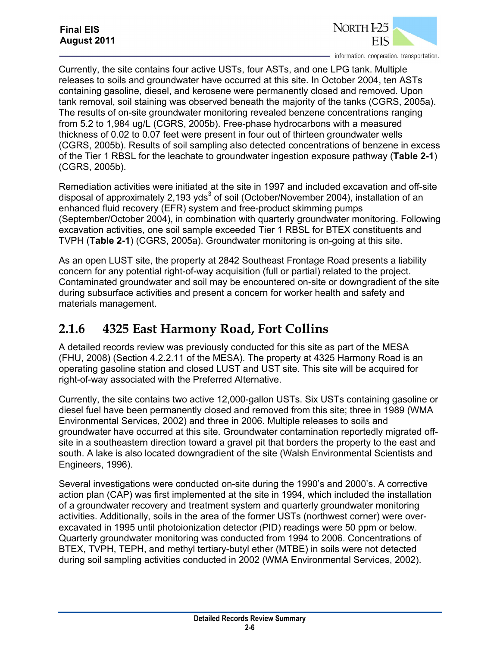

information. cooperation. transportation.

Currently, the site contains four active USTs, four ASTs, and one LPG tank. Multiple releases to soils and groundwater have occurred at this site. In October 2004, ten ASTs containing gasoline, diesel, and kerosene were permanently closed and removed. Upon tank removal, soil staining was observed beneath the majority of the tanks (CGRS, 2005a). The results of on-site groundwater monitoring revealed benzene concentrations ranging from 5.2 to 1,984 ug/L (CGRS, 2005b). Free-phase hydrocarbons with a measured thickness of 0.02 to 0.07 feet were present in four out of thirteen groundwater wells (CGRS, 2005b). Results of soil sampling also detected concentrations of benzene in excess of the Tier 1 RBSL for the leachate to groundwater ingestion exposure pathway (**Table 2-1**) (CGRS, 2005b).

Remediation activities were initiated at the site in 1997 and included excavation and off-site disposal of approximately 2,193 yds<sup>3</sup> of soil (October/November 2004), installation of an enhanced fluid recovery (EFR) system and free-product skimming pumps (September/October 2004), in combination with quarterly groundwater monitoring. Following excavation activities, one soil sample exceeded Tier 1 RBSL for BTEX constituents and TVPH (**Table 2-1**) (CGRS, 2005a). Groundwater monitoring is on-going at this site.

As an open LUST site, the property at 2842 Southeast Frontage Road presents a liability concern for any potential right-of-way acquisition (full or partial) related to the project. Contaminated groundwater and soil may be encountered on-site or downgradient of the site during subsurface activities and present a concern for worker health and safety and materials management.

### **2.1.6 4325 East Harmony Road, Fort Collins**

A detailed records review was previously conducted for this site as part of the MESA (FHU, 2008) (Section 4.2.2.11 of the MESA). The property at 4325 Harmony Road is an operating gasoline station and closed LUST and UST site. This site will be acquired for right-of-way associated with the Preferred Alternative.

Currently, the site contains two active 12,000-gallon USTs. Six USTs containing gasoline or diesel fuel have been permanently closed and removed from this site; three in 1989 (WMA Environmental Services, 2002) and three in 2006. Multiple releases to soils and groundwater have occurred at this site. Groundwater contamination reportedly migrated offsite in a southeastern direction toward a gravel pit that borders the property to the east and south. A lake is also located downgradient of the site (Walsh Environmental Scientists and Engineers, 1996).

Several investigations were conducted on-site during the 1990's and 2000's. A corrective action plan (CAP) was first implemented at the site in 1994, which included the installation of a groundwater recovery and treatment system and quarterly groundwater monitoring activities. Additionally, soils in the area of the former USTs (northwest corner) were overexcavated in 1995 until photoionization detector (PID) readings were 50 ppm or below. Quarterly groundwater monitoring was conducted from 1994 to 2006. Concentrations of BTEX, TVPH, TEPH, and methyl tertiary-butyl ether (MTBE) in soils were not detected during soil sampling activities conducted in 2002 (WMA Environmental Services, 2002).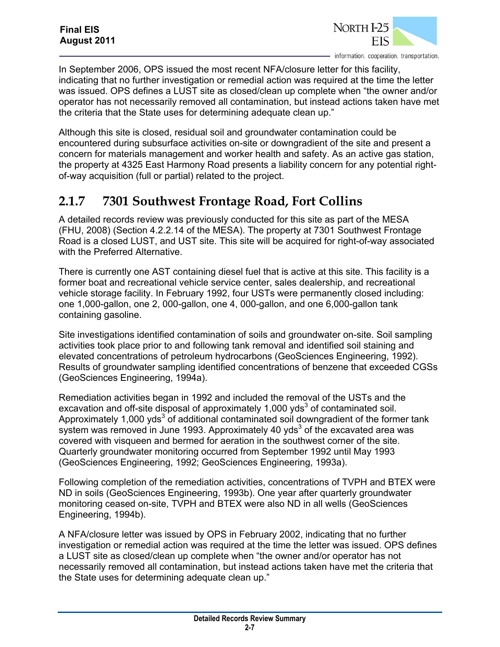

In September 2006, OPS issued the most recent NFA/closure letter for this facility, indicating that no further investigation or remedial action was required at the time the letter was issued. OPS defines a LUST site as closed/clean up complete when "the owner and/or operator has not necessarily removed all contamination, but instead actions taken have met the criteria that the State uses for determining adequate clean up."

Although this site is closed, residual soil and groundwater contamination could be encountered during subsurface activities on-site or downgradient of the site and present a concern for materials management and worker health and safety. As an active gas station, the property at 4325 East Harmony Road presents a liability concern for any potential rightof-way acquisition (full or partial) related to the project.

#### **2.1.7 7301 Southwest Frontage Road, Fort Collins**

A detailed records review was previously conducted for this site as part of the MESA (FHU, 2008) (Section 4.2.2.14 of the MESA). The property at 7301 Southwest Frontage Road is a closed LUST, and UST site. This site will be acquired for right-of-way associated with the Preferred Alternative.

There is currently one AST containing diesel fuel that is active at this site. This facility is a former boat and recreational vehicle service center, sales dealership, and recreational vehicle storage facility. In February 1992, four USTs were permanently closed including: one 1,000-gallon, one 2, 000-gallon, one 4, 000-gallon, and one 6,000-gallon tank containing gasoline.

Site investigations identified contamination of soils and groundwater on-site. Soil sampling activities took place prior to and following tank removal and identified soil staining and elevated concentrations of petroleum hydrocarbons (GeoSciences Engineering, 1992). Results of groundwater sampling identified concentrations of benzene that exceeded CGSs (GeoSciences Engineering, 1994a).

Remediation activities began in 1992 and included the removal of the USTs and the excavation and off-site disposal of approximately 1,000 yds<sup>3</sup> of contaminated soil. Approximately 1,000 yds<sup>3</sup> of additional contaminated soil downgradient of the former tank system was removed in June 1993. Approximately 40 yds<sup>3</sup> of the excavated area was covered with visqueen and bermed for aeration in the southwest corner of the site. Quarterly groundwater monitoring occurred from September 1992 until May 1993 (GeoSciences Engineering, 1992; GeoSciences Engineering, 1993a).

Following completion of the remediation activities, concentrations of TVPH and BTEX were ND in soils (GeoSciences Engineering, 1993b). One year after quarterly groundwater monitoring ceased on-site, TVPH and BTEX were also ND in all wells (GeoSciences Engineering, 1994b).

A NFA/closure letter was issued by OPS in February 2002, indicating that no further investigation or remedial action was required at the time the letter was issued. OPS defines a LUST site as closed/clean up complete when "the owner and/or operator has not necessarily removed all contamination, but instead actions taken have met the criteria that the State uses for determining adequate clean up."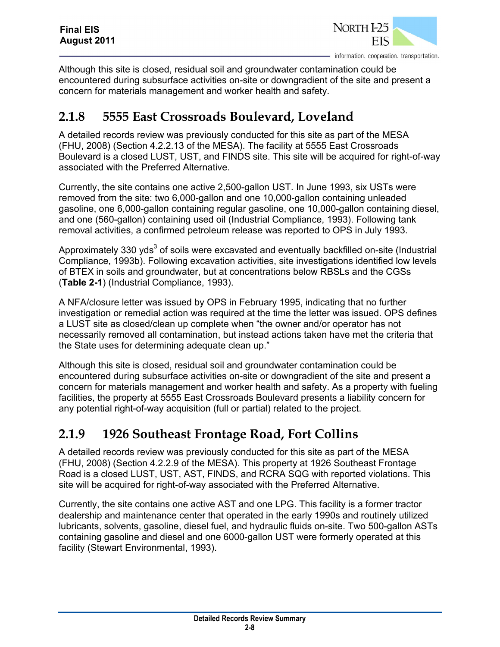

Although this site is closed, residual soil and groundwater contamination could be encountered during subsurface activities on-site or downgradient of the site and present a concern for materials management and worker health and safety.

#### **2.1.8 5555 East Crossroads Boulevard, Loveland**

A detailed records review was previously conducted for this site as part of the MESA (FHU, 2008) (Section 4.2.2.13 of the MESA). The facility at 5555 East Crossroads Boulevard is a closed LUST, UST, and FINDS site. This site will be acquired for right-of-way associated with the Preferred Alternative.

Currently, the site contains one active 2,500-gallon UST. In June 1993, six USTs were removed from the site: two 6,000-gallon and one 10,000-gallon containing unleaded gasoline, one 6,000-gallon containing regular gasoline, one 10,000-gallon containing diesel, and one (560-gallon) containing used oil (Industrial Compliance, 1993). Following tank removal activities, a confirmed petroleum release was reported to OPS in July 1993.

Approximately 330 yds<sup>3</sup> of soils were excavated and eventually backfilled on-site (Industrial Compliance, 1993b). Following excavation activities, site investigations identified low levels of BTEX in soils and groundwater, but at concentrations below RBSLs and the CGSs (**Table 2-1**) (Industrial Compliance, 1993).

A NFA/closure letter was issued by OPS in February 1995, indicating that no further investigation or remedial action was required at the time the letter was issued. OPS defines a LUST site as closed/clean up complete when "the owner and/or operator has not necessarily removed all contamination, but instead actions taken have met the criteria that the State uses for determining adequate clean up."

Although this site is closed, residual soil and groundwater contamination could be encountered during subsurface activities on-site or downgradient of the site and present a concern for materials management and worker health and safety. As a property with fueling facilities, the property at 5555 East Crossroads Boulevard presents a liability concern for any potential right-of-way acquisition (full or partial) related to the project.

#### **2.1.9 1926 Southeast Frontage Road, Fort Collins**

A detailed records review was previously conducted for this site as part of the MESA (FHU, 2008) (Section 4.2.2.9 of the MESA). This property at 1926 Southeast Frontage Road is a closed LUST, UST, AST, FINDS, and RCRA SQG with reported violations. This site will be acquired for right-of-way associated with the Preferred Alternative.

Currently, the site contains one active AST and one LPG. This facility is a former tractor dealership and maintenance center that operated in the early 1990s and routinely utilized lubricants, solvents, gasoline, diesel fuel, and hydraulic fluids on-site. Two 500-gallon ASTs containing gasoline and diesel and one 6000-gallon UST were formerly operated at this facility (Stewart Environmental, 1993).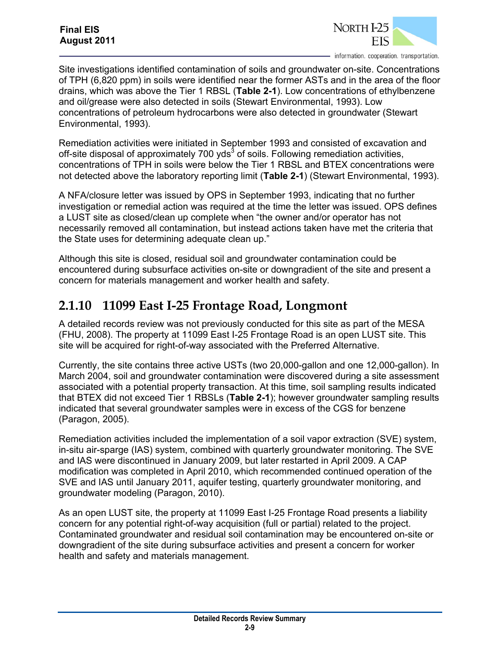

Site investigations identified contamination of soils and groundwater on-site. Concentrations of TPH (6,820 ppm) in soils were identified near the former ASTs and in the area of the floor drains, which was above the Tier 1 RBSL (**Table 2-1**). Low concentrations of ethylbenzene and oil/grease were also detected in soils (Stewart Environmental, 1993). Low concentrations of petroleum hydrocarbons were also detected in groundwater (Stewart Environmental, 1993).

Remediation activities were initiated in September 1993 and consisted of excavation and off-site disposal of approximately 700 yds $3$  of soils. Following remediation activities, concentrations of TPH in soils were below the Tier 1 RBSL and BTEX concentrations were not detected above the laboratory reporting limit (**Table 2-1**) (Stewart Environmental, 1993).

A NFA/closure letter was issued by OPS in September 1993, indicating that no further investigation or remedial action was required at the time the letter was issued. OPS defines a LUST site as closed/clean up complete when "the owner and/or operator has not necessarily removed all contamination, but instead actions taken have met the criteria that the State uses for determining adequate clean up."

Although this site is closed, residual soil and groundwater contamination could be encountered during subsurface activities on-site or downgradient of the site and present a concern for materials management and worker health and safety.

#### **2.1.10 11099 East I-25 Frontage Road, Longmont**

A detailed records review was not previously conducted for this site as part of the MESA (FHU, 2008). The property at 11099 East I-25 Frontage Road is an open LUST site. This site will be acquired for right-of-way associated with the Preferred Alternative.

Currently, the site contains three active USTs (two 20,000-gallon and one 12,000-gallon). In March 2004, soil and groundwater contamination were discovered during a site assessment associated with a potential property transaction. At this time, soil sampling results indicated that BTEX did not exceed Tier 1 RBSLs (**Table 2-1**); however groundwater sampling results indicated that several groundwater samples were in excess of the CGS for benzene (Paragon, 2005).

Remediation activities included the implementation of a soil vapor extraction (SVE) system, in-situ air-sparge (IAS) system, combined with quarterly groundwater monitoring. The SVE and IAS were discontinued in January 2009, but later restarted in April 2009. A CAP modification was completed in April 2010, which recommended continued operation of the SVE and IAS until January 2011, aquifer testing, quarterly groundwater monitoring, and groundwater modeling (Paragon, 2010).

As an open LUST site, the property at 11099 East I-25 Frontage Road presents a liability concern for any potential right-of-way acquisition (full or partial) related to the project. Contaminated groundwater and residual soil contamination may be encountered on-site or downgradient of the site during subsurface activities and present a concern for worker health and safety and materials management.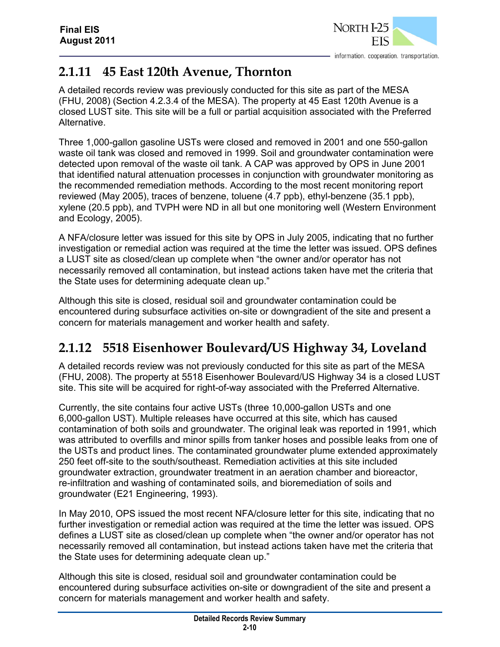

### **2.1.11 45 East 120th Avenue, Thornton**

A detailed records review was previously conducted for this site as part of the MESA (FHU, 2008) (Section 4.2.3.4 of the MESA). The property at 45 East 120th Avenue is a closed LUST site. This site will be a full or partial acquisition associated with the Preferred Alternative.

Three 1,000-gallon gasoline USTs were closed and removed in 2001 and one 550-gallon waste oil tank was closed and removed in 1999. Soil and groundwater contamination were detected upon removal of the waste oil tank. A CAP was approved by OPS in June 2001 that identified natural attenuation processes in conjunction with groundwater monitoring as the recommended remediation methods. According to the most recent monitoring report reviewed (May 2005), traces of benzene, toluene (4.7 ppb), ethyl-benzene (35.1 ppb), xylene (20.5 ppb), and TVPH were ND in all but one monitoring well (Western Environment and Ecology, 2005).

A NFA/closure letter was issued for this site by OPS in July 2005, indicating that no further investigation or remedial action was required at the time the letter was issued. OPS defines a LUST site as closed/clean up complete when "the owner and/or operator has not necessarily removed all contamination, but instead actions taken have met the criteria that the State uses for determining adequate clean up."

Although this site is closed, residual soil and groundwater contamination could be encountered during subsurface activities on-site or downgradient of the site and present a concern for materials management and worker health and safety.

#### **2.1.12 5518 Eisenhower Boulevard/US Highway 34, Loveland**

A detailed records review was not previously conducted for this site as part of the MESA (FHU, 2008). The property at 5518 Eisenhower Boulevard/US Highway 34 is a closed LUST site. This site will be acquired for right-of-way associated with the Preferred Alternative.

Currently, the site contains four active USTs (three 10,000-gallon USTs and one 6,000-gallon UST). Multiple releases have occurred at this site, which has caused contamination of both soils and groundwater. The original leak was reported in 1991, which was attributed to overfills and minor spills from tanker hoses and possible leaks from one of the USTs and product lines. The contaminated groundwater plume extended approximately 250 feet off-site to the south/southeast. Remediation activities at this site included groundwater extraction, groundwater treatment in an aeration chamber and bioreactor, re-infiltration and washing of contaminated soils, and bioremediation of soils and groundwater (E21 Engineering, 1993).

In May 2010, OPS issued the most recent NFA/closure letter for this site, indicating that no further investigation or remedial action was required at the time the letter was issued. OPS defines a LUST site as closed/clean up complete when "the owner and/or operator has not necessarily removed all contamination, but instead actions taken have met the criteria that the State uses for determining adequate clean up."

Although this site is closed, residual soil and groundwater contamination could be encountered during subsurface activities on-site or downgradient of the site and present a concern for materials management and worker health and safety.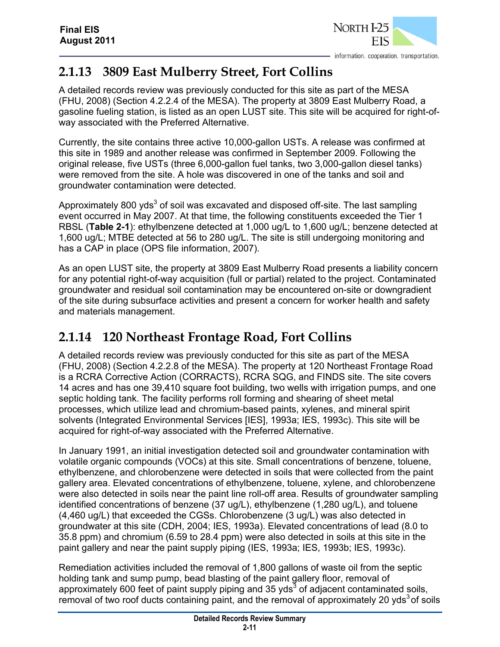

### **2.1.13 3809 East Mulberry Street, Fort Collins**

A detailed records review was previously conducted for this site as part of the MESA (FHU, 2008) (Section 4.2.2.4 of the MESA). The property at 3809 East Mulberry Road, a gasoline fueling station, is listed as an open LUST site. This site will be acquired for right-ofway associated with the Preferred Alternative.

Currently, the site contains three active 10,000-gallon USTs. A release was confirmed at this site in 1989 and another release was confirmed in September 2009. Following the original release, five USTs (three 6,000-gallon fuel tanks, two 3,000-gallon diesel tanks) were removed from the site. A hole was discovered in one of the tanks and soil and groundwater contamination were detected.

Approximately 800 yds<sup>3</sup> of soil was excavated and disposed off-site. The last sampling event occurred in May 2007. At that time, the following constituents exceeded the Tier 1 RBSL (**Table 2-1**): ethylbenzene detected at 1,000 ug/L to 1,600 ug/L; benzene detected at 1,600 ug/L; MTBE detected at 56 to 280 ug/L. The site is still undergoing monitoring and has a CAP in place (OPS file information, 2007).

As an open LUST site, the property at 3809 East Mulberry Road presents a liability concern for any potential right-of-way acquisition (full or partial) related to the project. Contaminated groundwater and residual soil contamination may be encountered on-site or downgradient of the site during subsurface activities and present a concern for worker health and safety and materials management.

### **2.1.14 120 Northeast Frontage Road, Fort Collins**

A detailed records review was previously conducted for this site as part of the MESA (FHU, 2008) (Section 4.2.2.8 of the MESA). The property at 120 Northeast Frontage Road is a RCRA Corrective Action (CORRACTS), RCRA SQG, and FINDS site. The site covers 14 acres and has one 39,410 square foot building, two wells with irrigation pumps, and one septic holding tank. The facility performs roll forming and shearing of sheet metal processes, which utilize lead and chromium-based paints, xylenes, and mineral spirit solvents (Integrated Environmental Services [IES], 1993a; IES, 1993c). This site will be acquired for right-of-way associated with the Preferred Alternative.

In January 1991, an initial investigation detected soil and groundwater contamination with volatile organic compounds (VOCs) at this site. Small concentrations of benzene, toluene, ethylbenzene, and chlorobenzene were detected in soils that were collected from the paint gallery area. Elevated concentrations of ethylbenzene, toluene, xylene, and chlorobenzene were also detected in soils near the paint line roll-off area. Results of groundwater sampling identified concentrations of benzene (37 ug/L), ethylbenzene (1,280 ug/L), and toluene (4,460 ug/L) that exceeded the CGSs. Chlorobenzene (3 ug/L) was also detected in groundwater at this site (CDH, 2004; IES, 1993a). Elevated concentrations of lead (8.0 to 35.8 ppm) and chromium (6.59 to 28.4 ppm) were also detected in soils at this site in the paint gallery and near the paint supply piping (IES, 1993a; IES, 1993b; IES, 1993c).

Remediation activities included the removal of 1,800 gallons of waste oil from the septic holding tank and sump pump, bead blasting of the paint gallery floor, removal of approximately 600 feet of paint supply piping and 35 yds<sup>3</sup> of adjacent contaminated soils, removal of two roof ducts containing paint, and the removal of approximately 20  $yds<sup>3</sup>$  of soils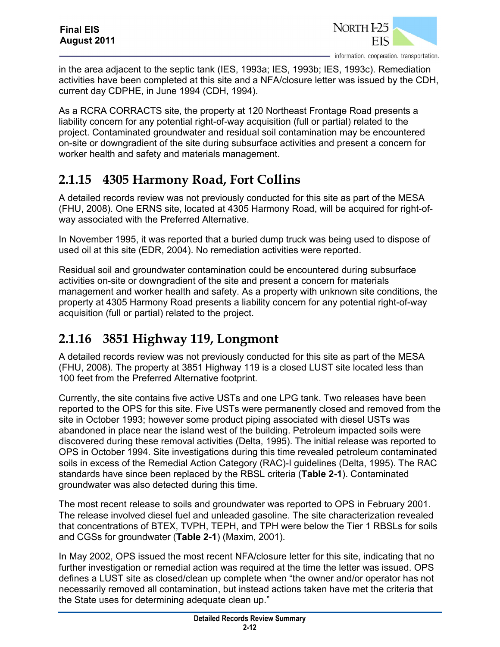

in the area adjacent to the septic tank (IES, 1993a; IES, 1993b; IES, 1993c). Remediation activities have been completed at this site and a NFA/closure letter was issued by the CDH, current day CDPHE, in June 1994 (CDH, 1994).

As a RCRA CORRACTS site, the property at 120 Northeast Frontage Road presents a liability concern for any potential right-of-way acquisition (full or partial) related to the project. Contaminated groundwater and residual soil contamination may be encountered on-site or downgradient of the site during subsurface activities and present a concern for worker health and safety and materials management.

### **2.1.15 4305 Harmony Road, Fort Collins**

A detailed records review was not previously conducted for this site as part of the MESA (FHU, 2008). One ERNS site, located at 4305 Harmony Road, will be acquired for right-ofway associated with the Preferred Alternative.

In November 1995, it was reported that a buried dump truck was being used to dispose of used oil at this site (EDR, 2004). No remediation activities were reported.

Residual soil and groundwater contamination could be encountered during subsurface activities on-site or downgradient of the site and present a concern for materials management and worker health and safety. As a property with unknown site conditions, the property at 4305 Harmony Road presents a liability concern for any potential right-of-way acquisition (full or partial) related to the project.

### **2.1.16 3851 Highway 119, Longmont**

A detailed records review was not previously conducted for this site as part of the MESA (FHU, 2008). The property at 3851 Highway 119 is a closed LUST site located less than 100 feet from the Preferred Alternative footprint.

Currently, the site contains five active USTs and one LPG tank. Two releases have been reported to the OPS for this site. Five USTs were permanently closed and removed from the site in October 1993; however some product piping associated with diesel USTs was abandoned in place near the island west of the building. Petroleum impacted soils were discovered during these removal activities (Delta, 1995). The initial release was reported to OPS in October 1994. Site investigations during this time revealed petroleum contaminated soils in excess of the Remedial Action Category (RAC)-I guidelines (Delta, 1995). The RAC standards have since been replaced by the RBSL criteria (**Table 2-1**). Contaminated groundwater was also detected during this time.

The most recent release to soils and groundwater was reported to OPS in February 2001. The release involved diesel fuel and unleaded gasoline. The site characterization revealed that concentrations of BTEX, TVPH, TEPH, and TPH were below the Tier 1 RBSLs for soils and CGSs for groundwater (**Table 2-1**) (Maxim, 2001).

In May 2002, OPS issued the most recent NFA/closure letter for this site, indicating that no further investigation or remedial action was required at the time the letter was issued. OPS defines a LUST site as closed/clean up complete when "the owner and/or operator has not necessarily removed all contamination, but instead actions taken have met the criteria that the State uses for determining adequate clean up."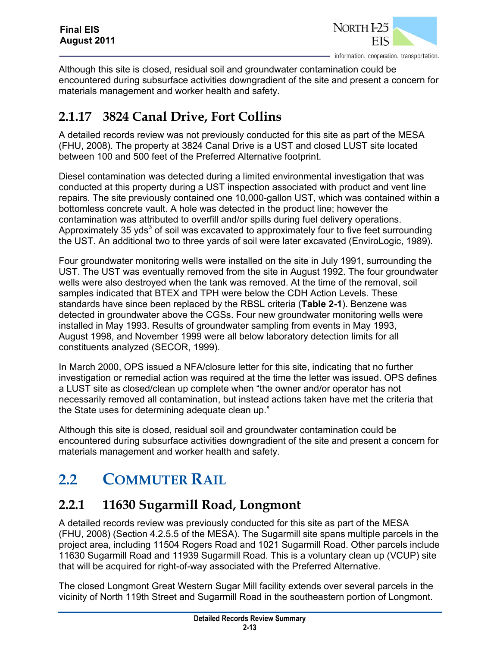

Although this site is closed, residual soil and groundwater contamination could be encountered during subsurface activities downgradient of the site and present a concern for materials management and worker health and safety.

#### **2.1.17 3824 Canal Drive, Fort Collins**

A detailed records review was not previously conducted for this site as part of the MESA (FHU, 2008). The property at 3824 Canal Drive is a UST and closed LUST site located between 100 and 500 feet of the Preferred Alternative footprint.

Diesel contamination was detected during a limited environmental investigation that was conducted at this property during a UST inspection associated with product and vent line repairs. The site previously contained one 10,000-gallon UST, which was contained within a bottomless concrete vault. A hole was detected in the product line; however the contamination was attributed to overfill and/or spills during fuel delivery operations. Approximately 35 yds<sup>3</sup> of soil was excavated to approximately four to five feet surrounding the UST. An additional two to three yards of soil were later excavated (EnviroLogic, 1989).

Four groundwater monitoring wells were installed on the site in July 1991, surrounding the UST. The UST was eventually removed from the site in August 1992. The four groundwater wells were also destroyed when the tank was removed. At the time of the removal, soil samples indicated that BTEX and TPH were below the CDH Action Levels. These standards have since been replaced by the RBSL criteria (**Table 2-1**). Benzene was detected in groundwater above the CGSs. Four new groundwater monitoring wells were installed in May 1993. Results of groundwater sampling from events in May 1993, August 1998, and November 1999 were all below laboratory detection limits for all constituents analyzed (SECOR, 1999).

In March 2000, OPS issued a NFA/closure letter for this site, indicating that no further investigation or remedial action was required at the time the letter was issued. OPS defines a LUST site as closed/clean up complete when "the owner and/or operator has not necessarily removed all contamination, but instead actions taken have met the criteria that the State uses for determining adequate clean up."

Although this site is closed, residual soil and groundwater contamination could be encountered during subsurface activities downgradient of the site and present a concern for materials management and worker health and safety.

### **2.2 COMMUTER RAIL**

#### **2.2.1 11630 Sugarmill Road, Longmont**

A detailed records review was previously conducted for this site as part of the MESA (FHU, 2008) (Section 4.2.5.5 of the MESA). The Sugarmill site spans multiple parcels in the project area, including 11504 Rogers Road and 1021 Sugarmill Road. Other parcels include 11630 Sugarmill Road and 11939 Sugarmill Road. This is a voluntary clean up (VCUP) site that will be acquired for right-of-way associated with the Preferred Alternative.

The closed Longmont Great Western Sugar Mill facility extends over several parcels in the vicinity of North 119th Street and Sugarmill Road in the southeastern portion of Longmont.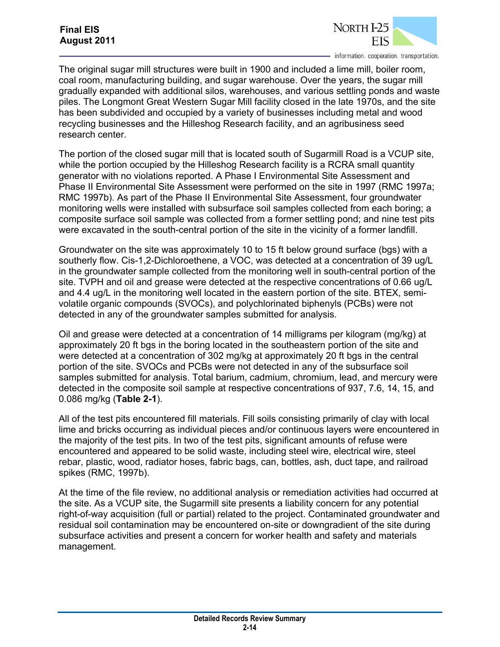

information, cooperation, transportation,

The original sugar mill structures were built in 1900 and included a lime mill, boiler room, coal room, manufacturing building, and sugar warehouse. Over the years, the sugar mill gradually expanded with additional silos, warehouses, and various settling ponds and waste piles. The Longmont Great Western Sugar Mill facility closed in the late 1970s, and the site has been subdivided and occupied by a variety of businesses including metal and wood recycling businesses and the Hilleshog Research facility, and an agribusiness seed research center.

The portion of the closed sugar mill that is located south of Sugarmill Road is a VCUP site, while the portion occupied by the Hilleshog Research facility is a RCRA small quantity generator with no violations reported. A Phase I Environmental Site Assessment and Phase II Environmental Site Assessment were performed on the site in 1997 (RMC 1997a; RMC 1997b). As part of the Phase II Environmental Site Assessment, four groundwater monitoring wells were installed with subsurface soil samples collected from each boring; a composite surface soil sample was collected from a former settling pond; and nine test pits were excavated in the south-central portion of the site in the vicinity of a former landfill.

Groundwater on the site was approximately 10 to 15 ft below ground surface (bgs) with a southerly flow. Cis-1,2-Dichloroethene, a VOC, was detected at a concentration of 39 ug/L in the groundwater sample collected from the monitoring well in south-central portion of the site. TVPH and oil and grease were detected at the respective concentrations of 0.66 ug/L and 4.4 ug/L in the monitoring well located in the eastern portion of the site. BTEX, semivolatile organic compounds (SVOCs), and polychlorinated biphenyls (PCBs) were not detected in any of the groundwater samples submitted for analysis.

Oil and grease were detected at a concentration of 14 milligrams per kilogram (mg/kg) at approximately 20 ft bgs in the boring located in the southeastern portion of the site and were detected at a concentration of 302 mg/kg at approximately 20 ft bgs in the central portion of the site. SVOCs and PCBs were not detected in any of the subsurface soil samples submitted for analysis. Total barium, cadmium, chromium, lead, and mercury were detected in the composite soil sample at respective concentrations of 937, 7.6, 14, 15, and 0.086 mg/kg (**Table 2-1**).

All of the test pits encountered fill materials. Fill soils consisting primarily of clay with local lime and bricks occurring as individual pieces and/or continuous layers were encountered in the majority of the test pits. In two of the test pits, significant amounts of refuse were encountered and appeared to be solid waste, including steel wire, electrical wire, steel rebar, plastic, wood, radiator hoses, fabric bags, can, bottles, ash, duct tape, and railroad spikes (RMC, 1997b).

At the time of the file review, no additional analysis or remediation activities had occurred at the site. As a VCUP site, the Sugarmill site presents a liability concern for any potential right-of-way acquisition (full or partial) related to the project. Contaminated groundwater and residual soil contamination may be encountered on-site or downgradient of the site during subsurface activities and present a concern for worker health and safety and materials management.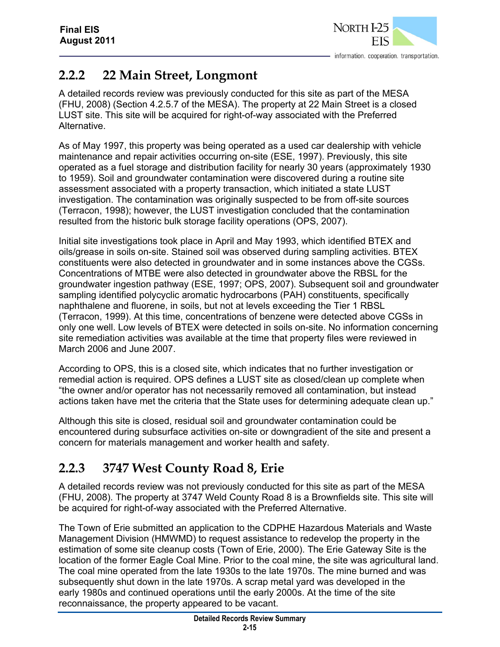

#### **2.2.2 22 Main Street, Longmont**

A detailed records review was previously conducted for this site as part of the MESA (FHU, 2008) (Section 4.2.5.7 of the MESA). The property at 22 Main Street is a closed LUST site. This site will be acquired for right-of-way associated with the Preferred Alternative.

As of May 1997, this property was being operated as a used car dealership with vehicle maintenance and repair activities occurring on-site (ESE, 1997). Previously, this site operated as a fuel storage and distribution facility for nearly 30 years (approximately 1930 to 1959). Soil and groundwater contamination were discovered during a routine site assessment associated with a property transaction, which initiated a state LUST investigation. The contamination was originally suspected to be from off-site sources (Terracon, 1998); however, the LUST investigation concluded that the contamination resulted from the historic bulk storage facility operations (OPS, 2007).

Initial site investigations took place in April and May 1993, which identified BTEX and oils/grease in soils on-site. Stained soil was observed during sampling activities. BTEX constituents were also detected in groundwater and in some instances above the CGSs. Concentrations of MTBE were also detected in groundwater above the RBSL for the groundwater ingestion pathway (ESE, 1997; OPS, 2007). Subsequent soil and groundwater sampling identified polycyclic aromatic hydrocarbons (PAH) constituents, specifically naphthalene and fluorene, in soils, but not at levels exceeding the Tier 1 RBSL (Terracon, 1999). At this time, concentrations of benzene were detected above CGSs in only one well. Low levels of BTEX were detected in soils on-site. No information concerning site remediation activities was available at the time that property files were reviewed in March 2006 and June 2007.

According to OPS, this is a closed site, which indicates that no further investigation or remedial action is required. OPS defines a LUST site as closed/clean up complete when "the owner and/or operator has not necessarily removed all contamination, but instead actions taken have met the criteria that the State uses for determining adequate clean up."

Although this site is closed, residual soil and groundwater contamination could be encountered during subsurface activities on-site or downgradient of the site and present a concern for materials management and worker health and safety.

### **2.2.3 3747 West County Road 8, Erie**

A detailed records review was not previously conducted for this site as part of the MESA (FHU, 2008). The property at 3747 Weld County Road 8 is a Brownfields site. This site will be acquired for right-of-way associated with the Preferred Alternative.

The Town of Erie submitted an application to the CDPHE Hazardous Materials and Waste Management Division (HMWMD) to request assistance to redevelop the property in the estimation of some site cleanup costs (Town of Erie, 2000). The Erie Gateway Site is the location of the former Eagle Coal Mine. Prior to the coal mine, the site was agricultural land. The coal mine operated from the late 1930s to the late 1970s. The mine burned and was subsequently shut down in the late 1970s. A scrap metal yard was developed in the early 1980s and continued operations until the early 2000s. At the time of the site reconnaissance, the property appeared to be vacant.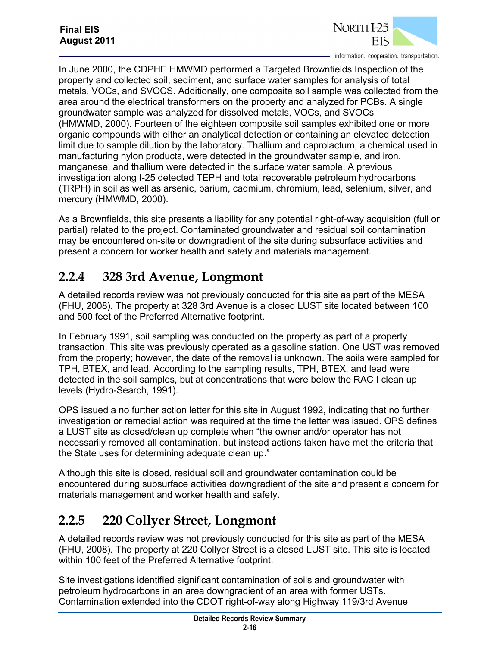

information. cooperation. transportation.

In June 2000, the CDPHE HMWMD performed a Targeted Brownfields Inspection of the property and collected soil, sediment, and surface water samples for analysis of total metals, VOCs, and SVOCS. Additionally, one composite soil sample was collected from the area around the electrical transformers on the property and analyzed for PCBs. A single groundwater sample was analyzed for dissolved metals, VOCs, and SVOCs (HMWMD, 2000). Fourteen of the eighteen composite soil samples exhibited one or more organic compounds with either an analytical detection or containing an elevated detection limit due to sample dilution by the laboratory. Thallium and caprolactum, a chemical used in manufacturing nylon products, were detected in the groundwater sample, and iron, manganese, and thallium were detected in the surface water sample. A previous investigation along I-25 detected TEPH and total recoverable petroleum hydrocarbons (TRPH) in soil as well as arsenic, barium, cadmium, chromium, lead, selenium, silver, and mercury (HMWMD, 2000).

As a Brownfields, this site presents a liability for any potential right-of-way acquisition (full or partial) related to the project. Contaminated groundwater and residual soil contamination may be encountered on-site or downgradient of the site during subsurface activities and present a concern for worker health and safety and materials management.

#### **2.2.4 328 3rd Avenue, Longmont**

A detailed records review was not previously conducted for this site as part of the MESA (FHU, 2008). The property at 328 3rd Avenue is a closed LUST site located between 100 and 500 feet of the Preferred Alternative footprint.

In February 1991, soil sampling was conducted on the property as part of a property transaction. This site was previously operated as a gasoline station. One UST was removed from the property; however, the date of the removal is unknown. The soils were sampled for TPH, BTEX, and lead. According to the sampling results, TPH, BTEX, and lead were detected in the soil samples, but at concentrations that were below the RAC I clean up levels (Hydro-Search, 1991).

OPS issued a no further action letter for this site in August 1992, indicating that no further investigation or remedial action was required at the time the letter was issued. OPS defines a LUST site as closed/clean up complete when "the owner and/or operator has not necessarily removed all contamination, but instead actions taken have met the criteria that the State uses for determining adequate clean up."

Although this site is closed, residual soil and groundwater contamination could be encountered during subsurface activities downgradient of the site and present a concern for materials management and worker health and safety.

#### **2.2.5 220 Collyer Street, Longmont**

A detailed records review was not previously conducted for this site as part of the MESA (FHU, 2008). The property at 220 Collyer Street is a closed LUST site. This site is located within 100 feet of the Preferred Alternative footprint.

Site investigations identified significant contamination of soils and groundwater with petroleum hydrocarbons in an area downgradient of an area with former USTs. Contamination extended into the CDOT right-of-way along Highway 119/3rd Avenue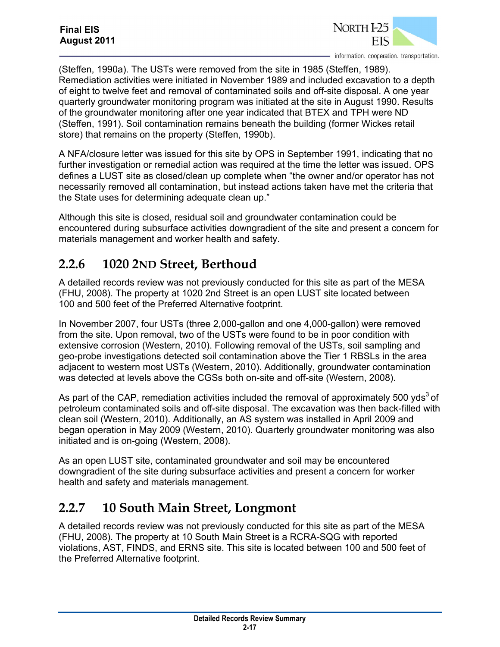

(Steffen, 1990a). The USTs were removed from the site in 1985 (Steffen, 1989). Remediation activities were initiated in November 1989 and included excavation to a depth of eight to twelve feet and removal of contaminated soils and off-site disposal. A one year quarterly groundwater monitoring program was initiated at the site in August 1990. Results of the groundwater monitoring after one year indicated that BTEX and TPH were ND (Steffen, 1991). Soil contamination remains beneath the building (former Wickes retail store) that remains on the property (Steffen, 1990b).

A NFA/closure letter was issued for this site by OPS in September 1991, indicating that no further investigation or remedial action was required at the time the letter was issued. OPS defines a LUST site as closed/clean up complete when "the owner and/or operator has not necessarily removed all contamination, but instead actions taken have met the criteria that the State uses for determining adequate clean up."

Although this site is closed, residual soil and groundwater contamination could be encountered during subsurface activities downgradient of the site and present a concern for materials management and worker health and safety.

#### **2.2.6 1020 2ND Street, Berthoud**

A detailed records review was not previously conducted for this site as part of the MESA (FHU, 2008). The property at 1020 2nd Street is an open LUST site located between 100 and 500 feet of the Preferred Alternative footprint.

In November 2007, four USTs (three 2,000-gallon and one 4,000-gallon) were removed from the site. Upon removal, two of the USTs were found to be in poor condition with extensive corrosion (Western, 2010). Following removal of the USTs, soil sampling and geo-probe investigations detected soil contamination above the Tier 1 RBSLs in the area adjacent to western most USTs (Western, 2010). Additionally, groundwater contamination was detected at levels above the CGSs both on-site and off-site (Western, 2008).

As part of the CAP, remediation activities included the removal of approximately 500 yds<sup>3</sup> of petroleum contaminated soils and off-site disposal. The excavation was then back-filled with clean soil (Western, 2010). Additionally, an AS system was installed in April 2009 and began operation in May 2009 (Western, 2010). Quarterly groundwater monitoring was also initiated and is on-going (Western, 2008).

As an open LUST site, contaminated groundwater and soil may be encountered downgradient of the site during subsurface activities and present a concern for worker health and safety and materials management.

#### **2.2.7 10 South Main Street, Longmont**

A detailed records review was not previously conducted for this site as part of the MESA (FHU, 2008). The property at 10 South Main Street is a RCRA-SQG with reported violations, AST, FINDS, and ERNS site. This site is located between 100 and 500 feet of the Preferred Alternative footprint.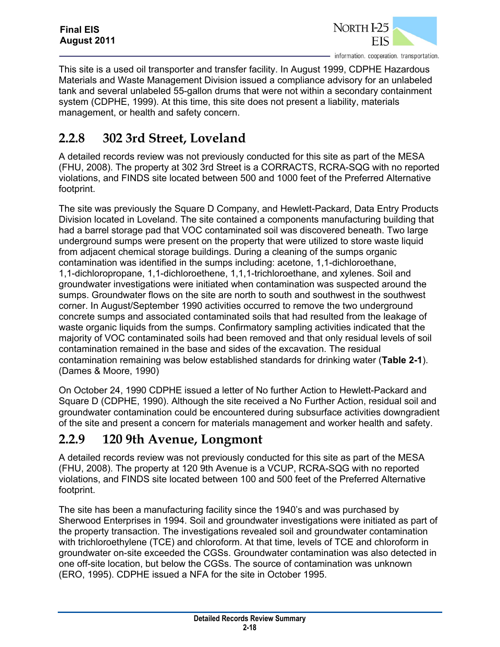

This site is a used oil transporter and transfer facility. In August 1999, CDPHE Hazardous Materials and Waste Management Division issued a compliance advisory for an unlabeled tank and several unlabeled 55-gallon drums that were not within a secondary containment system (CDPHE, 1999). At this time, this site does not present a liability, materials management, or health and safety concern.

#### **2.2.8 302 3rd Street, Loveland**

A detailed records review was not previously conducted for this site as part of the MESA (FHU, 2008). The property at 302 3rd Street is a CORRACTS, RCRA-SQG with no reported violations, and FINDS site located between 500 and 1000 feet of the Preferred Alternative footprint.

The site was previously the Square D Company, and Hewlett-Packard, Data Entry Products Division located in Loveland. The site contained a components manufacturing building that had a barrel storage pad that VOC contaminated soil was discovered beneath. Two large underground sumps were present on the property that were utilized to store waste liquid from adjacent chemical storage buildings. During a cleaning of the sumps organic contamination was identified in the sumps including: acetone, 1,1-dichloroethane, 1,1-dichloropropane, 1,1-dichloroethene, 1,1,1-trichloroethane, and xylenes. Soil and groundwater investigations were initiated when contamination was suspected around the sumps. Groundwater flows on the site are north to south and southwest in the southwest corner. In August/September 1990 activities occurred to remove the two underground concrete sumps and associated contaminated soils that had resulted from the leakage of waste organic liquids from the sumps. Confirmatory sampling activities indicated that the majority of VOC contaminated soils had been removed and that only residual levels of soil contamination remained in the base and sides of the excavation. The residual contamination remaining was below established standards for drinking water (**Table 2-1**). (Dames & Moore, 1990)

On October 24, 1990 CDPHE issued a letter of No further Action to Hewlett-Packard and Square D (CDPHE, 1990). Although the site received a No Further Action, residual soil and groundwater contamination could be encountered during subsurface activities downgradient of the site and present a concern for materials management and worker health and safety.

#### **2.2.9 120 9th Avenue, Longmont**

A detailed records review was not previously conducted for this site as part of the MESA (FHU, 2008). The property at 120 9th Avenue is a VCUP, RCRA-SQG with no reported violations, and FINDS site located between 100 and 500 feet of the Preferred Alternative footprint.

The site has been a manufacturing facility since the 1940's and was purchased by Sherwood Enterprises in 1994. Soil and groundwater investigations were initiated as part of the property transaction. The investigations revealed soil and groundwater contamination with trichloroethylene (TCE) and chloroform. At that time, levels of TCE and chloroform in groundwater on-site exceeded the CGSs. Groundwater contamination was also detected in one off-site location, but below the CGSs. The source of contamination was unknown (ERO, 1995). CDPHE issued a NFA for the site in October 1995.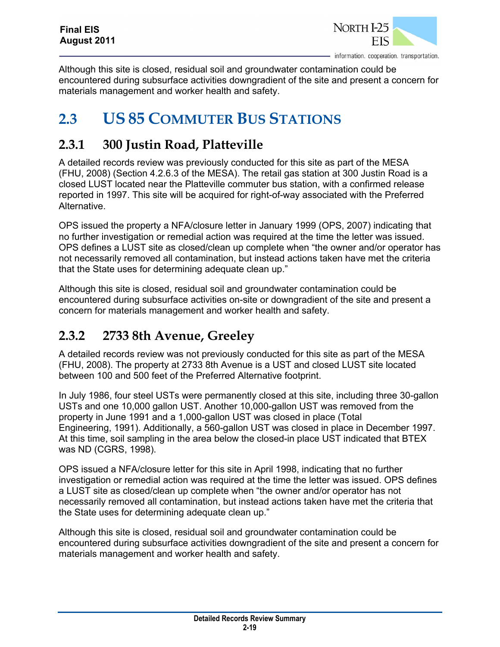

Although this site is closed, residual soil and groundwater contamination could be encountered during subsurface activities downgradient of the site and present a concern for materials management and worker health and safety.

### **2.3 US 85 COMMUTER BUS STATIONS**

#### **2.3.1 300 Justin Road, Platteville**

A detailed records review was previously conducted for this site as part of the MESA (FHU, 2008) (Section 4.2.6.3 of the MESA). The retail gas station at 300 Justin Road is a closed LUST located near the Platteville commuter bus station, with a confirmed release reported in 1997. This site will be acquired for right-of-way associated with the Preferred Alternative.

OPS issued the property a NFA/closure letter in January 1999 (OPS, 2007) indicating that no further investigation or remedial action was required at the time the letter was issued. OPS defines a LUST site as closed/clean up complete when "the owner and/or operator has not necessarily removed all contamination, but instead actions taken have met the criteria that the State uses for determining adequate clean up."

Although this site is closed, residual soil and groundwater contamination could be encountered during subsurface activities on-site or downgradient of the site and present a concern for materials management and worker health and safety.

#### **2.3.2 2733 8th Avenue, Greeley**

A detailed records review was not previously conducted for this site as part of the MESA (FHU, 2008). The property at 2733 8th Avenue is a UST and closed LUST site located between 100 and 500 feet of the Preferred Alternative footprint.

In July 1986, four steel USTs were permanently closed at this site, including three 30-gallon USTs and one 10,000 gallon UST. Another 10,000-gallon UST was removed from the property in June 1991 and a 1,000-gallon UST was closed in place (Total Engineering, 1991). Additionally, a 560-gallon UST was closed in place in December 1997. At this time, soil sampling in the area below the closed-in place UST indicated that BTEX was ND (CGRS, 1998).

OPS issued a NFA/closure letter for this site in April 1998, indicating that no further investigation or remedial action was required at the time the letter was issued. OPS defines a LUST site as closed/clean up complete when "the owner and/or operator has not necessarily removed all contamination, but instead actions taken have met the criteria that the State uses for determining adequate clean up."

Although this site is closed, residual soil and groundwater contamination could be encountered during subsurface activities downgradient of the site and present a concern for materials management and worker health and safety.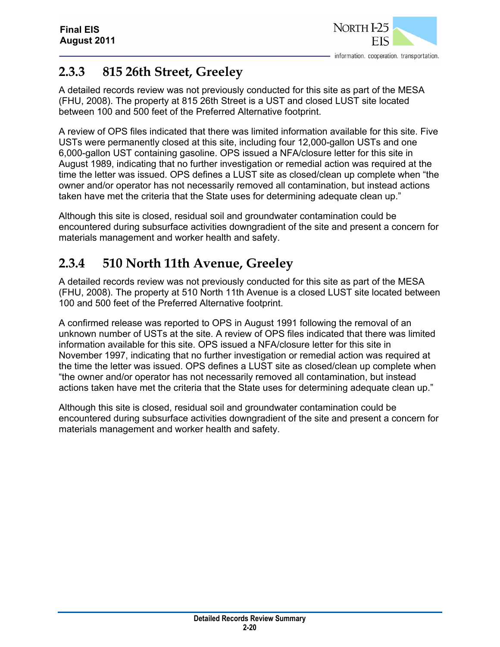

### **2.3.3 815 26th Street, Greeley**

A detailed records review was not previously conducted for this site as part of the MESA (FHU, 2008). The property at 815 26th Street is a UST and closed LUST site located between 100 and 500 feet of the Preferred Alternative footprint.

A review of OPS files indicated that there was limited information available for this site. Five USTs were permanently closed at this site, including four 12,000-gallon USTs and one 6,000-gallon UST containing gasoline. OPS issued a NFA/closure letter for this site in August 1989, indicating that no further investigation or remedial action was required at the time the letter was issued. OPS defines a LUST site as closed/clean up complete when "the owner and/or operator has not necessarily removed all contamination, but instead actions taken have met the criteria that the State uses for determining adequate clean up."

Although this site is closed, residual soil and groundwater contamination could be encountered during subsurface activities downgradient of the site and present a concern for materials management and worker health and safety.

#### **2.3.4 510 North 11th Avenue, Greeley**

A detailed records review was not previously conducted for this site as part of the MESA (FHU, 2008). The property at 510 North 11th Avenue is a closed LUST site located between 100 and 500 feet of the Preferred Alternative footprint.

A confirmed release was reported to OPS in August 1991 following the removal of an unknown number of USTs at the site. A review of OPS files indicated that there was limited information available for this site. OPS issued a NFA/closure letter for this site in November 1997, indicating that no further investigation or remedial action was required at the time the letter was issued. OPS defines a LUST site as closed/clean up complete when "the owner and/or operator has not necessarily removed all contamination, but instead actions taken have met the criteria that the State uses for determining adequate clean up."

Although this site is closed, residual soil and groundwater contamination could be encountered during subsurface activities downgradient of the site and present a concern for materials management and worker health and safety.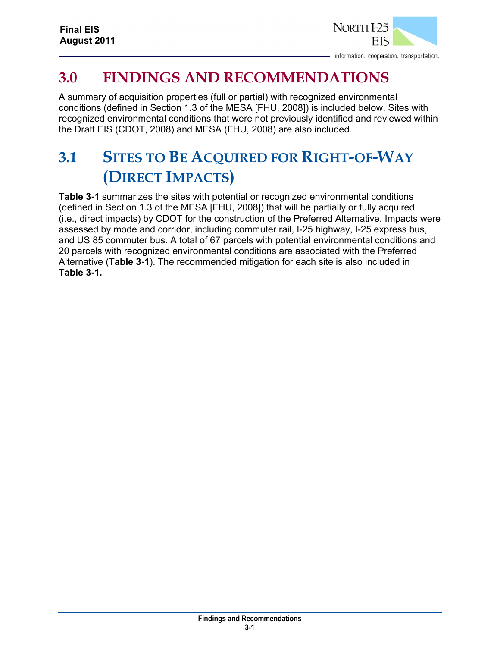

### **3.0 FINDINGS AND RECOMMENDATIONS**

A summary of acquisition properties (full or partial) with recognized environmental conditions (defined in Section 1.3 of the MESA [FHU, 2008]) is included below. Sites with recognized environmental conditions that were not previously identified and reviewed within the Draft EIS (CDOT, 2008) and MESA (FHU, 2008) are also included.

### **3.1 SITES TO BE ACQUIRED FOR RIGHT-OF-WAY (DIRECT IMPACTS)**

**Table 3-1** summarizes the sites with potential or recognized environmental conditions (defined in Section 1.3 of the MESA [FHU, 2008]) that will be partially or fully acquired (i.e., direct impacts) by CDOT for the construction of the Preferred Alternative. Impacts were assessed by mode and corridor, including commuter rail, I-25 highway, I-25 express bus, and US 85 commuter bus. A total of 67 parcels with potential environmental conditions and 20 parcels with recognized environmental conditions are associated with the Preferred Alternative (**Table 3-1**). The recommended mitigation for each site is also included in **Table 3-1.**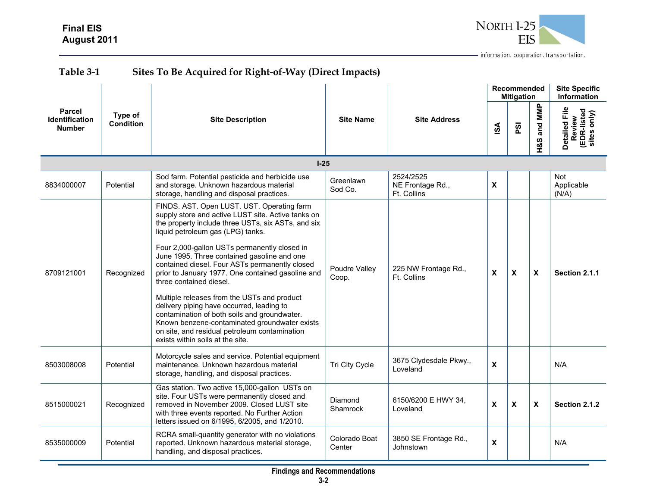

| Table 3-1<br>Sites To Be Acquired for Right-of-Way (Direct Impacts) |                             |                                                                                                                                                                                                                                                                                                                                                                                                                                                                                                                                                                                                                                                                                                                |                         |                                              |                                         |            |                                      |                                                       |  |
|---------------------------------------------------------------------|-----------------------------|----------------------------------------------------------------------------------------------------------------------------------------------------------------------------------------------------------------------------------------------------------------------------------------------------------------------------------------------------------------------------------------------------------------------------------------------------------------------------------------------------------------------------------------------------------------------------------------------------------------------------------------------------------------------------------------------------------------|-------------------------|----------------------------------------------|-----------------------------------------|------------|--------------------------------------|-------------------------------------------------------|--|
|                                                                     |                             |                                                                                                                                                                                                                                                                                                                                                                                                                                                                                                                                                                                                                                                                                                                |                         |                                              | <b>Recommended</b><br><b>Mitigation</b> |            |                                      | <b>Site Specific</b><br>Information                   |  |
| <b>Parcel</b><br><b>Identification</b><br><b>Number</b>             | Type of<br><b>Condition</b> | <b>Site Description</b>                                                                                                                                                                                                                                                                                                                                                                                                                                                                                                                                                                                                                                                                                        | <b>Site Name</b>        | <b>Site Address</b>                          | ISA                                     | <b>PSI</b> | <b>MINP</b><br>and<br><b>H&amp;S</b> | Detailed File<br>Review<br>(EDR-listed<br>sites only) |  |
|                                                                     |                             | $1-25$                                                                                                                                                                                                                                                                                                                                                                                                                                                                                                                                                                                                                                                                                                         |                         |                                              |                                         |            |                                      |                                                       |  |
| 8834000007                                                          | Potential                   | Sod farm. Potential pesticide and herbicide use<br>and storage. Unknown hazardous material<br>storage, handling and disposal practices.                                                                                                                                                                                                                                                                                                                                                                                                                                                                                                                                                                        | Greenlawn<br>Sod Co.    | 2524/2525<br>NE Frontage Rd.,<br>Ft. Collins | X                                       |            |                                      | <b>Not</b><br>Applicable<br>(N/A)                     |  |
| 8709121001                                                          | Recognized                  | FINDS. AST. Open LUST. UST. Operating farm<br>supply store and active LUST site. Active tanks on<br>the property include three USTs, six ASTs, and six<br>liquid petroleum gas (LPG) tanks.<br>Four 2,000-gallon USTs permanently closed in<br>June 1995. Three contained gasoline and one<br>contained diesel. Four ASTs permanently closed<br>prior to January 1977. One contained gasoline and<br>three contained diesel.<br>Multiple releases from the USTs and product<br>delivery piping have occurred, leading to<br>contamination of both soils and groundwater.<br>Known benzene-contaminated groundwater exists<br>on site, and residual petroleum contamination<br>exists within soils at the site. | Poudre Valley<br>Coop.  | 225 NW Frontage Rd.,<br>Ft. Collins          | X                                       | X          | X                                    | Section 2.1.1                                         |  |
| 8503008008                                                          | Potential                   | Motorcycle sales and service. Potential equipment<br>maintenance. Unknown hazardous material<br>storage, handling, and disposal practices.                                                                                                                                                                                                                                                                                                                                                                                                                                                                                                                                                                     | Tri City Cycle          | 3675 Clydesdale Pkwy.,<br>Loveland           | X                                       |            |                                      | N/A                                                   |  |
| 8515000021                                                          | Recognized                  | Gas station. Two active 15,000-gallon USTs on<br>site. Four USTs were permanently closed and<br>removed in November 2009. Closed LUST site<br>with three events reported. No Further Action<br>letters issued on 6/1995, 6/2005, and 1/2010.                                                                                                                                                                                                                                                                                                                                                                                                                                                                   | Diamond<br>Shamrock     | 6150/6200 E HWY 34,<br>Loveland              | $\boldsymbol{\mathsf{x}}$               | X          | X                                    | Section 2.1.2                                         |  |
| 8535000009                                                          | Potential                   | RCRA small-quantity generator with no violations<br>reported. Unknown hazardous material storage,<br>handling, and disposal practices.                                                                                                                                                                                                                                                                                                                                                                                                                                                                                                                                                                         | Colorado Boat<br>Center | 3850 SE Frontage Rd.,<br>Johnstown           | X                                       |            |                                      | N/A                                                   |  |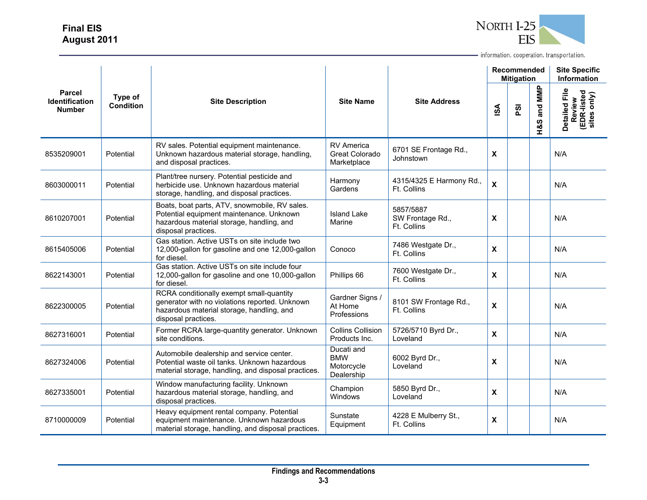

|                                                         |                             | <b>Site Description</b>                                                                                                                                        | <b>Site Name</b>                                     | <b>Site Address</b>                          | Recommended<br><b>Mitigation</b> |     |                           | <b>Site Specific</b><br><b>Information</b>            |
|---------------------------------------------------------|-----------------------------|----------------------------------------------------------------------------------------------------------------------------------------------------------------|------------------------------------------------------|----------------------------------------------|----------------------------------|-----|---------------------------|-------------------------------------------------------|
| <b>Parcel</b><br><b>Identification</b><br><b>Number</b> | Type of<br><b>Condition</b> |                                                                                                                                                                |                                                      |                                              | SA                               | PSI | and MMP<br><b>H&amp;S</b> | Detailed File<br>Review<br>(EDR-listed<br>sites only) |
| 8535209001                                              | Potential                   | RV sales. Potential equipment maintenance.<br>Unknown hazardous material storage, handling,<br>and disposal practices.                                         | RV America<br>Great Colorado<br>Marketplace          | 6701 SE Frontage Rd.,<br>Johnstown           | X                                |     |                           | N/A                                                   |
| 8603000011                                              | Potential                   | Plant/tree nursery. Potential pesticide and<br>herbicide use. Unknown hazardous material<br>storage, handling, and disposal practices.                         | Harmony<br>Gardens                                   | 4315/4325 E Harmony Rd.,<br>Ft. Collins      | $\boldsymbol{\mathsf{x}}$        |     |                           | N/A                                                   |
| 8610207001                                              | Potential                   | Boats, boat parts, ATV, snowmobile, RV sales.<br>Potential equipment maintenance. Unknown<br>hazardous material storage, handling, and<br>disposal practices.  | <b>Island Lake</b><br>Marine                         | 5857/5887<br>SW Frontage Rd.,<br>Ft. Collins | X                                |     |                           | N/A                                                   |
| 8615405006                                              | Potential                   | Gas station. Active USTs on site include two<br>12,000-gallon for gasoline and one 12,000-gallon<br>for diesel.                                                | Conoco                                               | 7486 Westgate Dr.,<br>Ft. Collins            | $\mathbf{x}$                     |     |                           | N/A                                                   |
| 8622143001                                              | Potential                   | Gas station. Active USTs on site include four<br>12,000-gallon for gasoline and one 10,000-gallon<br>for diesel.                                               | Phillips 66                                          | 7600 Westgate Dr.,<br>Ft. Collins            | X                                |     |                           | N/A                                                   |
| 8622300005                                              | Potential                   | RCRA conditionally exempt small-quantity<br>generator with no violations reported. Unknown<br>hazardous material storage, handling, and<br>disposal practices. | Gardner Signs /<br>At Home<br><b>Professions</b>     | 8101 SW Frontage Rd.,<br>Ft. Collins         | X                                |     |                           | N/A                                                   |
| 8627316001                                              | Potential                   | Former RCRA large-quantity generator. Unknown<br>site conditions.                                                                                              | <b>Collins Collision</b><br>Products Inc.            | 5726/5710 Byrd Dr.,<br>Loveland              | $\mathbf{x}$                     |     |                           | N/A                                                   |
| 8627324006                                              | Potential                   | Automobile dealership and service center.<br>Potential waste oil tanks. Unknown hazardous<br>material storage, handling, and disposal practices.               | Ducati and<br><b>BMW</b><br>Motorcycle<br>Dealership | 6002 Byrd Dr.,<br>Loveland                   | X                                |     |                           | N/A                                                   |
| 8627335001                                              | Potential                   | Window manufacturing facility. Unknown<br>hazardous material storage, handling, and<br>disposal practices.                                                     | Champion<br><b>Windows</b>                           | 5850 Byrd Dr.,<br>Loveland                   | X                                |     |                           | N/A                                                   |
| 8710000009                                              | Potential                   | Heavy equipment rental company. Potential<br>equipment maintenance. Unknown hazardous<br>material storage, handling, and disposal practices.                   | Sunstate<br>Equipment                                | 4228 E Mulberry St.,<br>Ft. Collins          | X                                |     |                           | N/A                                                   |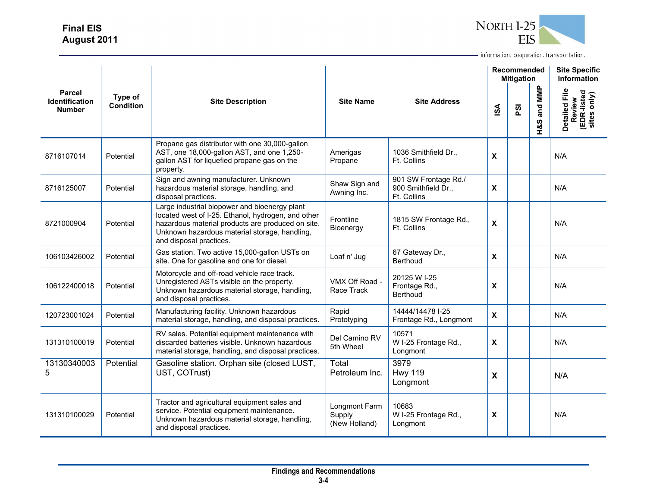

|                                                         |                             | <b>Site Description</b>                                                                                                                                                                                                              | <b>Site Name</b>                         | <b>Site Address</b>                                        | Recommended<br><b>Mitigation</b> |           |                       | <b>Site Specific</b><br>Information                            |
|---------------------------------------------------------|-----------------------------|--------------------------------------------------------------------------------------------------------------------------------------------------------------------------------------------------------------------------------------|------------------------------------------|------------------------------------------------------------|----------------------------------|-----------|-----------------------|----------------------------------------------------------------|
| <b>Parcel</b><br><b>Identification</b><br><b>Number</b> | Type of<br><b>Condition</b> |                                                                                                                                                                                                                                      |                                          |                                                            | $\mathbf{S}$                     | <b>SQ</b> | and MMP<br><b>R8H</b> | Detailed File<br>Review<br>(EDR-listed<br>sites only)<br>only) |
| 8716107014                                              | Potential                   | Propane gas distributor with one 30,000-gallon<br>AST, one 18,000-gallon AST, and one 1,250-<br>gallon AST for liquefied propane gas on the<br>property.                                                                             | Amerigas<br>Propane                      | 1036 Smithfield Dr.,<br>Ft. Collins                        | X                                |           |                       | N/A                                                            |
| 8716125007                                              | Potential                   | Sign and awning manufacturer. Unknown<br>hazardous material storage, handling, and<br>disposal practices.                                                                                                                            | Shaw Sign and<br>Awning Inc.             | 901 SW Frontage Rd./<br>900 Smithfield Dr.,<br>Ft. Collins | X                                |           |                       | N/A                                                            |
| 8721000904                                              | Potential                   | Large industrial biopower and bioenergy plant<br>located west of I-25. Ethanol, hydrogen, and other<br>hazardous material products are produced on site.<br>Unknown hazardous material storage, handling,<br>and disposal practices. | Frontline<br>Bioenergy                   | 1815 SW Frontage Rd.,<br>Ft. Collins                       | X                                |           |                       | N/A                                                            |
| 106103426002                                            | Potential                   | Gas station. Two active 15,000-gallon USTs on<br>site. One for gasoline and one for diesel.                                                                                                                                          | Loaf n' Jug                              | 67 Gateway Dr.,<br>Berthoud                                | X                                |           |                       | N/A                                                            |
| 106122400018                                            | Potential                   | Motorcycle and off-road vehicle race track.<br>Unregistered ASTs visible on the property.<br>Unknown hazardous material storage, handling,<br>and disposal practices.                                                                | VMX Off Road -<br>Race Track             | 20125 W I-25<br>Frontage Rd.,<br>Berthoud                  | X                                |           |                       | N/A                                                            |
| 120723001024                                            | Potential                   | Manufacturing facility. Unknown hazardous<br>material storage, handling, and disposal practices.                                                                                                                                     | Rapid<br>Prototyping                     | 14444/14478 I-25<br>Frontage Rd., Longmont                 | $\mathbf{x}$                     |           |                       | N/A                                                            |
| 131310100019                                            | Potential                   | RV sales. Potential equipment maintenance with<br>discarded batteries visible. Unknown hazardous<br>material storage, handling, and disposal practices.                                                                              | Del Camino RV<br>5th Wheel               | 10571<br>W I-25 Frontage Rd.,<br>Longmont                  | X                                |           |                       | N/A                                                            |
| 13130340003<br>5                                        | Potential                   | Gasoline station. Orphan site (closed LUST,<br>UST, COTrust)                                                                                                                                                                         | Total<br>Petroleum Inc.                  | 3979<br><b>Hwy 119</b><br>Longmont                         | X                                |           |                       | N/A                                                            |
| 131310100029                                            | Potential                   | Tractor and agricultural equipment sales and<br>service. Potential equipment maintenance.<br>Unknown hazardous material storage, handling,<br>and disposal practices.                                                                | Longmont Farm<br>Supply<br>(New Holland) | 10683<br>W I-25 Frontage Rd.,<br>Longmont                  | X                                |           |                       | N/A                                                            |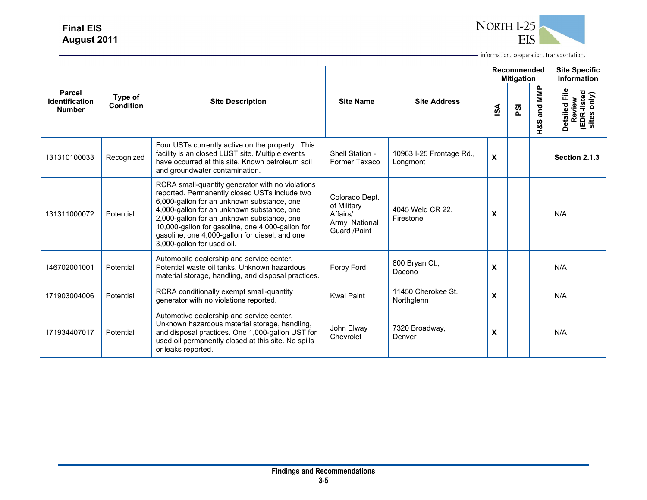

|                                                  | Type of<br><b>Condition</b> | <b>Site Description</b>                                                                                                                                                                                                                                                                                                                                                         | <b>Site Name</b>                                                           | <b>Site Address</b>                  | Recommended<br><b>Mitigation</b> |           |                                           | <b>Site Specific</b><br>Information                            |
|--------------------------------------------------|-----------------------------|---------------------------------------------------------------------------------------------------------------------------------------------------------------------------------------------------------------------------------------------------------------------------------------------------------------------------------------------------------------------------------|----------------------------------------------------------------------------|--------------------------------------|----------------------------------|-----------|-------------------------------------------|----------------------------------------------------------------|
| Parcel<br><b>Identification</b><br><b>Number</b> |                             |                                                                                                                                                                                                                                                                                                                                                                                 |                                                                            |                                      | $\overline{\mathbf{S}}$          | <b>SQ</b> | <b>MMP</b><br>$\overline{and}$<br>ဖာ<br>옆 | Detailed File<br>Review<br>(EDR-listed<br>sites only)<br>only) |
| 131310100033                                     | Recognized                  | Four USTs currently active on the property. This<br>facility is an closed LUST site. Multiple events<br>have occurred at this site. Known petroleum soil<br>and groundwater contamination.                                                                                                                                                                                      | Shell Station -<br>Former Texaco                                           | 10963 I-25 Frontage Rd.,<br>Longmont | X                                |           |                                           | Section 2.1.3                                                  |
| 131311000072                                     | Potential                   | RCRA small-quantity generator with no violations<br>reported. Permanently closed USTs include two<br>6,000-gallon for an unknown substance, one<br>4,000-gallon for an unknown substance, one<br>2,000-gallon for an unknown substance, one<br>10,000-gallon for gasoline, one 4,000-gallon for<br>gasoline, one 4,000-gallon for diesel, and one<br>3,000-gallon for used oil. | Colorado Dept.<br>of Military<br>Affairs/<br>Army National<br>Guard /Paint | 4045 Weld CR 22,<br>Firestone        | X                                |           |                                           | N/A                                                            |
| 146702001001                                     | Potential                   | Automobile dealership and service center.<br>Potential waste oil tanks. Unknown hazardous<br>material storage, handling, and disposal practices.                                                                                                                                                                                                                                | Forby Ford                                                                 | 800 Bryan Ct.,<br>Dacono             | X                                |           |                                           | N/A                                                            |
| 171903004006                                     | Potential                   | RCRA conditionally exempt small-quantity<br>generator with no violations reported.                                                                                                                                                                                                                                                                                              | <b>Kwal Paint</b>                                                          | 11450 Cherokee St.,<br>Northglenn    | X                                |           |                                           | N/A                                                            |
| 171934407017                                     | Potential                   | Automotive dealership and service center.<br>Unknown hazardous material storage, handling,<br>and disposal practices. One 1,000-gallon UST for<br>used oil permanently closed at this site. No spills<br>or leaks reported.                                                                                                                                                     | John Elway<br>Chevrolet                                                    | 7320 Broadway,<br>Denver             | X                                |           |                                           | N/A                                                            |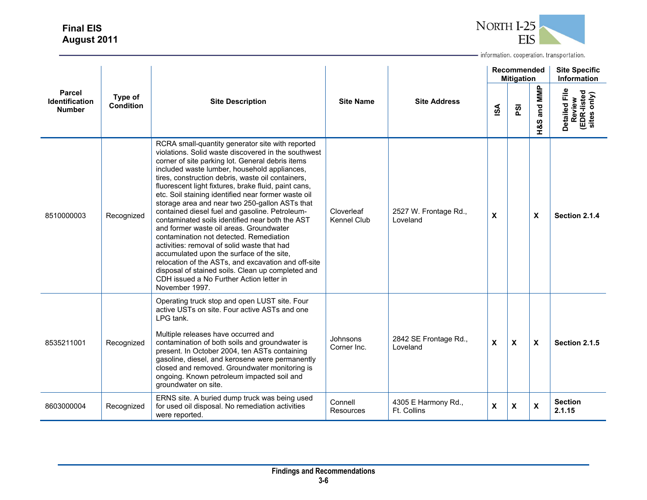

| <b>Parcel</b><br><b>Identification</b><br><b>Number</b> | Type of<br><b>Condition</b> | <b>Site Description</b>                                                                                                                                                                                                                                                                                                                                                                                                                                                                                                                                                                                                                                                                                                                                                                                                                                                                            | <b>Site Name</b>          | <b>Site Address</b>                | Recommended<br><b>Mitigation</b> |              |                                     | <b>Site Specific</b><br>Information                   |
|---------------------------------------------------------|-----------------------------|----------------------------------------------------------------------------------------------------------------------------------------------------------------------------------------------------------------------------------------------------------------------------------------------------------------------------------------------------------------------------------------------------------------------------------------------------------------------------------------------------------------------------------------------------------------------------------------------------------------------------------------------------------------------------------------------------------------------------------------------------------------------------------------------------------------------------------------------------------------------------------------------------|---------------------------|------------------------------------|----------------------------------|--------------|-------------------------------------|-------------------------------------------------------|
|                                                         |                             |                                                                                                                                                                                                                                                                                                                                                                                                                                                                                                                                                                                                                                                                                                                                                                                                                                                                                                    |                           |                                    | $\mathbf{S}$                     | <b>PSI</b>   | and MMP<br>ທ<br>$\ddot{\mathbf{r}}$ | Detailed File<br>Review<br>(EDR-listed<br>sites only) |
| 8510000003                                              | Recognized                  | RCRA small-quantity generator site with reported<br>violations. Solid waste discovered in the southwest<br>corner of site parking lot. General debris items<br>included waste lumber, household appliances,<br>tires, construction debris, waste oil containers,<br>fluorescent light fixtures, brake fluid, paint cans,<br>etc. Soil staining identified near former waste oil<br>storage area and near two 250-gallon ASTs that<br>contained diesel fuel and gasoline. Petroleum-<br>contaminated soils identified near both the AST<br>and former waste oil areas. Groundwater<br>contamination not detected. Remediation<br>activities: removal of solid waste that had<br>accumulated upon the surface of the site,<br>relocation of the ASTs, and excavation and off-site<br>disposal of stained soils. Clean up completed and<br>CDH issued a No Further Action letter in<br>November 1997. | Cloverleaf<br>Kennel Club | 2527 W. Frontage Rd.,<br>Loveland  | X                                |              | X                                   | Section 2.1.4                                         |
| 8535211001                                              | Recognized                  | Operating truck stop and open LUST site. Four<br>active USTs on site. Four active ASTs and one<br>LPG tank.<br>Multiple releases have occurred and<br>contamination of both soils and groundwater is<br>present. In October 2004, ten ASTs containing<br>gasoline, diesel, and kerosene were permanently<br>closed and removed. Groundwater monitoring is<br>ongoing. Known petroleum impacted soil and<br>groundwater on site.                                                                                                                                                                                                                                                                                                                                                                                                                                                                    | Johnsons<br>Corner Inc.   | 2842 SE Frontage Rd.,<br>Loveland  | X                                | $\pmb{\chi}$ | $\boldsymbol{\mathsf{x}}$           | Section 2.1.5                                         |
| 8603000004                                              | Recognized                  | ERNS site. A buried dump truck was being used<br>for used oil disposal. No remediation activities<br>were reported.                                                                                                                                                                                                                                                                                                                                                                                                                                                                                                                                                                                                                                                                                                                                                                                | Connell<br>Resources      | 4305 E Harmony Rd.,<br>Ft. Collins | X                                | X            | $\boldsymbol{\mathsf{x}}$           | <b>Section</b><br>2.1.15                              |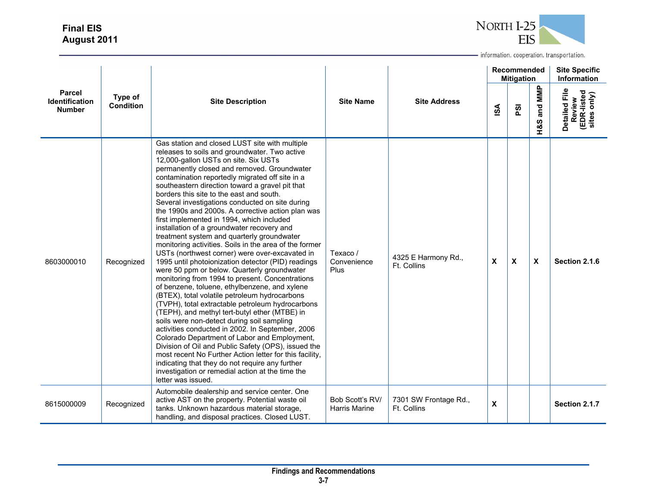

|                                                         | Type of<br><b>Condition</b> | <b>Site Description</b>                                                                                                                                                                                                                                                                                                                                                                                                                                                                                                                                                                                                                                                                                                                                                                                                                                                                                                                                                                                                                                                                                                                                                                                                                                                                                                                                                                                                                                               | <b>Site Name</b>                        | <b>Site Address</b>                  | Recommended<br><b>Mitigation</b> |                           |                       | <b>Site Specific</b><br>Information                   |
|---------------------------------------------------------|-----------------------------|-----------------------------------------------------------------------------------------------------------------------------------------------------------------------------------------------------------------------------------------------------------------------------------------------------------------------------------------------------------------------------------------------------------------------------------------------------------------------------------------------------------------------------------------------------------------------------------------------------------------------------------------------------------------------------------------------------------------------------------------------------------------------------------------------------------------------------------------------------------------------------------------------------------------------------------------------------------------------------------------------------------------------------------------------------------------------------------------------------------------------------------------------------------------------------------------------------------------------------------------------------------------------------------------------------------------------------------------------------------------------------------------------------------------------------------------------------------------------|-----------------------------------------|--------------------------------------|----------------------------------|---------------------------|-----------------------|-------------------------------------------------------|
| <b>Parcel</b><br><b>Identification</b><br><b>Number</b> |                             |                                                                                                                                                                                                                                                                                                                                                                                                                                                                                                                                                                                                                                                                                                                                                                                                                                                                                                                                                                                                                                                                                                                                                                                                                                                                                                                                                                                                                                                                       |                                         |                                      | $\overline{\text{1}}\text{S}$    | <b>SQ</b>                 | and MMP<br><b>R8H</b> | Detailed File<br>Review<br>(EDR-listed<br>sites only) |
| 8603000010                                              | Recognized                  | Gas station and closed LUST site with multiple<br>releases to soils and groundwater. Two active<br>12,000-gallon USTs on site. Six USTs<br>permanently closed and removed. Groundwater<br>contamination reportedly migrated off site in a<br>southeastern direction toward a gravel pit that<br>borders this site to the east and south.<br>Several investigations conducted on site during<br>the 1990s and 2000s. A corrective action plan was<br>first implemented in 1994, which included<br>installation of a groundwater recovery and<br>treatment system and quarterly groundwater<br>monitoring activities. Soils in the area of the former<br>USTs (northwest corner) were over-excavated in<br>1995 until photoionization detector (PID) readings<br>were 50 ppm or below. Quarterly groundwater<br>monitoring from 1994 to present. Concentrations<br>of benzene, toluene, ethylbenzene, and xylene<br>(BTEX), total volatile petroleum hydrocarbons<br>(TVPH), total extractable petroleum hydrocarbons<br>(TEPH), and methyl tert-butyl ether (MTBE) in<br>soils were non-detect during soil sampling<br>activities conducted in 2002. In September, 2006<br>Colorado Department of Labor and Employment,<br>Division of Oil and Public Safety (OPS), issued the<br>most recent No Further Action letter for this facility,<br>indicating that they do not require any further<br>investigation or remedial action at the time the<br>letter was issued. | Texaco /<br>Convenience<br>Plus         | 4325 E Harmony Rd.,<br>Ft. Collins   | X                                | $\boldsymbol{\mathsf{X}}$ | $\pmb{\chi}$          | Section 2.1.6                                         |
| 8615000009                                              | Recognized                  | Automobile dealership and service center. One<br>active AST on the property. Potential waste oil<br>tanks. Unknown hazardous material storage,<br>handling, and disposal practices. Closed LUST.                                                                                                                                                                                                                                                                                                                                                                                                                                                                                                                                                                                                                                                                                                                                                                                                                                                                                                                                                                                                                                                                                                                                                                                                                                                                      | Bob Scott's RV/<br><b>Harris Marine</b> | 7301 SW Frontage Rd.,<br>Ft. Collins | X                                |                           |                       | Section 2.1.7                                         |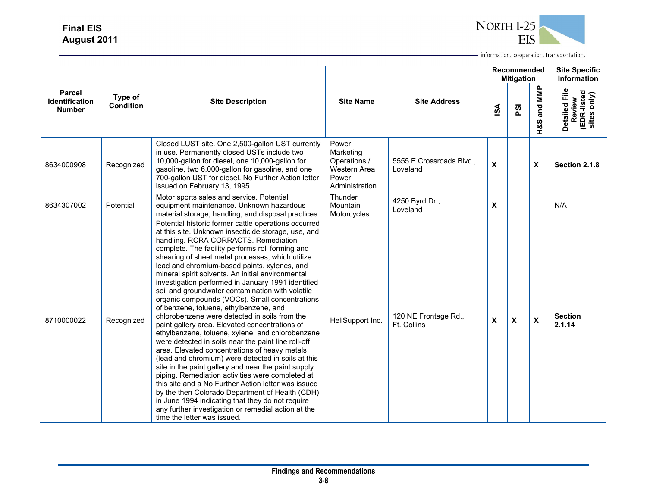

|                                                         | Type of<br><b>Condition</b> | <b>Site Description</b>                                                                                                                                                                                                                                                                                                                                                                                                                                                                                                                                                                                                                                                                                                                                                                                                                                                                                                                                                                                                                                                                                                                                                                                                                                    | <b>Site Name</b>                                                              | <b>Site Address</b>                 | Recommended<br><b>Mitigation</b> |            |                                     | <b>Site Specific</b><br>Information                            |
|---------------------------------------------------------|-----------------------------|------------------------------------------------------------------------------------------------------------------------------------------------------------------------------------------------------------------------------------------------------------------------------------------------------------------------------------------------------------------------------------------------------------------------------------------------------------------------------------------------------------------------------------------------------------------------------------------------------------------------------------------------------------------------------------------------------------------------------------------------------------------------------------------------------------------------------------------------------------------------------------------------------------------------------------------------------------------------------------------------------------------------------------------------------------------------------------------------------------------------------------------------------------------------------------------------------------------------------------------------------------|-------------------------------------------------------------------------------|-------------------------------------|----------------------------------|------------|-------------------------------------|----------------------------------------------------------------|
| <b>Parcel</b><br><b>Identification</b><br><b>Number</b> |                             |                                                                                                                                                                                                                                                                                                                                                                                                                                                                                                                                                                                                                                                                                                                                                                                                                                                                                                                                                                                                                                                                                                                                                                                                                                                            |                                                                               |                                     | SA                               | <b>DSI</b> | <b>MMP</b><br>and<br><b>H&amp;S</b> | Detailed File<br>Review<br>(EDR-listed<br>sites only)<br>only) |
| 8634000908                                              | Recognized                  | Closed LUST site. One 2,500-gallon UST currently<br>in use. Permanently closed USTs include two<br>10,000-gallon for diesel, one 10,000-gallon for<br>gasoline, two 6,000-gallon for gasoline, and one<br>700-gallon UST for diesel. No Further Action letter<br>issued on February 13, 1995.                                                                                                                                                                                                                                                                                                                                                                                                                                                                                                                                                                                                                                                                                                                                                                                                                                                                                                                                                              | Power<br>Marketing<br>Operations /<br>Western Area<br>Power<br>Administration | 5555 E Crossroads Blvd<br>Loveland  | X                                |            | $\boldsymbol{\mathsf{x}}$           | Section 2.1.8                                                  |
| 8634307002                                              | Potential                   | Motor sports sales and service. Potential<br>equipment maintenance. Unknown hazardous<br>material storage, handling, and disposal practices.                                                                                                                                                                                                                                                                                                                                                                                                                                                                                                                                                                                                                                                                                                                                                                                                                                                                                                                                                                                                                                                                                                               | Thunder<br>Mountain<br>Motorcycles                                            | 4250 Byrd Dr.,<br>Loveland          | $\boldsymbol{\mathsf{x}}$        |            |                                     | N/A                                                            |
| 8710000022                                              | Recognized                  | Potential historic former cattle operations occurred<br>at this site. Unknown insecticide storage, use, and<br>handling. RCRA CORRACTS. Remediation<br>complete. The facility performs roll forming and<br>shearing of sheet metal processes, which utilize<br>lead and chromium-based paints, xylenes, and<br>mineral spirit solvents. An initial environmental<br>investigation performed in January 1991 identified<br>soil and groundwater contamination with volatile<br>organic compounds (VOCs). Small concentrations<br>of benzene, toluene, ethylbenzene, and<br>chlorobenzene were detected in soils from the<br>paint gallery area. Elevated concentrations of<br>ethylbenzene, toluene, xylene, and chlorobenzene<br>were detected in soils near the paint line roll-off<br>area. Elevated concentrations of heavy metals<br>(lead and chromium) were detected in soils at this<br>site in the paint gallery and near the paint supply<br>piping. Remediation activities were completed at<br>this site and a No Further Action letter was issued<br>by the then Colorado Department of Health (CDH)<br>in June 1994 indicating that they do not require<br>any further investigation or remedial action at the<br>time the letter was issued. | HeliSupport Inc.                                                              | 120 NE Frontage Rd.,<br>Ft. Collins | $\boldsymbol{\mathsf{x}}$        | X          | $\mathbf x$                         | <b>Section</b><br>2.1.14                                       |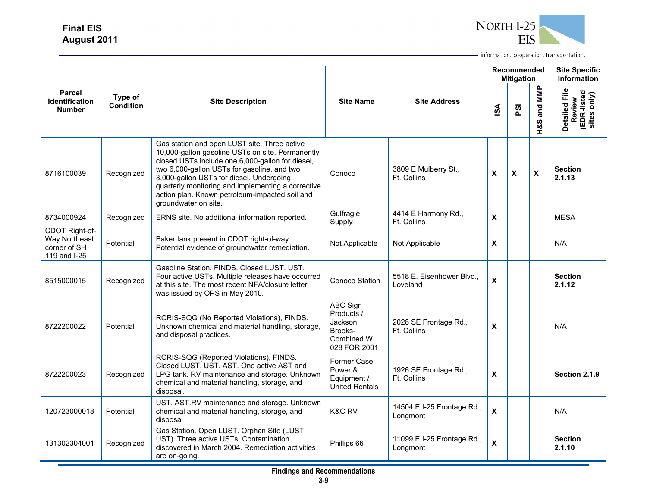

| Parcel<br>Identification<br><b>Number</b>                       | Type of<br><b>Condition</b> | <b>Site Description</b>                                                                                                                                                                                                                                                                                                                                                         | <b>Site Name</b>                                                                  | <b>Site Address</b>                    | Recommended<br><b>Mitigation</b> |           |                           | <b>Site Specific</b><br>Information                   |
|-----------------------------------------------------------------|-----------------------------|---------------------------------------------------------------------------------------------------------------------------------------------------------------------------------------------------------------------------------------------------------------------------------------------------------------------------------------------------------------------------------|-----------------------------------------------------------------------------------|----------------------------------------|----------------------------------|-----------|---------------------------|-------------------------------------------------------|
|                                                                 |                             |                                                                                                                                                                                                                                                                                                                                                                                 |                                                                                   |                                        | SA                               | <b>SQ</b> | H&S and MMP               | Detailed File<br>Review<br>(EDR-listed<br>sites only) |
| 8716100039                                                      | Recognized                  | Gas station and open LUST site. Three active<br>10,000-gallon gasoline USTs on site. Permanently<br>closed USTs include one 6,000-gallon for diesel,<br>two 6,000-gallon USTs for gasoline, and two<br>3,000-gallon USTs for diesel. Undergoing<br>quarterly monitoring and implementing a corrective<br>action plan. Known petroleum-impacted soil and<br>groundwater on site. | Conoco                                                                            | 3809 E Mulberry St.,<br>Ft. Collins    | X                                | X         | $\boldsymbol{\mathsf{x}}$ | <b>Section</b><br>2.1.13                              |
| 8734000924                                                      | Recognized                  | ERNS site. No additional information reported.                                                                                                                                                                                                                                                                                                                                  | Gulfragle<br>Supply                                                               | 4414 E Harmony Rd.,<br>Ft. Collins     | $\mathbf{x}$                     |           |                           | <b>MESA</b>                                           |
| CDOT Right-of-<br>Way Northeast<br>corner of SH<br>119 and I-25 | Potential                   | Baker tank present in CDOT right-of-way.<br>Potential evidence of groundwater remediation.                                                                                                                                                                                                                                                                                      | Not Applicable                                                                    | Not Applicable                         | X                                |           |                           | N/A                                                   |
| 8515000015                                                      | Recognized                  | Gasoline Station. FINDS. Closed LUST. UST.<br>Four active USTs. Multiple releases have occurred<br>at this site. The most recent NFA/closure letter<br>was issued by OPS in May 2010.                                                                                                                                                                                           | Conoco Station                                                                    | 5518 E. Eisenhower Blvd.,<br>Loveland  | $\boldsymbol{\mathsf{X}}$        |           |                           | Section<br>2.1.12                                     |
| 8722200022                                                      | Potential                   | RCRIS-SQG (No Reported Violations), FINDS.<br>Unknown chemical and material handling, storage,<br>and disposal practices.                                                                                                                                                                                                                                                       | <b>ABC Sign</b><br>Products /<br>Jackson<br>Brooks-<br>Combined W<br>028 FOR 2001 | 2028 SE Frontage Rd.,<br>Ft. Collins   | $\boldsymbol{\mathsf{x}}$        |           |                           | N/A                                                   |
| 8722200023                                                      | Recognized                  | RCRIS-SQG (Reported Violations), FINDS.<br>Closed LUST. UST. AST. One active AST and<br>LPG tank. RV maintenance and storage. Unknown<br>chemical and material handling, storage, and<br>disposal.                                                                                                                                                                              | Former Case<br>Power &<br>Equipment /<br><b>United Rentals</b>                    | 1926 SE Frontage Rd.,<br>Ft. Collins   | $\boldsymbol{\mathsf{x}}$        |           |                           | <b>Section 2.1.9</b>                                  |
| 120723000018                                                    | Potential                   | UST. AST.RV maintenance and storage. Unknown<br>chemical and material handling, storage, and<br>disposal                                                                                                                                                                                                                                                                        | <b>K&amp;C RV</b>                                                                 | 14504 E I-25 Frontage Rd.,<br>Longmont | $\boldsymbol{\mathsf{X}}$        |           |                           | N/A                                                   |
| 131302304001                                                    | Recognized                  | Gas Station. Open LUST. Orphan Site (LUST,<br>UST). Three active USTs. Contamination<br>discovered in March 2004. Remediation activities<br>are on-going.                                                                                                                                                                                                                       | Phillips 66                                                                       | 11099 E I-25 Frontage Rd.,<br>Longmont | $\boldsymbol{\mathsf{X}}$        |           |                           | <b>Section</b><br>2.1.10                              |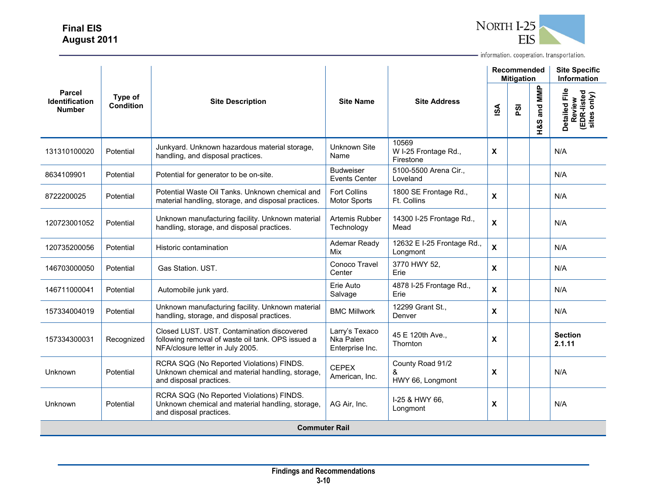

| <b>Parcel</b><br><b>Identification</b><br><b>Number</b> | Type of<br><b>Condition</b> | <b>Site Description</b>                                                                                                             | <b>Site Name</b>                               | <b>Site Address</b>                        | Recommended<br><b>Mitigation</b> |           |                                   | <b>Site Specific</b><br><b>Information</b>               |  |  |
|---------------------------------------------------------|-----------------------------|-------------------------------------------------------------------------------------------------------------------------------------|------------------------------------------------|--------------------------------------------|----------------------------------|-----------|-----------------------------------|----------------------------------------------------------|--|--|
|                                                         |                             |                                                                                                                                     |                                                |                                            | $\mathbf{S}$                     | <b>SQ</b> | <b>MMP</b><br>and<br>S<br>s∛<br>∓ | Detailed File<br>Review<br>(EDR-listed<br>only)<br>sites |  |  |
| 131310100020                                            | Potential                   | Junkyard. Unknown hazardous material storage,<br>handling, and disposal practices.                                                  | Unknown Site<br>Name                           | 10569<br>W I-25 Frontage Rd.,<br>Firestone | X                                |           |                                   | N/A                                                      |  |  |
| 8634109901                                              | Potential                   | Potential for generator to be on-site.                                                                                              | <b>Budweiser</b><br><b>Events Center</b>       | 5100-5500 Arena Cir.,<br>Loveland          |                                  |           |                                   | N/A                                                      |  |  |
| 8722200025                                              | Potential                   | Potential Waste Oil Tanks. Unknown chemical and<br>material handling, storage, and disposal practices.                              | <b>Fort Collins</b><br>Motor Sports            | 1800 SE Frontage Rd.,<br>Ft. Collins       | X                                |           |                                   | N/A                                                      |  |  |
| 120723001052                                            | Potential                   | Unknown manufacturing facility. Unknown material<br>handling, storage, and disposal practices.                                      | Artemis Rubber<br>Technology                   | 14300 I-25 Frontage Rd.,<br>Mead           | $\pmb{\mathsf{X}}$               |           |                                   | N/A                                                      |  |  |
| 120735200056                                            | Potential                   | Historic contamination                                                                                                              | Ademar Ready<br>Mix                            | 12632 E I-25 Frontage Rd.,<br>Longmont     | X                                |           |                                   | N/A                                                      |  |  |
| 146703000050                                            | Potential                   | Gas Station, UST.                                                                                                                   | Conoco Travel<br>Center                        | 3770 HWY 52,<br>Erie                       | X                                |           |                                   | N/A                                                      |  |  |
| 146711000041                                            | Potential                   | Automobile junk yard.                                                                                                               | Erie Auto<br>Salvage                           | 4878 I-25 Frontage Rd.,<br>Erie            | X                                |           |                                   | N/A                                                      |  |  |
| 157334004019                                            | Potential                   | Unknown manufacturing facility. Unknown material<br>handling, storage, and disposal practices.                                      | <b>BMC Millwork</b>                            | 12299 Grant St.,<br>Denver                 | X                                |           |                                   | N/A                                                      |  |  |
| 157334300031                                            | Recognized                  | Closed LUST, UST, Contamination discovered<br>following removal of waste oil tank. OPS issued a<br>NFA/closure letter in July 2005. | Larry's Texaco<br>Nka Palen<br>Enterprise Inc. | 45 E 120th Ave.,<br>Thornton               | X                                |           |                                   | <b>Section</b><br>2.1.11                                 |  |  |
| Unknown                                                 | Potential                   | RCRA SQG (No Reported Violations) FINDS.<br>Unknown chemical and material handling, storage,<br>and disposal practices.             | <b>CEPEX</b><br>American, Inc.                 | County Road 91/2<br>&<br>HWY 66, Longmont  | X                                |           |                                   | N/A                                                      |  |  |
| Unknown                                                 | Potential                   | RCRA SQG (No Reported Violations) FINDS.<br>Unknown chemical and material handling, storage,<br>and disposal practices.             | AG Air, Inc.                                   | I-25 & HWY 66.<br>Longmont                 | X                                |           |                                   | N/A                                                      |  |  |
| <b>Commuter Rail</b>                                    |                             |                                                                                                                                     |                                                |                                            |                                  |           |                                   |                                                          |  |  |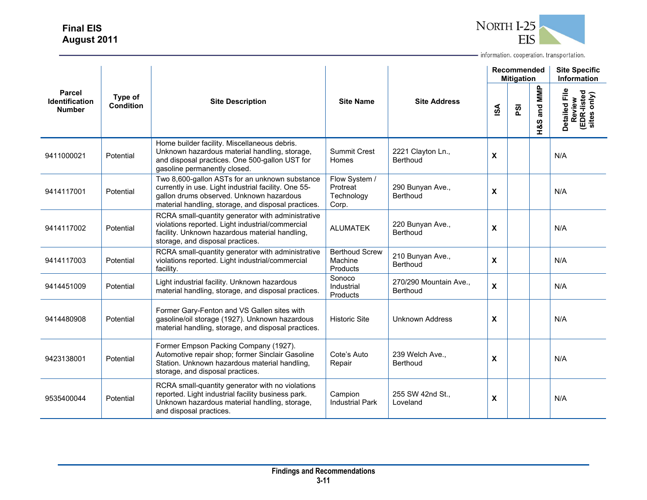

- information. cooperation. transportation.

|                                                  |                                                        |                                                                                                                                                                                                           |                                                  |                                    | Recommended<br><b>Mitigation</b> |            |                           | <b>Site Specific</b><br>Information                   |  |
|--------------------------------------------------|--------------------------------------------------------|-----------------------------------------------------------------------------------------------------------------------------------------------------------------------------------------------------------|--------------------------------------------------|------------------------------------|----------------------------------|------------|---------------------------|-------------------------------------------------------|--|
| <b>Parcel</b><br><b>Identification</b><br>Number | Type of<br><b>Site Description</b><br><b>Condition</b> |                                                                                                                                                                                                           | <b>Site Name</b>                                 | <b>Site Address</b>                | $\mathbf{S}$                     | <b>PSI</b> | and MMP<br><b>H&amp;S</b> | Detailed File<br>Review<br>(EDR-listed<br>sites only) |  |
| 9411000021                                       | Potential                                              | Home builder facility. Miscellaneous debris.<br>Unknown hazardous material handling, storage,<br>and disposal practices. One 500-gallon UST for<br>gasoline permanently closed.                           | <b>Summit Crest</b><br>Homes                     | 2221 Clayton Ln.,<br>Berthoud      | $\boldsymbol{\mathsf{x}}$        |            |                           | N/A                                                   |  |
| 9414117001                                       | Potential                                              | Two 8,600-gallon ASTs for an unknown substance<br>currently in use. Light industrial facility. One 55-<br>gallon drums observed. Unknown hazardous<br>material handling, storage, and disposal practices. | Flow System /<br>Protreat<br>Technology<br>Corp. | 290 Bunyan Ave.,<br>Berthoud       | $\boldsymbol{\mathsf{x}}$        |            |                           | N/A                                                   |  |
| 9414117002                                       | Potential                                              | RCRA small-quantity generator with administrative<br>violations reported. Light industrial/commercial<br>facility. Unknown hazardous material handling,<br>storage, and disposal practices.               | <b>ALUMATEK</b>                                  | 220 Bunyan Ave.,<br>Berthoud       | $\boldsymbol{\mathsf{x}}$        |            |                           | N/A                                                   |  |
| 9414117003                                       | Potential                                              | RCRA small-quantity generator with administrative<br>violations reported. Light industrial/commercial<br>facility.                                                                                        | <b>Berthoud Screw</b><br>Machine<br>Products     | 210 Bunyan Ave.,<br>Berthoud       | X                                |            |                           | N/A                                                   |  |
| 9414451009                                       | Potential                                              | Light industrial facility. Unknown hazardous<br>material handling, storage, and disposal practices.                                                                                                       | Sonoco<br>Industrial<br>Products                 | 270/290 Mountain Ave.,<br>Berthoud | $\boldsymbol{\mathsf{x}}$        |            |                           | N/A                                                   |  |
| 9414480908                                       | Potential                                              | Former Gary-Fenton and VS Gallen sites with<br>gasoline/oil storage (1927). Unknown hazardous<br>material handling, storage, and disposal practices.                                                      | <b>Historic Site</b>                             | <b>Unknown Address</b>             | $\mathbf{x}$                     |            |                           | N/A                                                   |  |
| 9423138001                                       | Potential                                              | Former Empson Packing Company (1927).<br>Automotive repair shop; former Sinclair Gasoline<br>Station. Unknown hazardous material handling,<br>storage, and disposal practices.                            | Cote's Auto<br>Repair                            | 239 Welch Ave.,<br>Berthoud        | X                                |            |                           | N/A                                                   |  |
| 9535400044                                       | Potential                                              | RCRA small-quantity generator with no violations<br>reported. Light industrial facility business park.<br>Unknown hazardous material handling, storage,<br>and disposal practices.                        | Campion<br><b>Industrial Park</b>                | 255 SW 42nd St.,<br>Loveland       | $\boldsymbol{\mathsf{X}}$        |            |                           | N/A                                                   |  |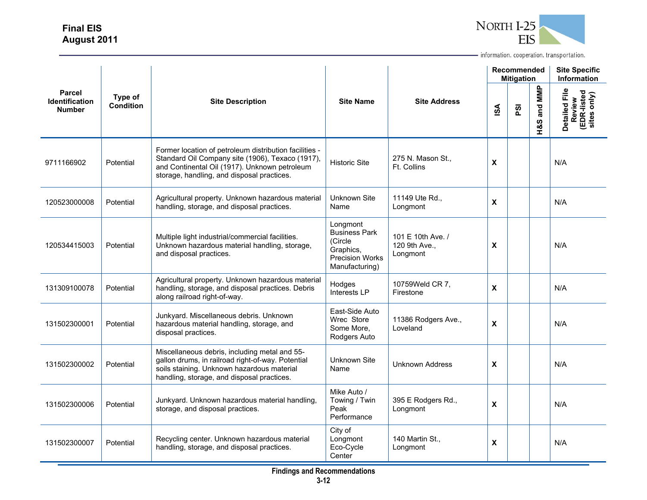

- information. cooperation. transportation.

|                                                  |                             |                                                                                                                                                                                                                                                                                        |                                                                                               |                             | Recommended<br><b>Mitigation</b> |           |                                     | <b>Site Specific</b><br>Information                   |
|--------------------------------------------------|-----------------------------|----------------------------------------------------------------------------------------------------------------------------------------------------------------------------------------------------------------------------------------------------------------------------------------|-----------------------------------------------------------------------------------------------|-----------------------------|----------------------------------|-----------|-------------------------------------|-------------------------------------------------------|
| Parcel<br><b>Identification</b><br><b>Number</b> | Type of<br><b>Condition</b> | <b>Site Description</b>                                                                                                                                                                                                                                                                | <b>Site Name</b>                                                                              | <b>Site Address</b>         | SA                               | <b>SQ</b> | <b>MMP</b><br>and<br><b>H&amp;S</b> | Detailed File<br>Review<br>(EDR-listed<br>sites only) |
| 9711166902                                       | Potential                   | Former location of petroleum distribution facilities -<br>Standard Oil Company site (1906), Texaco (1917),<br>and Continental Oil (1917). Unknown petroleum<br>storage, handling, and disposal practices.                                                                              | 275 N. Mason St.,<br><b>Historic Site</b><br>Ft. Collins                                      |                             | X                                |           |                                     | N/A                                                   |
| 120523000008                                     | Potential                   | Agricultural property. Unknown hazardous material<br>handling, storage, and disposal practices.                                                                                                                                                                                        | Unknown Site<br>11149 Ute Rd.,<br>Name<br>Longmont                                            |                             | X                                |           |                                     | N/A                                                   |
| 120534415003                                     | Potential                   | Longmont<br><b>Business Park</b><br>101 E 10th Ave. /<br>Multiple light industrial/commercial facilities.<br>(Circle<br>Unknown hazardous material handling, storage,<br>120 9th Ave.,<br>Graphics,<br>and disposal practices.<br>Longmont<br><b>Precision Works</b><br>Manufacturing) |                                                                                               | X                           |                                  |           | N/A                                 |                                                       |
| 131309100078                                     | Potential                   | Agricultural property. Unknown hazardous material<br>Hodges<br>10759Weld CR 7,<br>handling, storage, and disposal practices. Debris<br>Interests LP<br>Firestone<br>along railroad right-of-way.                                                                                       |                                                                                               | X                           |                                  |           | N/A                                 |                                                       |
| 131502300001                                     | Potential                   | Junkyard. Miscellaneous debris. Unknown<br>hazardous material handling, storage, and<br>disposal practices.                                                                                                                                                                            | East-Side Auto<br>Wrec Store<br>11386 Rodgers Ave.,<br>Some More,<br>Loveland<br>Rodgers Auto |                             | X                                |           |                                     | N/A                                                   |
| 131502300002                                     | Potential                   | Miscellaneous debris, including metal and 55-<br>gallon drums, in railroad right-of-way. Potential<br>soils staining. Unknown hazardous material<br>handling, storage, and disposal practices.                                                                                         | Unknown Site<br>Name                                                                          | <b>Unknown Address</b>      | X                                |           |                                     | N/A                                                   |
| 131502300006                                     | Potential                   | Junkyard. Unknown hazardous material handling,<br>storage, and disposal practices.                                                                                                                                                                                                     | Mike Auto /<br>Towing / Twin<br>395 E Rodgers Rd.,<br>Peak<br>Longmont<br>Performance         |                             | X                                |           |                                     | N/A                                                   |
| 131502300007                                     | Potential                   | Recycling center. Unknown hazardous material<br>handling, storage, and disposal practices.                                                                                                                                                                                             | City of<br>Longmont<br>Eco-Cycle<br>Center                                                    | 140 Martin St.,<br>Longmont | X                                |           |                                     | N/A                                                   |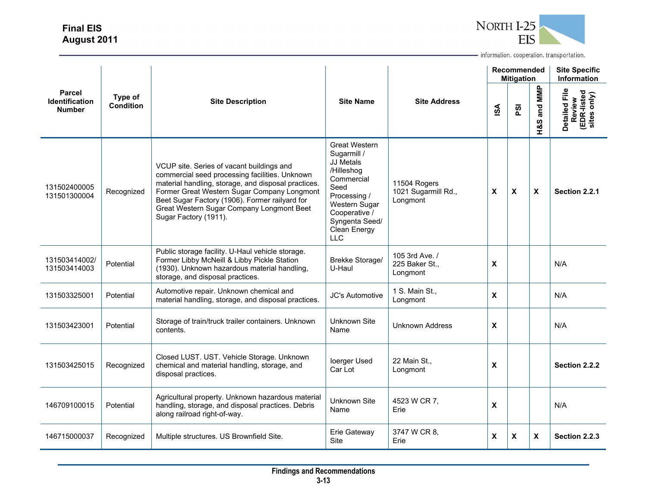

- information. cooperation. transportation.

|                                                  |                      |                                                                                                                                                                                                                                                                                                                           |                                                                                                                                                                                        |                                                 | Recommended<br><b>Mitigation</b> |     |                           | <b>Site Specific</b><br>Information                   |
|--------------------------------------------------|----------------------|---------------------------------------------------------------------------------------------------------------------------------------------------------------------------------------------------------------------------------------------------------------------------------------------------------------------------|----------------------------------------------------------------------------------------------------------------------------------------------------------------------------------------|-------------------------------------------------|----------------------------------|-----|---------------------------|-------------------------------------------------------|
| <b>Parcel</b><br>Identification<br><b>Number</b> | Type of<br>Condition | <b>Site Description</b>                                                                                                                                                                                                                                                                                                   |                                                                                                                                                                                        | <b>Site Address</b>                             | ISA                              | PSI | and MMP<br><b>H&amp;S</b> | Detailed File<br>Review<br>(EDR-listed<br>sites only) |
| 131502400005<br>131501300004                     | Recognized           | VCUP site. Series of vacant buildings and<br>commercial seed processing facilities. Unknown<br>material handling, storage, and disposal practices.<br>Former Great Western Sugar Company Longmont<br>Beet Sugar Factory (1906). Former railyard for<br>Great Western Sugar Company Longmont Beet<br>Sugar Factory (1911). | <b>Great Western</b><br>Sugarmill /<br>JJ Metals<br>/Hilleshog<br>Commercial<br>Seed<br>Processing /<br>Western Sugar<br>Cooperative /<br>Syngenta Seed/<br>Clean Energy<br><b>LLC</b> | 11504 Rogers<br>1021 Sugarmill Rd.,<br>Longmont | X                                | X   | $\boldsymbol{\mathsf{x}}$ | Section 2.2.1                                         |
| 131503414002/<br>131503414003                    | Potential            | Public storage facility. U-Haul vehicle storage.<br>105 3rd Ave. /<br>Former Libby McNeill & Libby Pickle Station<br>Brekke Storage/<br>225 Baker St.,<br>(1930). Unknown hazardous material handling,<br>U-Haul<br>Longmont<br>storage, and disposal practices.                                                          |                                                                                                                                                                                        | X                                               |                                  |     | N/A                       |                                                       |
| 131503325001                                     | Potential            | Automotive repair. Unknown chemical and<br>material handling, storage, and disposal practices.                                                                                                                                                                                                                            | 1 S. Main St.,<br>JC's Automotive<br>Longmont                                                                                                                                          |                                                 | X                                |     |                           | N/A                                                   |
| 131503423001                                     | Potential            | <b>Unknown Site</b><br>Storage of train/truck trailer containers. Unknown<br><b>Unknown Address</b><br>contents.<br>Name                                                                                                                                                                                                  |                                                                                                                                                                                        | X                                               |                                  |     | N/A                       |                                                       |
| 131503425015                                     | Recognized           | Closed LUST. UST. Vehicle Storage. Unknown<br>chemical and material handling, storage, and<br>disposal practices.                                                                                                                                                                                                         | loerger Used<br>Car Lot                                                                                                                                                                | 22 Main St.,<br>Longmont                        | $\boldsymbol{\mathsf{x}}$        |     |                           | Section 2.2.2                                         |
| 146709100015                                     | Potential            | Agricultural property. Unknown hazardous material<br>Unknown Site<br>4523 W CR 7,<br>handling, storage, and disposal practices. Debris<br>Name<br>Erie<br>along railroad right-of-way.                                                                                                                                    |                                                                                                                                                                                        | X                                               |                                  |     | N/A                       |                                                       |
| 146715000037                                     | Recognized           | Multiple structures. US Brownfield Site.                                                                                                                                                                                                                                                                                  | Erie Gateway<br>Site                                                                                                                                                                   | 3747 W CR 8,<br>Erie                            | $\boldsymbol{\mathsf{x}}$        | X   | $\boldsymbol{\mathsf{x}}$ | Section 2.2.3                                         |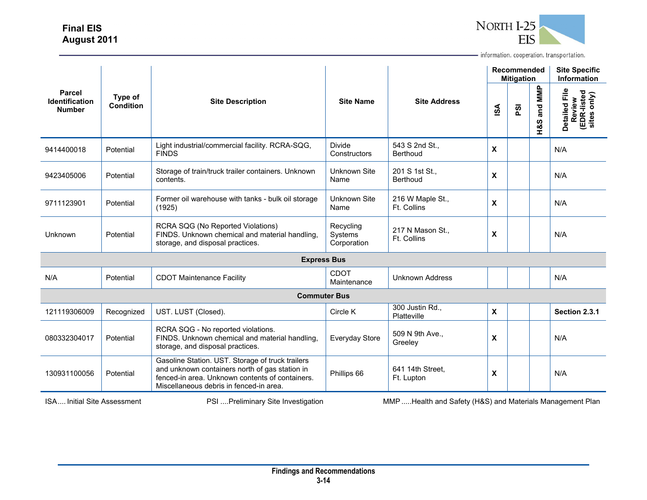

- information. cooperation. transportation.

| <b>Parcel</b><br>Type of<br><b>Identification</b><br><b>Site Description</b><br><b>Condition</b><br><b>Number</b> |            |                                                                                                                                                                                                   |                                               |                                | Recommended<br><b>Mitigation</b> |                           | <b>Site Specific</b><br>Information                   |               |
|-------------------------------------------------------------------------------------------------------------------|------------|---------------------------------------------------------------------------------------------------------------------------------------------------------------------------------------------------|-----------------------------------------------|--------------------------------|----------------------------------|---------------------------|-------------------------------------------------------|---------------|
|                                                                                                                   |            | <b>Site Name</b>                                                                                                                                                                                  | <b>Site Address</b>                           | $\mathsf{S}$                   | <b>Sal</b>                       | and MMP<br><b>H&amp;S</b> | Detailed File<br>Review<br>(EDR-listed<br>sites only) |               |
| 9414400018                                                                                                        | Potential  | Light industrial/commercial facility. RCRA-SQG,<br><b>FINDS</b>                                                                                                                                   | <b>Divide</b><br>Constructors                 | 543 S 2nd St.,<br>Berthoud     | X                                |                           |                                                       | N/A           |
| 9423405006                                                                                                        | Potential  | Storage of train/truck trailer containers. Unknown<br>contents.                                                                                                                                   | Unknown Site<br>Name                          | 201 S 1st St.,<br>Berthoud     | X                                |                           |                                                       | N/A           |
| 9711123901                                                                                                        | Potential  | Unknown Site<br>Former oil warehouse with tanks - bulk oil storage<br>216 W Maple St.,<br>(1925)<br>Ft. Collins<br>Name                                                                           |                                               | X                              |                                  |                           | N/A                                                   |               |
| Unknown                                                                                                           | Potential  | RCRA SQG (No Reported Violations)<br>Recycling<br>217 N Mason St.,<br>FINDS. Unknown chemical and material handling,<br>Systems<br>Ft. Collins<br>storage, and disposal practices.<br>Corporation |                                               |                                |                                  |                           |                                                       | N/A           |
|                                                                                                                   |            | <b>Express Bus</b>                                                                                                                                                                                |                                               |                                |                                  |                           |                                                       |               |
| N/A                                                                                                               | Potential  | <b>CDOT Maintenance Facility</b>                                                                                                                                                                  | <b>CDOT</b><br>Maintenance                    | <b>Unknown Address</b>         |                                  |                           |                                                       | N/A           |
|                                                                                                                   |            | <b>Commuter Bus</b>                                                                                                                                                                               |                                               |                                |                                  |                           |                                                       |               |
| 121119306009                                                                                                      | Recognized | UST. LUST (Closed).                                                                                                                                                                               | Circle K                                      | 300 Justin Rd.,<br>Platteville | X                                |                           |                                                       | Section 2.3.1 |
| 080332304017                                                                                                      | Potential  | RCRA SQG - No reported violations.<br>FINDS. Unknown chemical and material handling,<br>storage, and disposal practices.                                                                          | 509 N 9th Ave.,<br>Everyday Store<br>Greeley  |                                | X                                |                           |                                                       | N/A           |
| 130931100056                                                                                                      | Potential  | Gasoline Station. UST. Storage of truck trailers<br>and unknown containers north of gas station in<br>fenced-in area. Unknown contents of containers.<br>Miscellaneous debris in fenced-in area.  | 641 14th Street.<br>Phillips 66<br>Ft. Lupton |                                | $\pmb{\mathsf{x}}$               |                           |                                                       | N/A           |

ISA.... Initial Site Assessment **PSI .... Preliminary Site Investigation** MMP ..... Health and Safety (H&S) and Materials Management Plan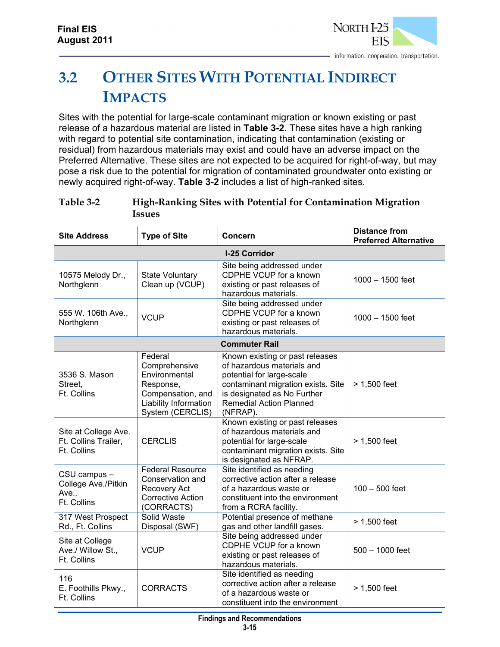

# **3.2 OTHER SITES WITH POTENTIAL INDIRECT IMPACTS**

Sites with the potential for large-scale contaminant migration or known existing or past release of a hazardous material are listed in **Table 3-2**. These sites have a high ranking with regard to potential site contamination, indicating that contamination (existing or residual) from hazardous materials may exist and could have an adverse impact on the Preferred Alternative. These sites are not expected to be acquired for right-of-way, but may pose a risk due to the potential for migration of contaminated groundwater onto existing or newly acquired right-of-way. **Table 3-2** includes a list of high-ranked sites.

### **Table 3-2 High-Ranking Sites with Potential for Contamination Migration Issues**

| <b>Type of Site</b><br><b>Site Address</b><br>Concern       |                                                                                                                          |                                                                                                                                                                                                               | <b>Distance from</b><br><b>Preferred Alternative</b> |  |  |  |  |
|-------------------------------------------------------------|--------------------------------------------------------------------------------------------------------------------------|---------------------------------------------------------------------------------------------------------------------------------------------------------------------------------------------------------------|------------------------------------------------------|--|--|--|--|
|                                                             |                                                                                                                          | <b>I-25 Corridor</b>                                                                                                                                                                                          |                                                      |  |  |  |  |
| 10575 Melody Dr.,<br>Northglenn                             | <b>State Voluntary</b><br>Clean up (VCUP)                                                                                | Site being addressed under<br>CDPHE VCUP for a known<br>existing or past releases of<br>hazardous materials.                                                                                                  | $1000 - 1500$ feet                                   |  |  |  |  |
| 555 W. 106th Ave.,<br>Northglenn                            | <b>VCUP</b>                                                                                                              | Site being addressed under<br>CDPHE VCUP for a known<br>existing or past releases of<br>hazardous materials.                                                                                                  | $1000 - 1500$ feet                                   |  |  |  |  |
| <b>Commuter Rail</b>                                        |                                                                                                                          |                                                                                                                                                                                                               |                                                      |  |  |  |  |
| 3536 S. Mason<br>Street.<br>Ft. Collins                     | Federal<br>Comprehensive<br>Environmental<br>Response,<br>Compensation, and<br>Liability Information<br>System (CERCLIS) | Known existing or past releases<br>of hazardous materials and<br>potential for large-scale<br>contaminant migration exists. Site<br>is designated as No Further<br><b>Remedial Action Planned</b><br>(NFRAP). | $> 1,500$ feet                                       |  |  |  |  |
| Site at College Ave.<br>Ft. Collins Trailer,<br>Ft. Collins | <b>CERCLIS</b>                                                                                                           | Known existing or past releases<br>of hazardous materials and<br>potential for large-scale<br>contaminant migration exists. Site<br>is designated as NFRAP.                                                   | $> 1,500$ feet                                       |  |  |  |  |
| CSU campus -<br>College Ave./Pitkin<br>Ave.,<br>Ft. Collins | <b>Federal Resource</b><br>Conservation and<br>Recovery Act<br><b>Corrective Action</b><br>(CORRACTS)                    | Site identified as needing<br>corrective action after a release<br>of a hazardous waste or<br>constituent into the environment<br>from a RCRA facility.                                                       | $100 - 500$ feet                                     |  |  |  |  |
| 317 West Prospect<br>Rd., Ft. Collins                       | Solid Waste<br>Disposal (SWF)                                                                                            | Potential presence of methane<br>gas and other landfill gases.                                                                                                                                                | $> 1,500$ feet                                       |  |  |  |  |
| Site at College<br>Ave./ Willow St.,<br>Ft. Collins         | <b>VCUP</b>                                                                                                              | Site being addressed under<br>CDPHE VCUP for a known<br>existing or past releases of<br>hazardous materials.                                                                                                  | 500 - 1000 feet                                      |  |  |  |  |
| 116<br>E. Foothills Pkwy.,<br>Ft. Collins                   | <b>CORRACTS</b>                                                                                                          | Site identified as needing<br>corrective action after a release<br>of a hazardous waste or<br>constituent into the environment                                                                                | $> 1,500$ feet                                       |  |  |  |  |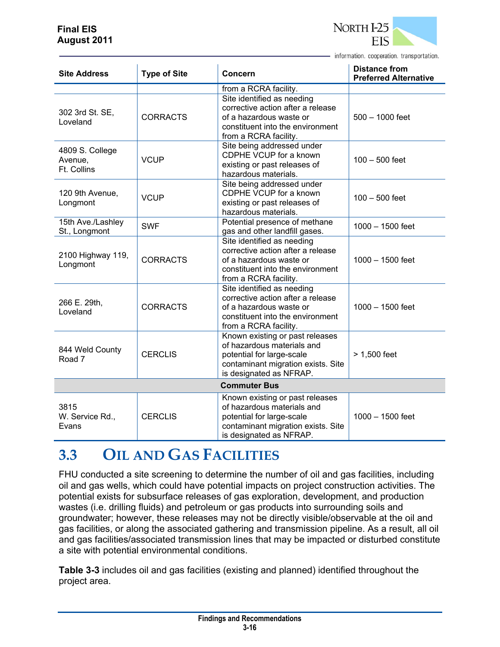

information, cooperation, transportation,

| <b>Site Address</b>                       | <b>Type of Site</b> | Concern                                                                                                                                                     | <b>Distance from</b><br><b>Preferred Alternative</b> |
|-------------------------------------------|---------------------|-------------------------------------------------------------------------------------------------------------------------------------------------------------|------------------------------------------------------|
|                                           |                     | from a RCRA facility.                                                                                                                                       |                                                      |
| 302 3rd St. SE,<br>Loveland               | <b>CORRACTS</b>     | Site identified as needing<br>corrective action after a release<br>of a hazardous waste or<br>constituent into the environment<br>from a RCRA facility.     | $500 - 1000$ feet                                    |
| 4809 S. College<br>Avenue,<br>Ft. Collins | <b>VCUP</b>         | Site being addressed under<br>CDPHE VCUP for a known<br>existing or past releases of<br>hazardous materials.                                                | $100 - 500$ feet                                     |
| 120 9th Avenue,<br>Longmont               | <b>VCUP</b>         | Site being addressed under<br>CDPHE VCUP for a known<br>existing or past releases of<br>hazardous materials.                                                | $100 - 500$ feet                                     |
| 15th Ave./Lashley<br>St., Longmont        | <b>SWF</b>          | Potential presence of methane<br>gas and other landfill gases.                                                                                              | $1000 - 1500$ feet                                   |
| 2100 Highway 119,<br>Longmont             | <b>CORRACTS</b>     | Site identified as needing<br>corrective action after a release<br>of a hazardous waste or<br>constituent into the environment<br>from a RCRA facility.     | $1000 - 1500$ feet                                   |
| 266 E. 29th,<br>Loveland                  | <b>CORRACTS</b>     | Site identified as needing<br>corrective action after a release<br>of a hazardous waste or<br>constituent into the environment<br>from a RCRA facility.     | $1000 - 1500$ feet                                   |
| 844 Weld County<br>Road 7                 | <b>CERCLIS</b>      | Known existing or past releases<br>of hazardous materials and<br>potential for large-scale<br>contaminant migration exists. Site<br>is designated as NFRAP. | $> 1,500$ feet                                       |
|                                           |                     | <b>Commuter Bus</b>                                                                                                                                         |                                                      |
| 3815<br>W. Service Rd.,<br>Evans          | <b>CERCLIS</b>      | Known existing or past releases<br>of hazardous materials and<br>potential for large-scale<br>contaminant migration exists. Site<br>is designated as NFRAP. | $1000 - 1500$ feet                                   |

# **3.3 OIL AND GAS FACILITIES**

FHU conducted a site screening to determine the number of oil and gas facilities, including oil and gas wells, which could have potential impacts on project construction activities. The potential exists for subsurface releases of gas exploration, development, and production wastes (i.e. drilling fluids) and petroleum or gas products into surrounding soils and groundwater; however, these releases may not be directly visible/observable at the oil and gas facilities, or along the associated gathering and transmission pipeline. As a result, all oil and gas facilities/associated transmission lines that may be impacted or disturbed constitute a site with potential environmental conditions.

**Table 3-3** includes oil and gas facilities (existing and planned) identified throughout the project area.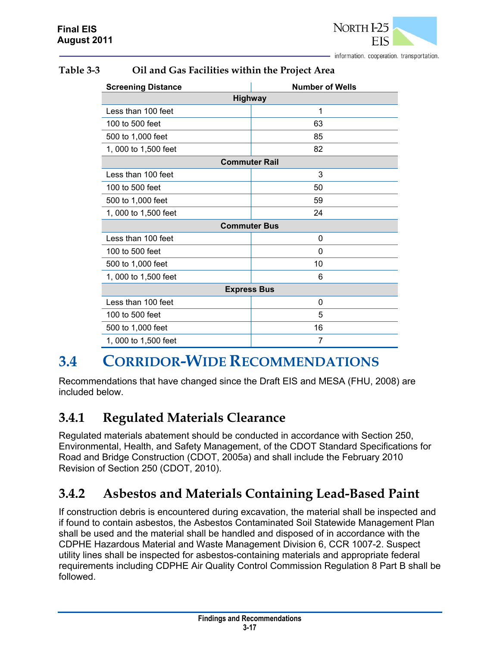

### **Table 3-3 Oil and Gas Facilities within the Project Area**

| <b>Screening Distance</b> | <b>Number of Wells</b> |  |  |  |  |  |  |
|---------------------------|------------------------|--|--|--|--|--|--|
| <b>Highway</b>            |                        |  |  |  |  |  |  |
| Less than 100 feet        | 1                      |  |  |  |  |  |  |
| 100 to 500 feet           | 63                     |  |  |  |  |  |  |
| 500 to 1,000 feet         | 85                     |  |  |  |  |  |  |
| 82<br>1,000 to 1,500 feet |                        |  |  |  |  |  |  |
| <b>Commuter Rail</b>      |                        |  |  |  |  |  |  |
| Less than 100 feet        | 3                      |  |  |  |  |  |  |
| 100 to 500 feet           | 50                     |  |  |  |  |  |  |
| 500 to 1,000 feet         | 59                     |  |  |  |  |  |  |
| 1, 000 to 1,500 feet      | 24                     |  |  |  |  |  |  |
| <b>Commuter Bus</b>       |                        |  |  |  |  |  |  |
| Less than 100 feet        | $\mathbf{0}$           |  |  |  |  |  |  |
| 100 to 500 feet           | 0                      |  |  |  |  |  |  |
| 500 to 1,000 feet         | 10                     |  |  |  |  |  |  |
| 1,000 to 1,500 feet       | 6                      |  |  |  |  |  |  |
| <b>Express Bus</b>        |                        |  |  |  |  |  |  |
| Less than 100 feet        | $\mathbf{0}$           |  |  |  |  |  |  |
| 100 to 500 feet           | 5                      |  |  |  |  |  |  |
| 500 to 1,000 feet         | 16                     |  |  |  |  |  |  |
| 1, 000 to 1,500 feet      | 7                      |  |  |  |  |  |  |

# **3.4 CORRIDOR-WIDE RECOMMENDATIONS**

Recommendations that have changed since the Draft EIS and MESA (FHU, 2008) are included below.

## **3.4.1 Regulated Materials Clearance**

Regulated materials abatement should be conducted in accordance with Section 250, Environmental, Health, and Safety Management, of the CDOT Standard Specifications for Road and Bridge Construction (CDOT, 2005a) and shall include the February 2010 Revision of Section 250 (CDOT, 2010).

## **3.4.2 Asbestos and Materials Containing Lead-Based Paint**

If construction debris is encountered during excavation, the material shall be inspected and if found to contain asbestos, the Asbestos Contaminated Soil Statewide Management Plan shall be used and the material shall be handled and disposed of in accordance with the CDPHE Hazardous Material and Waste Management Division 6, CCR 1007-2. Suspect utility lines shall be inspected for asbestos-containing materials and appropriate federal requirements including CDPHE Air Quality Control Commission Regulation 8 Part B shall be followed.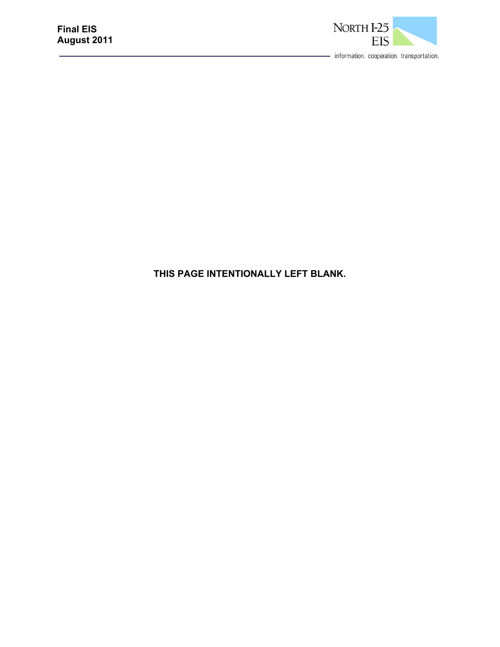

- information. cooperation. transportation.

### **THIS PAGE INTENTIONALLY LEFT BLANK.**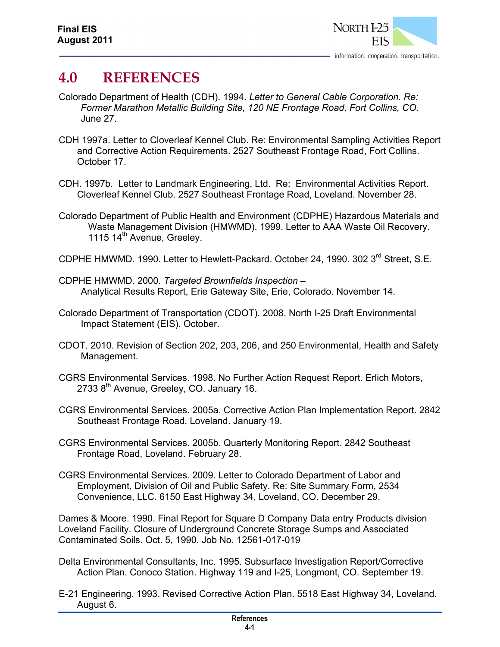

# **4.0 REFERENCES**

- Colorado Department of Health (CDH). 1994. *Letter to General Cable Corporation. Re: Former Marathon Metallic Building Site, 120 NE Frontage Road, Fort Collins, CO.*  June 27.
- CDH 1997a. Letter to Cloverleaf Kennel Club. Re: Environmental Sampling Activities Report and Corrective Action Requirements. 2527 Southeast Frontage Road, Fort Collins. October 17.
- CDH. 1997b. Letter to Landmark Engineering, Ltd. Re: Environmental Activities Report. Cloverleaf Kennel Club. 2527 Southeast Frontage Road, Loveland. November 28.
- Colorado Department of Public Health and Environment (CDPHE) Hazardous Materials and Waste Management Division (HMWMD). 1999. Letter to AAA Waste Oil Recovery. 1115 14<sup>th</sup> Avenue, Greeley.
- CDPHE HMWMD. 1990. Letter to Hewlett-Packard. October 24, 1990. 302 3rd Street, S.E.
- CDPHE HMWMD. 2000. *Targeted Brownfields Inspection –* Analytical Results Report, Erie Gateway Site, Erie, Colorado. November 14.
- Colorado Department of Transportation (CDOT). 2008. North I-25 Draft Environmental Impact Statement (EIS). October.
- CDOT. 2010. Revision of Section 202, 203, 206, and 250 Environmental, Health and Safety Management.
- CGRS Environmental Services. 1998. No Further Action Request Report. Erlich Motors, 2733 8<sup>th</sup> Avenue, Greeley, CO. January 16.
- CGRS Environmental Services. 2005a. Corrective Action Plan Implementation Report. 2842 Southeast Frontage Road, Loveland. January 19.
- CGRS Environmental Services. 2005b. Quarterly Monitoring Report. 2842 Southeast Frontage Road, Loveland. February 28.
- CGRS Environmental Services. 2009. Letter to Colorado Department of Labor and Employment, Division of Oil and Public Safety. Re: Site Summary Form, 2534 Convenience, LLC. 6150 East Highway 34, Loveland, CO. December 29.

Dames & Moore. 1990. Final Report for Square D Company Data entry Products division Loveland Facility. Closure of Underground Concrete Storage Sumps and Associated Contaminated Soils. Oct. 5, 1990. Job No. 12561-017-019

- Delta Environmental Consultants, Inc. 1995. Subsurface Investigation Report/Corrective Action Plan. Conoco Station. Highway 119 and I-25, Longmont, CO. September 19.
- E-21 Engineering. 1993. Revised Corrective Action Plan. 5518 East Highway 34, Loveland. August 6.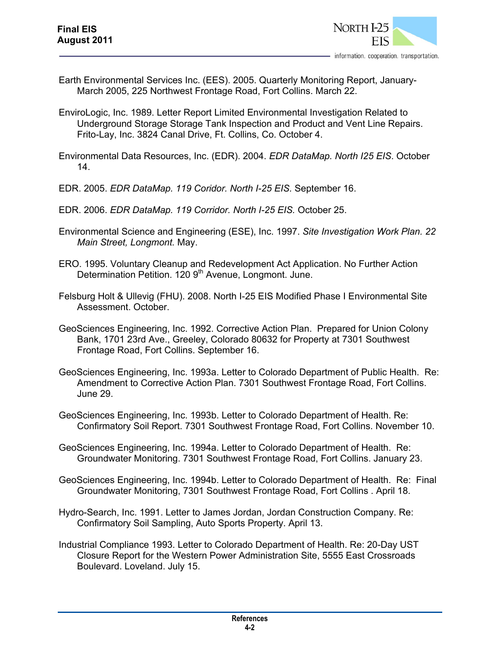

- Earth Environmental Services Inc. (EES). 2005. Quarterly Monitoring Report, January-March 2005, 225 Northwest Frontage Road, Fort Collins. March 22.
- EnviroLogic, Inc. 1989. Letter Report Limited Environmental Investigation Related to Underground Storage Storage Tank Inspection and Product and Vent Line Repairs. Frito-Lay, Inc. 3824 Canal Drive, Ft. Collins, Co. October 4.
- Environmental Data Resources, Inc. (EDR). 2004. *EDR DataMap. North I25 EIS*. October 14.
- EDR. 2005. *EDR DataMap. 119 Coridor. North I-25 EIS.* September 16.
- EDR. 2006. *EDR DataMap. 119 Corridor. North I-25 EIS.* October 25.
- Environmental Science and Engineering (ESE), Inc. 1997. *Site Investigation Work Plan. 22 Main Street, Longmont.* May.
- ERO. 1995. Voluntary Cleanup and Redevelopment Act Application. No Further Action Determination Petition. 120 9<sup>th</sup> Avenue, Longmont. June.
- Felsburg Holt & Ullevig (FHU). 2008. North I-25 EIS Modified Phase I Environmental Site Assessment. October.
- GeoSciences Engineering, Inc. 1992. Corrective Action Plan. Prepared for Union Colony Bank, 1701 23rd Ave., Greeley, Colorado 80632 for Property at 7301 Southwest Frontage Road, Fort Collins. September 16.
- GeoSciences Engineering, Inc. 1993a. Letter to Colorado Department of Public Health. Re: Amendment to Corrective Action Plan. 7301 Southwest Frontage Road, Fort Collins. June 29.
- GeoSciences Engineering, Inc. 1993b. Letter to Colorado Department of Health. Re: Confirmatory Soil Report. 7301 Southwest Frontage Road, Fort Collins. November 10.
- GeoSciences Engineering, Inc. 1994a. Letter to Colorado Department of Health. Re: Groundwater Monitoring. 7301 Southwest Frontage Road, Fort Collins. January 23.
- GeoSciences Engineering, Inc. 1994b. Letter to Colorado Department of Health. Re: Final Groundwater Monitoring, 7301 Southwest Frontage Road, Fort Collins . April 18.
- Hydro-Search, Inc. 1991. Letter to James Jordan, Jordan Construction Company. Re: Confirmatory Soil Sampling, Auto Sports Property. April 13.
- Industrial Compliance 1993. Letter to Colorado Department of Health. Re: 20-Day UST Closure Report for the Western Power Administration Site, 5555 East Crossroads Boulevard. Loveland. July 15.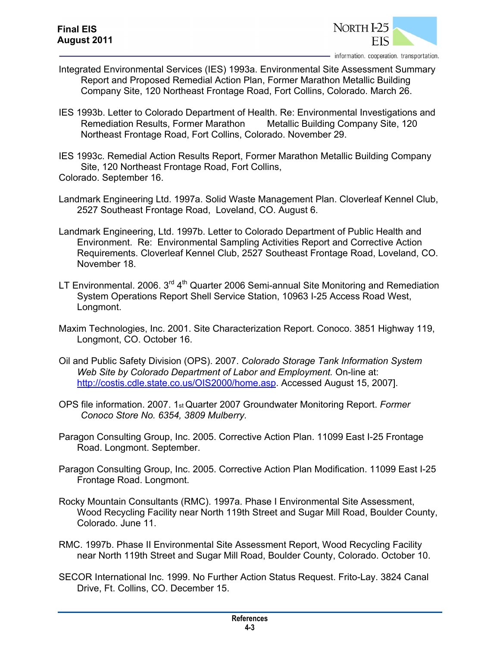

- Integrated Environmental Services (IES) 1993a. Environmental Site Assessment Summary Report and Proposed Remedial Action Plan, Former Marathon Metallic Building Company Site, 120 Northeast Frontage Road, Fort Collins, Colorado. March 26.
- IES 1993b. Letter to Colorado Department of Health. Re: Environmental Investigations and Remediation Results, Former Marathon Metallic Building Company Site, 120 Northeast Frontage Road, Fort Collins, Colorado. November 29.
- IES 1993c. Remedial Action Results Report, Former Marathon Metallic Building Company Site, 120 Northeast Frontage Road, Fort Collins, Colorado. September 16.
- Landmark Engineering Ltd. 1997a. Solid Waste Management Plan. Cloverleaf Kennel Club, 2527 Southeast Frontage Road, Loveland, CO. August 6.
- Landmark Engineering, Ltd. 1997b. Letter to Colorado Department of Public Health and Environment. Re: Environmental Sampling Activities Report and Corrective Action Requirements. Cloverleaf Kennel Club, 2527 Southeast Frontage Road, Loveland, CO. November 18.
- LT Environmental. 2006.  $3<sup>rd</sup> 4<sup>th</sup>$  Quarter 2006 Semi-annual Site Monitoring and Remediation System Operations Report Shell Service Station, 10963 I-25 Access Road West, Longmont.
- Maxim Technologies, Inc. 2001. Site Characterization Report. Conoco. 3851 Highway 119, Longmont, CO. October 16.
- Oil and Public Safety Division (OPS). 2007. *Colorado Storage Tank Information System Web Site by Colorado Department of Labor and Employment.* On-line at: http://costis.cdle.state.co.us/OIS2000/home.asp. Accessed August 15, 2007].
- OPS file information. 2007. 1st Quarter 2007 Groundwater Monitoring Report. *Former Conoco Store No. 6354, 3809 Mulberry.*
- Paragon Consulting Group, Inc. 2005. Corrective Action Plan. 11099 East I-25 Frontage Road. Longmont. September.
- Paragon Consulting Group, Inc. 2005. Corrective Action Plan Modification. 11099 East I-25 Frontage Road. Longmont.
- Rocky Mountain Consultants (RMC). 1997a. Phase I Environmental Site Assessment, Wood Recycling Facility near North 119th Street and Sugar Mill Road, Boulder County, Colorado. June 11.
- RMC. 1997b. Phase II Environmental Site Assessment Report, Wood Recycling Facility near North 119th Street and Sugar Mill Road, Boulder County, Colorado. October 10.
- SECOR International Inc. 1999. No Further Action Status Request. Frito-Lay. 3824 Canal Drive, Ft. Collins, CO. December 15.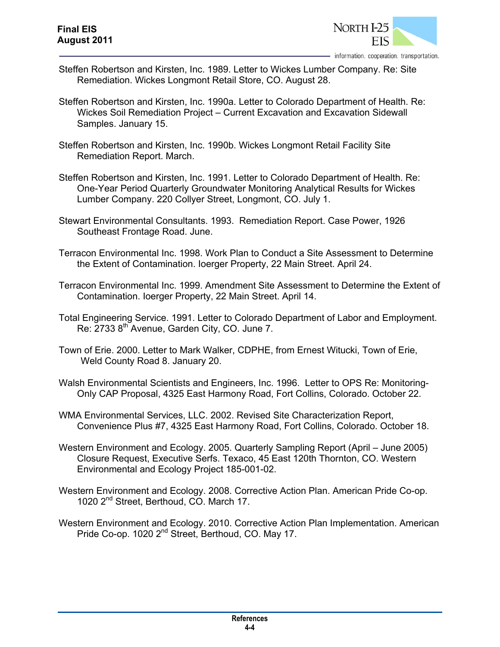

- Steffen Robertson and Kirsten, Inc. 1989. Letter to Wickes Lumber Company. Re: Site Remediation. Wickes Longmont Retail Store, CO. August 28.
- Steffen Robertson and Kirsten, Inc. 1990a. Letter to Colorado Department of Health. Re: Wickes Soil Remediation Project – Current Excavation and Excavation Sidewall Samples. January 15.
- Steffen Robertson and Kirsten, Inc. 1990b. Wickes Longmont Retail Facility Site Remediation Report. March.
- Steffen Robertson and Kirsten, Inc. 1991. Letter to Colorado Department of Health. Re: One-Year Period Quarterly Groundwater Monitoring Analytical Results for Wickes Lumber Company. 220 Collyer Street, Longmont, CO. July 1.
- Stewart Environmental Consultants. 1993. Remediation Report. Case Power, 1926 Southeast Frontage Road. June.
- Terracon Environmental Inc. 1998. Work Plan to Conduct a Site Assessment to Determine the Extent of Contamination. Ioerger Property, 22 Main Street. April 24.
- Terracon Environmental Inc. 1999. Amendment Site Assessment to Determine the Extent of Contamination. Ioerger Property, 22 Main Street. April 14.
- Total Engineering Service. 1991. Letter to Colorado Department of Labor and Employment. Re: 2733 8<sup>th Avenue, Garden City, CO. June 7.</sup>
- Town of Erie. 2000. Letter to Mark Walker, CDPHE, from Ernest Witucki, Town of Erie, Weld County Road 8. January 20.
- Walsh Environmental Scientists and Engineers, Inc. 1996. Letter to OPS Re: Monitoring-Only CAP Proposal, 4325 East Harmony Road, Fort Collins, Colorado. October 22.
- WMA Environmental Services, LLC. 2002. Revised Site Characterization Report, Convenience Plus #7, 4325 East Harmony Road, Fort Collins, Colorado. October 18.
- Western Environment and Ecology. 2005. Quarterly Sampling Report (April June 2005) Closure Request, Executive Serfs. Texaco, 45 East 120th Thornton, CO. Western Environmental and Ecology Project 185-001-02.
- Western Environment and Ecology. 2008. Corrective Action Plan. American Pride Co-op. 1020 2<sup>nd</sup> Street, Berthoud, CO. March 17.
- Western Environment and Ecology. 2010. Corrective Action Plan Implementation. American Pride Co-op. 1020 2<sup>nd</sup> Street, Berthoud, CO. May 17.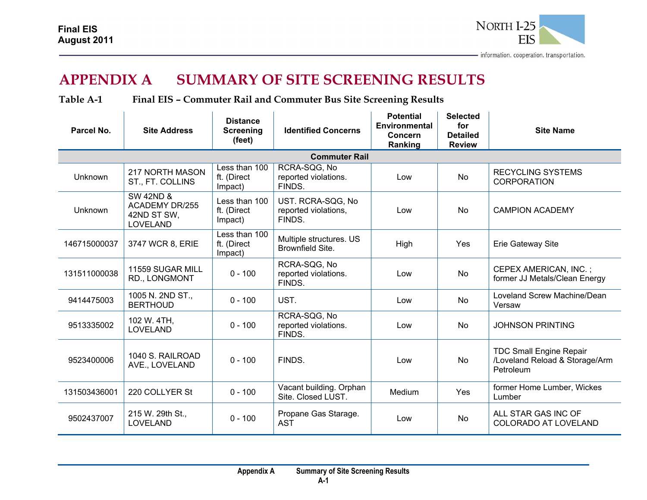

# **APPENDIX A SUMMARY OF SITE SCREENING RESULTS**

### **Table A-1 Final EIS – Commuter Rail and Commuter Bus Site Screening Results**

| Parcel No.   | <b>Site Address</b>                                                             | <b>Distance</b><br><b>Screening</b><br>(feet) | <b>Identified Concerns</b>                          | <b>Potential</b><br>Environmental<br><b>Concern</b><br>Ranking | <b>Selected</b><br>for<br><b>Detailed</b><br><b>Review</b> | <b>Site Name</b>                                                              |  |  |  |
|--------------|---------------------------------------------------------------------------------|-----------------------------------------------|-----------------------------------------------------|----------------------------------------------------------------|------------------------------------------------------------|-------------------------------------------------------------------------------|--|--|--|
|              | <b>Commuter Rail</b>                                                            |                                               |                                                     |                                                                |                                                            |                                                                               |  |  |  |
| Unknown      | 217 NORTH MASON<br>ST., FT. COLLINS                                             | Less than 100<br>ft. (Direct<br>Impact)       | RCRA-SQG, No<br>reported violations.<br>FINDS.      | Low                                                            | <b>No</b>                                                  | <b>RECYCLING SYSTEMS</b><br><b>CORPORATION</b>                                |  |  |  |
| Unknown      | <b>SW 42ND &amp;</b><br><b>ACADEMY DR/255</b><br>42ND ST SW,<br><b>LOVELAND</b> | Less than 100<br>ft. (Direct<br>Impact)       | UST. RCRA-SQG, No<br>reported violations,<br>FINDS. | Low                                                            | <b>No</b>                                                  | <b>CAMPION ACADEMY</b>                                                        |  |  |  |
| 146715000037 | 3747 WCR 8, ERIE                                                                | Less than 100<br>ft. (Direct<br>Impact)       | Multiple structures. US<br>Brownfield Site.         | High                                                           | Yes                                                        | Erie Gateway Site                                                             |  |  |  |
| 131511000038 | 11559 SUGAR MILL<br>RD., LONGMONT                                               | $0 - 100$                                     | RCRA-SQG, No<br>reported violations.<br>FINDS.      | Low                                                            | <b>No</b>                                                  | CEPEX AMERICAN, INC.;<br>former JJ Metals/Clean Energy                        |  |  |  |
| 9414475003   | 1005 N. 2ND ST.,<br><b>BERTHOUD</b>                                             | $0 - 100$                                     | UST.                                                | Low                                                            | <b>No</b>                                                  | Loveland Screw Machine/Dean<br>Versaw                                         |  |  |  |
| 9513335002   | 102 W. 4TH,<br><b>LOVELAND</b>                                                  | $0 - 100$                                     | RCRA-SQG, No<br>reported violations.<br>FINDS.      | Low                                                            | <b>No</b>                                                  | <b>JOHNSON PRINTING</b>                                                       |  |  |  |
| 9523400006   | 1040 S. RAILROAD<br>AVE., LOVELAND                                              | $0 - 100$                                     | FINDS.                                              | Low                                                            | <b>No</b>                                                  | <b>TDC Small Engine Repair</b><br>/Loveland Reload & Storage/Arm<br>Petroleum |  |  |  |
| 131503436001 | 220 COLLYER St                                                                  | $0 - 100$                                     | Vacant building. Orphan<br>Site. Closed LUST.       | Medium                                                         | Yes                                                        | former Home Lumber, Wickes<br>Lumber                                          |  |  |  |
| 9502437007   | 215 W. 29th St.,<br><b>LOVELAND</b>                                             | $0 - 100$                                     | Propane Gas Starage.<br><b>AST</b>                  | Low                                                            | <b>No</b>                                                  | ALL STAR GAS INC OF<br>COLORADO AT LOVELAND                                   |  |  |  |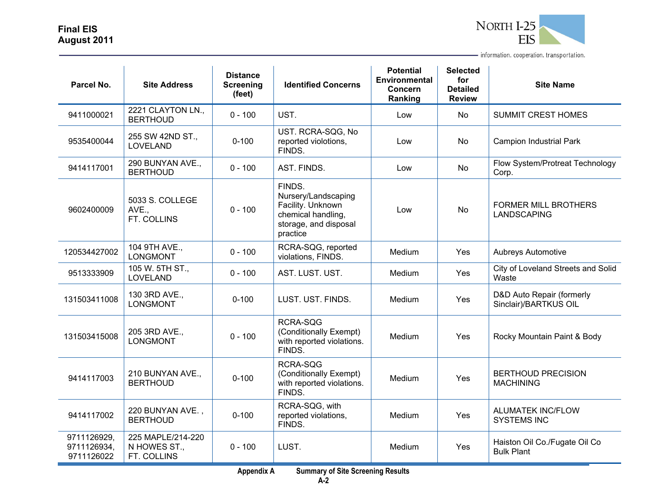

<sup>-</sup> information. cooperation. transportation.

| Parcel No.                               | <b>Site Address</b>                              | <b>Distance</b><br><b>Screening</b><br>(feet) | <b>Identified Concerns</b>                                                                                    | <b>Potential</b><br><b>Environmental</b><br><b>Concern</b><br>Ranking | <b>Selected</b><br>for<br><b>Detailed</b><br><b>Review</b> | <b>Site Name</b>                                   |
|------------------------------------------|--------------------------------------------------|-----------------------------------------------|---------------------------------------------------------------------------------------------------------------|-----------------------------------------------------------------------|------------------------------------------------------------|----------------------------------------------------|
| 9411000021                               | 2221 CLAYTON LN.,<br><b>BERTHOUD</b>             | $0 - 100$                                     | UST.                                                                                                          | Low                                                                   | <b>No</b>                                                  | <b>SUMMIT CREST HOMES</b>                          |
| 9535400044                               | 255 SW 42ND ST.,<br><b>LOVELAND</b>              | $0 - 100$                                     | UST. RCRA-SQG, No<br>reported violotions,<br>FINDS.                                                           | Low                                                                   | <b>No</b>                                                  | <b>Campion Industrial Park</b>                     |
| 9414117001                               | 290 BUNYAN AVE.,<br><b>BERTHOUD</b>              | $0 - 100$                                     | AST. FINDS.                                                                                                   | Low                                                                   | <b>No</b>                                                  | Flow System/Protreat Technology<br>Corp.           |
| 9602400009                               | 5033 S. COLLEGE<br>AVE.,<br>FT. COLLINS          | $0 - 100$                                     | FINDS.<br>Nursery/Landscaping<br>Facility. Unknown<br>chemical handling,<br>storage, and disposal<br>practice | Low                                                                   | No                                                         | <b>FORMER MILL BROTHERS</b><br>LANDSCAPING         |
| 120534427002                             | 104 9TH AVE.,<br><b>LONGMONT</b>                 | $0 - 100$                                     | RCRA-SQG, reported<br>violations, FINDS.                                                                      | Medium                                                                | Yes                                                        | <b>Aubreys Automotive</b>                          |
| 9513333909                               | 105 W. 5TH ST.,<br><b>LOVELAND</b>               | $0 - 100$                                     | AST. LUST. UST.                                                                                               | Medium                                                                | Yes                                                        | City of Loveland Streets and Solid<br>Waste        |
| 131503411008                             | 130 3RD AVE.,<br><b>LONGMONT</b>                 | $0 - 100$                                     | LUST. UST. FINDS.                                                                                             | Medium                                                                | Yes                                                        | D&D Auto Repair (formerly<br>Sinclair)/BARTKUS OIL |
| 131503415008                             | 205 3RD AVE.,<br><b>LONGMONT</b>                 | $0 - 100$                                     | RCRA-SQG<br>(Conditionally Exempt)<br>with reported violations.<br>FINDS.                                     | <b>Medium</b>                                                         | Yes                                                        | Rocky Mountain Paint & Body                        |
| 9414117003                               | 210 BUNYAN AVE.,<br><b>BERTHOUD</b>              | $0 - 100$                                     | RCRA-SQG<br>(Conditionally Exempt)<br>with reported violations.<br>FINDS.                                     | Medium                                                                | Yes                                                        | <b>BERTHOUD PRECISION</b><br><b>MACHINING</b>      |
| 9414117002                               | 220 BUNYAN AVE.,<br><b>BERTHOUD</b>              | $0 - 100$                                     | RCRA-SQG, with<br>reported violations,<br>FINDS.                                                              | Medium                                                                | Yes                                                        | <b>ALUMATEK INC/FLOW</b><br><b>SYSTEMS INC</b>     |
| 9711126929,<br>9711126934,<br>9711126022 | 225 MAPLE/214-220<br>N HOWES ST.,<br>FT. COLLINS | $0 - 100$                                     | LUST.                                                                                                         | Medium                                                                | Yes                                                        | Haiston Oil Co./Fugate Oil Co<br><b>Bulk Plant</b> |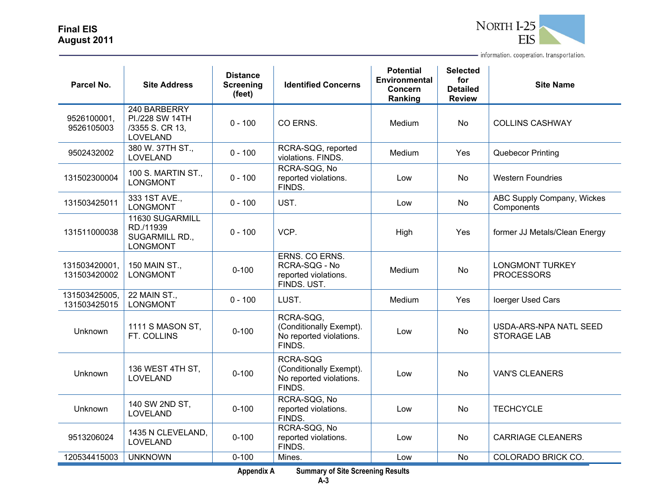

<sup>-</sup> information. cooperation. transportation.

| Parcel No.                    | <b>Site Address</b>                                                   | <b>Distance</b><br><b>Screening</b><br>(feet) | <b>Identified Concerns</b>                                                | <b>Potential</b><br><b>Environmental</b><br>Concern<br>Ranking | <b>Selected</b><br>for<br><b>Detailed</b><br><b>Review</b> | <b>Site Name</b>                             |
|-------------------------------|-----------------------------------------------------------------------|-----------------------------------------------|---------------------------------------------------------------------------|----------------------------------------------------------------|------------------------------------------------------------|----------------------------------------------|
| 9526100001,<br>9526105003     | 240 BARBERRY<br>PI./228 SW 14TH<br>/3355 S. CR 13,<br><b>LOVELAND</b> | $0 - 100$                                     | CO ERNS.                                                                  | Medium                                                         | <b>No</b>                                                  | <b>COLLINS CASHWAY</b>                       |
| 9502432002                    | 380 W. 37TH ST.,<br><b>LOVELAND</b>                                   | $0 - 100$                                     | RCRA-SQG, reported<br>violations. FINDS.                                  | Medium                                                         | Yes                                                        | Quebecor Printing                            |
| 131502300004                  | 100 S. MARTIN ST.,<br><b>LONGMONT</b>                                 | $0 - 100$                                     | RCRA-SQG, No<br>reported violations.<br>FINDS.                            | Low                                                            | <b>No</b>                                                  | <b>Western Foundries</b>                     |
| 131503425011                  | 333 1ST AVE.,<br><b>LONGMONT</b>                                      | $0 - 100$                                     | UST.                                                                      | Low                                                            | <b>No</b>                                                  | ABC Supply Company, Wickes<br>Components     |
| 131511000038                  | 11630 SUGARMILL<br>RD./11939<br>SUGARMILL RD.,<br><b>LONGMONT</b>     | $0 - 100$                                     | VCP.                                                                      | High                                                           | Yes                                                        | former JJ Metals/Clean Energy                |
| 131503420001,<br>131503420002 | 150 MAIN ST.,<br><b>LONGMONT</b>                                      | $0 - 100$                                     | ERNS, CO ERNS.<br>RCRA-SQG - No<br>reported violations.<br>FINDS. UST.    | Medium                                                         | <b>No</b>                                                  | <b>LONGMONT TURKEY</b><br><b>PROCESSORS</b>  |
| 131503425005,<br>131503425015 | 22 MAIN ST.,<br><b>LONGMONT</b>                                       | $0 - 100$                                     | LUST.                                                                     | Medium                                                         | Yes                                                        | loerger Used Cars                            |
| Unknown                       | 1111 S MASON ST,<br>FT. COLLINS                                       | $0 - 100$                                     | RCRA-SQG.<br>(Conditionally Exempt).<br>No reported violations.<br>FINDS. | Low                                                            | <b>No</b>                                                  | USDA-ARS-NPA NATL SEED<br><b>STORAGE LAB</b> |
| Unknown                       | 136 WEST 4TH ST,<br><b>LOVELAND</b>                                   | $0 - 100$                                     | RCRA-SQG<br>(Conditionally Exempt).<br>No reported violations.<br>FINDS.  | Low                                                            | <b>No</b>                                                  | <b>VAN'S CLEANERS</b>                        |
| Unknown                       | 140 SW 2ND ST,<br><b>LOVELAND</b>                                     | $0 - 100$                                     | RCRA-SQG, No<br>reported violations.<br>FINDS.                            | Low                                                            | <b>No</b>                                                  | <b>TECHCYCLE</b>                             |
| 9513206024                    | 1435 N CLEVELAND,<br>LOVELAND                                         | $0 - 100$                                     | RCRA-SQG, No<br>reported violations.<br>FINDS.                            | Low                                                            | No                                                         | <b>CARRIAGE CLEANERS</b>                     |
| 120534415003                  | <b>UNKNOWN</b>                                                        | $0 - 100$                                     | Mines.                                                                    | Low                                                            | <b>No</b>                                                  | COLORADO BRICK CO.                           |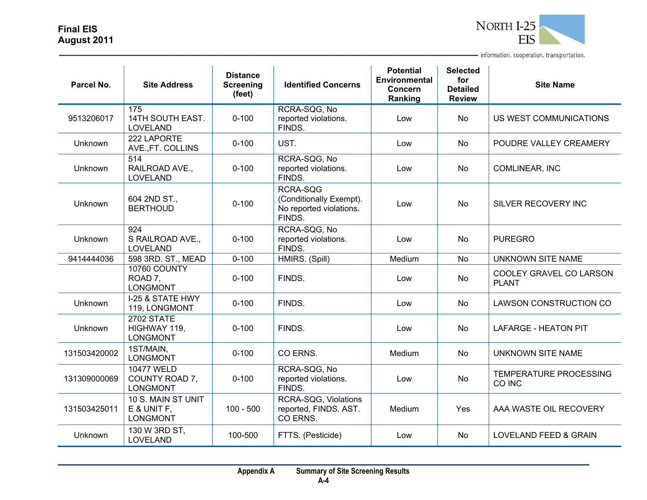

<sup>-</sup> information. cooperation. transportation.

| Parcel No.     | <b>Site Address</b>                                       | <b>Distance</b><br><b>Screening</b><br>(feet) | <b>Identified Concerns</b>                                               | <b>Potential</b><br><b>Environmental</b><br>Concern<br>Ranking | <b>Selected</b><br>for<br><b>Detailed</b><br><b>Review</b> | <b>Site Name</b>                        |
|----------------|-----------------------------------------------------------|-----------------------------------------------|--------------------------------------------------------------------------|----------------------------------------------------------------|------------------------------------------------------------|-----------------------------------------|
| 9513206017     | 175<br>14TH SOUTH EAST.<br><b>LOVELAND</b>                | $0 - 100$                                     | RCRA-SQG, No<br>reported violations.<br>FINDS.                           | Low                                                            | <b>No</b>                                                  | US WEST COMMUNICATIONS                  |
| Unknown        | 222 LAPORTE<br>AVE., FT. COLLINS                          | $0 - 100$                                     | UST.                                                                     | Low                                                            | <b>No</b>                                                  | POUDRE VALLEY CREAMERY                  |
| Unknown        | $\overline{514}$<br>RAILROAD AVE.,<br><b>LOVELAND</b>     | $0 - 100$                                     | RCRA-SQG, No<br>reported violations.<br>FINDS.                           | Low                                                            | <b>No</b>                                                  | COMLINEAR, INC                          |
| Unknown        | 604 2ND ST.,<br><b>BERTHOUD</b>                           | $0 - 100$                                     | RCRA-SQG<br>(Conditionally Exempt).<br>No reported violations.<br>FINDS. | Low                                                            | <b>No</b>                                                  | SILVER RECOVERY INC                     |
| Unknown        | 924<br>S RAILROAD AVE.,<br><b>LOVELAND</b>                | $0 - 100$                                     | RCRA-SQG, No<br>reported violations.<br>FINDS.                           | Low                                                            | <b>No</b>                                                  | <b>PUREGRO</b>                          |
| 9414444036     | 598 3RD. ST., MEAD                                        | $0 - 100$                                     | HMIRS. (Spill)                                                           | Medium                                                         | No                                                         | <b>UNKNOWN SITE NAME</b>                |
|                | 10760 COUNTY<br>ROAD <sub>7</sub> ,<br><b>LONGMONT</b>    | $0 - 100$                                     | FINDS.                                                                   | Low                                                            | <b>No</b>                                                  | COOLEY GRAVEL CO LARSON<br><b>PLANT</b> |
| <b>Unknown</b> | I-25 & STATE HWY<br>119, LONGMONT                         | $0 - 100$                                     | FINDS.                                                                   | Low                                                            | <b>No</b>                                                  | LAWSON CONSTRUCTION CO                  |
| Unknown        | <b>2702 STATE</b><br>HIGHWAY 119,<br><b>LONGMONT</b>      | $0 - 100$                                     | FINDS.                                                                   | Low                                                            | <b>No</b>                                                  | <b>LAFARGE - HEATON PIT</b>             |
| 131503420002   | 1ST/MAIN,<br><b>LONGMONT</b>                              | $0 - 100$                                     | CO ERNS.                                                                 | Medium                                                         | No                                                         | <b>UNKNOWN SITE NAME</b>                |
| 131309000069   | <b>10477 WELD</b><br>COUNTY ROAD 7,<br><b>LONGMONT</b>    | $0 - 100$                                     | RCRA-SQG, No<br>reported violations.<br>FINDS.                           | Low                                                            | No                                                         | TEMPERATURE PROCESSING<br>CO INC        |
| 131503425011   | 10 S. MAIN ST UNIT<br>$E$ & UNIT $F$ ,<br><b>LONGMONT</b> | $100 - 500$                                   | RCRA-SQG, Violations<br>reported, FINDS. AST.<br>CO ERNS.                | Medium                                                         | Yes                                                        | AAA WASTE OIL RECOVERY                  |
| <b>Unknown</b> | 130 W 3RD ST,<br><b>LOVELAND</b>                          | 100-500                                       | FTTS. (Pesticide)                                                        | Low                                                            | <b>No</b>                                                  | <b>LOVELAND FEED &amp; GRAIN</b>        |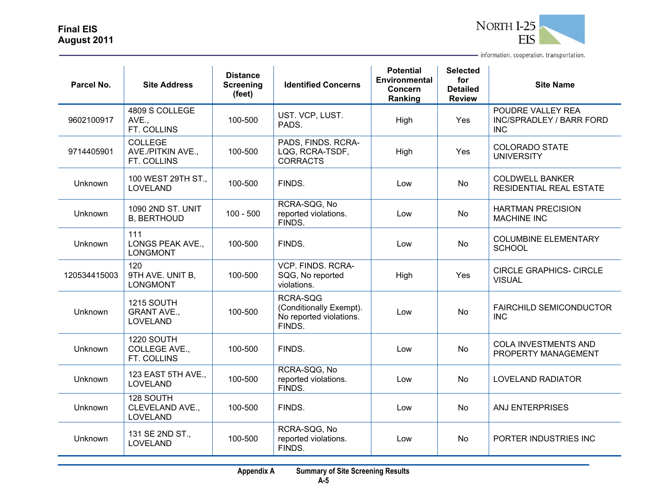

<sup>-</sup> information. cooperation. transportation.

| Parcel No.   | <b>Site Address</b>                                 | <b>Distance</b><br><b>Screening</b><br>(feet) | <b>Identified Concerns</b>                                               | <b>Potential</b><br><b>Environmental</b><br>Concern<br>Ranking | <b>Selected</b><br>for<br><b>Detailed</b><br><b>Review</b> | <b>Site Name</b>                                                   |
|--------------|-----------------------------------------------------|-----------------------------------------------|--------------------------------------------------------------------------|----------------------------------------------------------------|------------------------------------------------------------|--------------------------------------------------------------------|
| 9602100917   | 4809 S COLLEGE<br>AVE.,<br>FT. COLLINS              | 100-500                                       | UST. VCP, LUST.<br>PADS.                                                 | High                                                           | Yes                                                        | POUDRE VALLEY REA<br><b>INC/SPRADLEY / BARR FORD</b><br><b>INC</b> |
| 9714405901   | <b>COLLEGE</b><br>AVE./PITKIN AVE.,<br>FT. COLLINS  | 100-500                                       | PADS, FINDS. RCRA-<br>LQG, RCRA-TSDF,<br><b>CORRACTS</b>                 | High                                                           | Yes                                                        | <b>COLORADO STATE</b><br><b>UNIVERSITY</b>                         |
| Unknown      | 100 WEST 29TH ST.,<br><b>LOVELAND</b>               | 100-500                                       | FINDS.                                                                   | Low                                                            | <b>No</b>                                                  | <b>COLDWELL BANKER</b><br>RESIDENTIAL REAL ESTATE                  |
| Unknown      | 1090 2ND ST. UNIT<br><b>B, BERTHOUD</b>             | $100 - 500$                                   | RCRA-SQG, No<br>reported violations.<br>FINDS.                           | Low                                                            | <b>No</b>                                                  | <b>HARTMAN PRECISION</b><br><b>MACHINE INC</b>                     |
| Unknown      | 111<br>LONGS PEAK AVE.,<br><b>LONGMONT</b>          | 100-500                                       | FINDS.                                                                   | Low                                                            | No                                                         | <b>COLUMBINE ELEMENTARY</b><br><b>SCHOOL</b>                       |
| 120534415003 | 120<br>9TH AVE. UNIT B,<br><b>LONGMONT</b>          | 100-500                                       | VCP. FINDS. RCRA-<br>SQG, No reported<br>violations.                     | High                                                           | Yes                                                        | <b>CIRCLE GRAPHICS- CIRCLE</b><br><b>VISUAL</b>                    |
| Unknown      | 1215 SOUTH<br><b>GRANT AVE.,</b><br><b>LOVELAND</b> | 100-500                                       | RCRA-SQG<br>(Conditionally Exempt).<br>No reported violations.<br>FINDS. | Low                                                            | <b>No</b>                                                  | <b>FAIRCHILD SEMICONDUCTOR</b><br><b>INC</b>                       |
| Unknown      | 1220 SOUTH<br><b>COLLEGE AVE.,</b><br>FT. COLLINS   | 100-500                                       | FINDS.                                                                   | Low                                                            | No                                                         | <b>COLA INVESTMENTS AND</b><br>PROPERTY MANAGEMENT                 |
| Unknown      | 123 EAST 5TH AVE.,<br><b>LOVELAND</b>               | 100-500                                       | RCRA-SQG, No<br>reported violations.<br>FINDS.                           | Low                                                            | No                                                         | <b>LOVELAND RADIATOR</b>                                           |
| Unknown      | 128 SOUTH<br>CLEVELAND AVE.,<br><b>LOVELAND</b>     | 100-500                                       | FINDS.                                                                   | Low                                                            | <b>No</b>                                                  | <b>ANJ ENTERPRISES</b>                                             |
| Unknown      | 131 SE 2ND ST.,<br><b>LOVELAND</b>                  | 100-500                                       | RCRA-SQG, No<br>reported violations.<br>FINDS.                           | Low                                                            | <b>No</b>                                                  | PORTER INDUSTRIES INC                                              |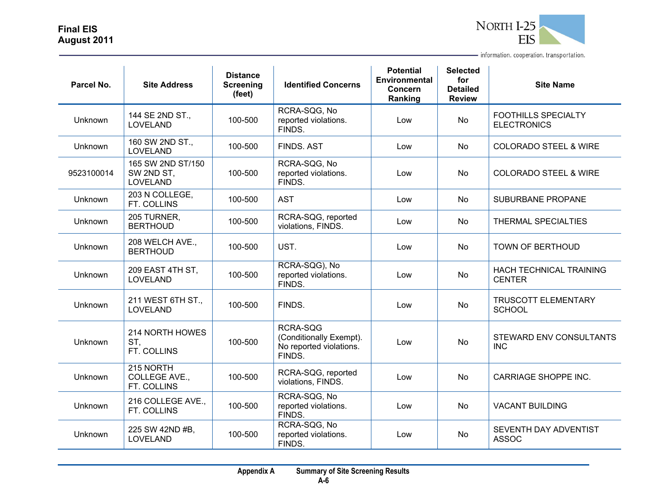

<sup>-</sup> information. cooperation. transportation.

| Parcel No.     | <b>Site Address</b>                                | <b>Distance</b><br><b>Screening</b><br>(feet) | <b>Identified Concerns</b>                                               | <b>Potential</b><br>Environmental<br><b>Concern</b><br>Ranking | <b>Selected</b><br>for<br><b>Detailed</b><br><b>Review</b> | <b>Site Name</b>                                 |
|----------------|----------------------------------------------------|-----------------------------------------------|--------------------------------------------------------------------------|----------------------------------------------------------------|------------------------------------------------------------|--------------------------------------------------|
| Unknown        | 144 SE 2ND ST.,<br><b>LOVELAND</b>                 | 100-500                                       | RCRA-SQG, No<br>reported violations.<br>FINDS.                           | Low                                                            | <b>No</b>                                                  | <b>FOOTHILLS SPECIALTY</b><br><b>ELECTRONICS</b> |
| Unknown        | 160 SW 2ND ST.,<br><b>LOVELAND</b>                 | 100-500                                       | FINDS. AST                                                               | Low                                                            | <b>No</b>                                                  | <b>COLORADO STEEL &amp; WIRE</b>                 |
| 9523100014     | 165 SW 2ND ST/150<br>SW 2ND ST.<br><b>LOVELAND</b> | 100-500                                       | RCRA-SQG, No<br>reported violations.<br>FINDS.                           | Low                                                            | <b>No</b>                                                  | <b>COLORADO STEEL &amp; WIRE</b>                 |
| Unknown        | 203 N COLLEGE,<br>FT. COLLINS                      | 100-500                                       | <b>AST</b>                                                               | Low                                                            | No                                                         | SUBURBANE PROPANE                                |
| Unknown        | 205 TURNER.<br><b>BERTHOUD</b>                     | 100-500                                       | RCRA-SQG, reported<br>violations, FINDS.                                 | Low                                                            | No                                                         | <b>THERMAL SPECIALTIES</b>                       |
| Unknown        | 208 WELCH AVE.,<br><b>BERTHOUD</b>                 | 100-500                                       | UST.                                                                     | Low                                                            | No                                                         | TOWN OF BERTHOUD                                 |
| <b>Unknown</b> | 209 EAST 4TH ST,<br><b>LOVELAND</b>                | 100-500                                       | RCRA-SQG), No<br>reported violations.<br>FINDS.                          | Low                                                            | <b>No</b>                                                  | HACH TECHNICAL TRAINING<br><b>CENTER</b>         |
| Unknown        | 211 WEST 6TH ST.,<br><b>LOVELAND</b>               | 100-500                                       | FINDS.                                                                   | Low                                                            | No                                                         | <b>TRUSCOTT ELEMENTARY</b><br><b>SCHOOL</b>      |
| Unknown        | 214 NORTH HOWES<br>ST,<br>FT. COLLINS              | 100-500                                       | RCRA-SQG<br>(Conditionally Exempt).<br>No reported violations.<br>FINDS. | Low                                                            | <b>No</b>                                                  | STEWARD ENV CONSULTANTS<br><b>INC</b>            |
| Unknown        | 215 NORTH<br>COLLEGE AVE.,<br>FT. COLLINS          | 100-500                                       | RCRA-SQG, reported<br>violations, FINDS.                                 | Low                                                            | No                                                         | CARRIAGE SHOPPE INC.                             |
| Unknown        | 216 COLLEGE AVE.,<br>FT. COLLINS                   | 100-500                                       | RCRA-SQG, No<br>reported violations.<br>FINDS.                           | Low                                                            | <b>No</b>                                                  | <b>VACANT BUILDING</b>                           |
| Unknown        | 225 SW 42ND #B,<br><b>LOVELAND</b>                 | 100-500                                       | RCRA-SQG, No<br>reported violations.<br>FINDS.                           | Low                                                            | No                                                         | SEVENTH DAY ADVENTIST<br><b>ASSOC</b>            |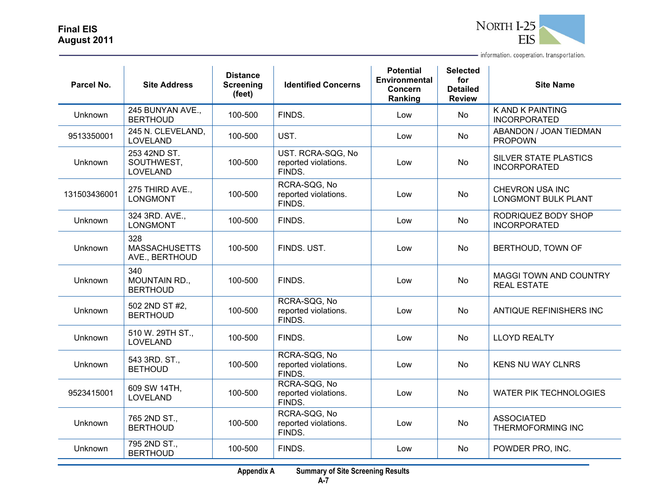

<sup>-</sup> information. cooperation. transportation.

| Parcel No.     | <b>Site Address</b>                            | <b>Distance</b><br><b>Screening</b><br>(feet) | <b>Identified Concerns</b>                          | <b>Potential</b><br><b>Environmental</b><br><b>Concern</b><br>Ranking | <b>Selected</b><br>for<br><b>Detailed</b><br><b>Review</b> | <b>Site Name</b>                                     |
|----------------|------------------------------------------------|-----------------------------------------------|-----------------------------------------------------|-----------------------------------------------------------------------|------------------------------------------------------------|------------------------------------------------------|
| Unknown        | 245 BUNYAN AVE.,<br><b>BERTHOUD</b>            | 100-500                                       | FINDS.                                              | Low                                                                   | No                                                         | <b>K AND K PAINTING</b><br><b>INCORPORATED</b>       |
| 9513350001     | 245 N. CLEVELAND,<br><b>LOVELAND</b>           | 100-500                                       | UST.                                                | Low                                                                   | No                                                         | ABANDON / JOAN TIEDMAN<br><b>PROPOWN</b>             |
| Unknown        | 253 42ND ST.<br>SOUTHWEST,<br><b>LOVELAND</b>  | 100-500                                       | UST. RCRA-SQG, No<br>reported violations.<br>FINDS. | Low                                                                   | No                                                         | <b>SILVER STATE PLASTICS</b><br><b>INCORPORATED</b>  |
| 131503436001   | 275 THIRD AVE.,<br><b>LONGMONT</b>             | 100-500                                       | RCRA-SQG, No<br>reported violations.<br>FINDS.      | Low                                                                   | No                                                         | <b>CHEVRON USA INC</b><br><b>LONGMONT BULK PLANT</b> |
| Unknown        | 324 3RD. AVE.,<br><b>LONGMONT</b>              | 100-500                                       | FINDS.                                              | Low                                                                   | No                                                         | RODRIQUEZ BODY SHOP<br><b>INCORPORATED</b>           |
| Unknown        | 328<br><b>MASSACHUSETTS</b><br>AVE., BERTHOUD  | 100-500                                       | FINDS. UST.                                         | Low                                                                   | No                                                         | BERTHOUD, TOWN OF                                    |
| Unknown        | 340<br><b>MOUNTAIN RD.,</b><br><b>BERTHOUD</b> | 100-500                                       | FINDS.                                              | Low                                                                   | No                                                         | MAGGI TOWN AND COUNTRY<br><b>REAL ESTATE</b>         |
| Unknown        | 502 2ND ST #2,<br><b>BERTHOUD</b>              | 100-500                                       | RCRA-SQG, No<br>reported violations.<br>FINDS.      | Low                                                                   | No                                                         | ANTIQUE REFINISHERS INC                              |
| Unknown        | 510 W. 29TH ST.,<br><b>LOVELAND</b>            | 100-500                                       | FINDS.                                              | Low                                                                   | <b>No</b>                                                  | <b>LLOYD REALTY</b>                                  |
| <b>Unknown</b> | 543 3RD. ST.,<br><b>BETHOUD</b>                | 100-500                                       | RCRA-SQG, No<br>reported violations.<br>FINDS.      | Low                                                                   | <b>No</b>                                                  | <b>KENS NU WAY CLNRS</b>                             |
| 9523415001     | 609 SW 14TH,<br><b>LOVELAND</b>                | 100-500                                       | RCRA-SQG, No<br>reported violations.<br>FINDS.      | Low                                                                   | <b>No</b>                                                  | <b>WATER PIK TECHNOLOGIES</b>                        |
| Unknown        | 765 2ND ST.,<br><b>BERTHOUD</b>                | 100-500                                       | RCRA-SQG, No<br>reported violations.<br>FINDS.      | Low                                                                   | No                                                         | <b>ASSOCIATED</b><br>THERMOFORMING INC               |
| Unknown        | 795 2ND ST.,<br><b>BERTHOUD</b>                | 100-500                                       | FINDS.                                              | Low                                                                   | No                                                         | POWDER PRO, INC.                                     |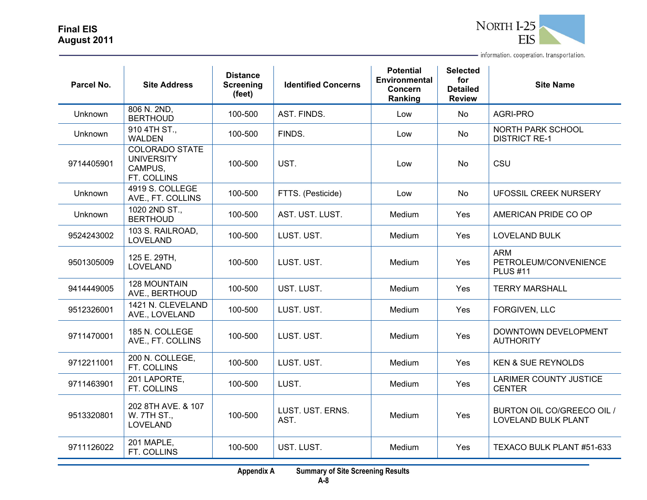

<sup>-</sup> information. cooperation. transportation.

| Parcel No.     | <b>Site Address</b>                                                  | <b>Distance</b><br><b>Screening</b><br>(feet) | <b>Identified Concerns</b> | <b>Potential</b><br><b>Environmental</b><br>Concern<br>Ranking | <b>Selected</b><br>for<br><b>Detailed</b><br><b>Review</b> | <b>Site Name</b>                                       |
|----------------|----------------------------------------------------------------------|-----------------------------------------------|----------------------------|----------------------------------------------------------------|------------------------------------------------------------|--------------------------------------------------------|
| Unknown        | 806 N. 2ND,<br><b>BERTHOUD</b>                                       | 100-500                                       | AST. FINDS.                | Low                                                            | No                                                         | AGRI-PRO                                               |
| <b>Unknown</b> | 910 4TH ST.,<br><b>WALDEN</b>                                        | 100-500                                       | FINDS.                     | Low                                                            | No                                                         | NORTH PARK SCHOOL<br><b>DISTRICT RE-1</b>              |
| 9714405901     | <b>COLORADO STATE</b><br><b>UNIVERSITY</b><br>CAMPUS,<br>FT. COLLINS | 100-500                                       | UST.                       | Low                                                            | <b>No</b>                                                  | CSU                                                    |
| Unknown        | 4919 S. COLLEGE<br>AVE., FT. COLLINS                                 | 100-500                                       | FTTS. (Pesticide)          | Low                                                            | <b>No</b>                                                  | UFOSSIL CREEK NURSERY                                  |
| Unknown        | 1020 2ND ST.,<br><b>BERTHOUD</b>                                     | 100-500                                       | AST. UST. LUST.            | Medium                                                         | Yes                                                        | AMERICAN PRIDE CO OP                                   |
| 9524243002     | 103 S. RAILROAD,<br><b>LOVELAND</b>                                  | 100-500                                       | LUST. UST.                 | Medium                                                         | Yes                                                        | <b>LOVELAND BULK</b>                                   |
| 9501305009     | 125 E. 29TH.<br><b>LOVELAND</b>                                      | 100-500                                       | LUST. UST.                 | Medium                                                         | Yes                                                        | <b>ARM</b><br>PETROLEUM/CONVENIENCE<br><b>PLUS #11</b> |
| 9414449005     | <b>128 MOUNTAIN</b><br>AVE., BERTHOUD                                | 100-500                                       | UST. LUST.                 | Medium                                                         | Yes                                                        | <b>TERRY MARSHALL</b>                                  |
| 9512326001     | 1421 N. CLEVELAND<br>AVE., LOVELAND                                  | 100-500                                       | LUST. UST.                 | Medium                                                         | Yes                                                        | FORGIVEN, LLC                                          |
| 9711470001     | 185 N. COLLEGE<br>AVE., FT. COLLINS                                  | 100-500                                       | LUST. UST.                 | Medium                                                         | Yes                                                        | DOWNTOWN DEVELOPMENT<br><b>AUTHORITY</b>               |
| 9712211001     | 200 N. COLLEGE,<br>FT. COLLINS                                       | 100-500                                       | LUST, UST.                 | Medium                                                         | Yes                                                        | <b>KEN &amp; SUE REYNOLDS</b>                          |
| 9711463901     | 201 LAPORTE,<br>FT. COLLINS                                          | 100-500                                       | LUST.                      | Medium                                                         | Yes                                                        | <b>LARIMER COUNTY JUSTICE</b><br><b>CENTER</b>         |
| 9513320801     | 202 8TH AVE. & 107<br><b>W. 7TH ST.,</b><br><b>LOVELAND</b>          | 100-500                                       | LUST. UST. ERNS.<br>AST.   | Medium                                                         | Yes                                                        | BURTON OIL CO/GREECO OIL /<br>LOVELAND BULK PLANT      |
| 9711126022     | 201 MAPLE,<br>FT. COLLINS                                            | 100-500                                       | UST. LUST.                 | Medium                                                         | Yes                                                        | TEXACO BULK PLANT #51-633                              |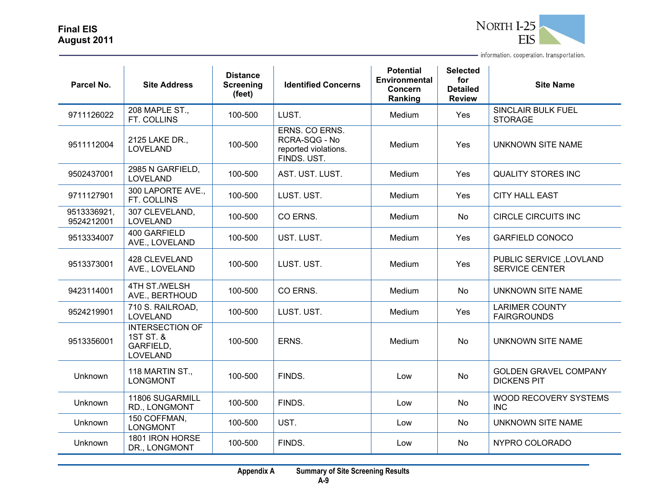

<sup>-</sup> information. cooperation. transportation.

| Parcel No.                | <b>Site Address</b>                                                 | <b>Distance</b><br><b>Screening</b><br>(feet) | <b>Identified Concerns</b>                                             | <b>Potential</b><br><b>Environmental</b><br>Concern<br>Ranking | <b>Selected</b><br>for<br><b>Detailed</b><br><b>Review</b> | <b>Site Name</b>                                   |
|---------------------------|---------------------------------------------------------------------|-----------------------------------------------|------------------------------------------------------------------------|----------------------------------------------------------------|------------------------------------------------------------|----------------------------------------------------|
| 9711126022                | <b>208 MAPLE ST.,</b><br>FT. COLLINS                                | 100-500                                       | LUST.                                                                  | Medium                                                         | Yes                                                        | <b>SINCLAIR BULK FUEL</b><br><b>STORAGE</b>        |
| 9511112004                | 2125 LAKE DR.,<br><b>LOVELAND</b>                                   | 100-500                                       | ERNS. CO ERNS.<br>RCRA-SQG - No<br>reported violations.<br>FINDS. UST. | Medium                                                         | Yes                                                        | UNKNOWN SITE NAME                                  |
| 9502437001                | 2985 N GARFIELD,<br><b>LOVELAND</b>                                 | 100-500                                       | AST. UST. LUST.                                                        | Medium                                                         | Yes                                                        | <b>QUALITY STORES INC</b>                          |
| 9711127901                | 300 LAPORTE AVE.,<br>FT. COLLINS                                    | 100-500                                       | LUST. UST.                                                             | Medium                                                         | Yes                                                        | <b>CITY HALL EAST</b>                              |
| 9513336921,<br>9524212001 | 307 CLEVELAND,<br><b>LOVELAND</b>                                   | 100-500                                       | CO ERNS.                                                               | Medium                                                         | No                                                         | <b>CIRCLE CIRCUITS INC</b>                         |
| 9513334007                | 400 GARFIELD<br>AVE., LOVELAND                                      | 100-500                                       | UST. LUST.                                                             | Medium                                                         | Yes                                                        | <b>GARFIELD CONOCO</b>                             |
| 9513373001                | 428 CLEVELAND<br>AVE., LOVELAND                                     | 100-500                                       | LUST. UST.                                                             | Medium                                                         | Yes                                                        | PUBLIC SERVICE, LOVLAND<br><b>SERVICE CENTER</b>   |
| 9423114001                | 4TH ST./WELSH<br>AVE., BERTHOUD                                     | 100-500                                       | CO ERNS.                                                               | Medium                                                         | No                                                         | <b>UNKNOWN SITE NAME</b>                           |
| 9524219901                | 710 S. RAILROAD,<br><b>LOVELAND</b>                                 | 100-500                                       | LUST. UST.                                                             | Medium                                                         | Yes                                                        | <b>LARIMER COUNTY</b><br><b>FAIRGROUNDS</b>        |
| 9513356001                | <b>INTERSECTION OF</b><br>1ST ST. &<br>GARFIELD,<br><b>LOVELAND</b> | 100-500                                       | ERNS.                                                                  | Medium                                                         | <b>No</b>                                                  | <b>UNKNOWN SITE NAME</b>                           |
| <b>Unknown</b>            | 118 MARTIN ST.,<br><b>LONGMONT</b>                                  | 100-500                                       | FINDS.                                                                 | Low                                                            | <b>No</b>                                                  | <b>GOLDEN GRAVEL COMPANY</b><br><b>DICKENS PIT</b> |
| Unknown                   | 11806 SUGARMILL<br>RD., LONGMONT                                    | 100-500                                       | FINDS.                                                                 | Low                                                            | No                                                         | WOOD RECOVERY SYSTEMS<br><b>INC</b>                |
| Unknown                   | 150 COFFMAN,<br><b>LONGMONT</b>                                     | 100-500                                       | UST.                                                                   | Low                                                            | No                                                         | <b>UNKNOWN SITE NAME</b>                           |
| Unknown                   | 1801 IRON HORSE<br>DR., LONGMONT                                    | 100-500                                       | FINDS.                                                                 | Low                                                            | No                                                         | NYPRO COLORADO                                     |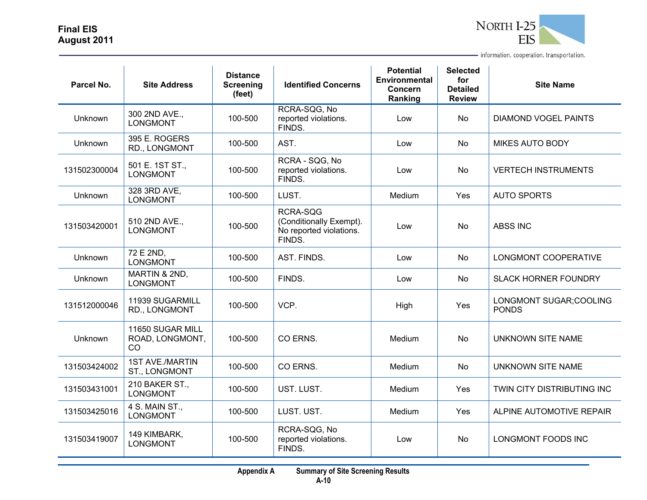

<sup>-</sup> information. cooperation. transportation.

| Parcel No.     | <b>Site Address</b>                       | <b>Distance</b><br><b>Screening</b><br>(feet) | <b>Identified Concerns</b>                                               | <b>Potential</b><br><b>Environmental</b><br>Concern<br>Ranking | <b>Selected</b><br>for<br><b>Detailed</b><br><b>Review</b> | <b>Site Name</b>                       |
|----------------|-------------------------------------------|-----------------------------------------------|--------------------------------------------------------------------------|----------------------------------------------------------------|------------------------------------------------------------|----------------------------------------|
| Unknown        | 300 2ND AVE.,<br><b>LONGMONT</b>          | 100-500                                       | RCRA-SQG, No<br>reported violations.<br>FINDS.                           | Low                                                            | <b>No</b>                                                  | <b>DIAMOND VOGEL PAINTS</b>            |
| Unknown        | 395 E. ROGERS<br>RD., LONGMONT            | 100-500                                       | AST.                                                                     | Low                                                            | No                                                         | <b>MIKES AUTO BODY</b>                 |
| 131502300004   | 501 E. 1ST ST.,<br><b>LONGMONT</b>        | 100-500                                       | RCRA - SQG, No<br>reported violations.<br>FINDS.                         | Low                                                            | <b>No</b>                                                  | <b>VERTECH INSTRUMENTS</b>             |
| <b>Unknown</b> | 328 3RD AVE,<br><b>LONGMONT</b>           | 100-500                                       | LUST.                                                                    | Medium                                                         | Yes                                                        | <b>AUTO SPORTS</b>                     |
| 131503420001   | 510 2ND AVE.,<br><b>LONGMONT</b>          | 100-500                                       | RCRA-SQG<br>(Conditionally Exempt).<br>No reported violations.<br>FINDS. | Low                                                            | <b>No</b>                                                  | <b>ABSS INC</b>                        |
| <b>Unknown</b> | 72 E 2ND,<br><b>LONGMONT</b>              | 100-500                                       | AST. FINDS.                                                              | Low                                                            | No                                                         | LONGMONT COOPERATIVE                   |
| Unknown        | MARTIN & 2ND,<br><b>LONGMONT</b>          | 100-500                                       | FINDS.                                                                   | Low                                                            | No                                                         | <b>SLACK HORNER FOUNDRY</b>            |
| 131512000046   | 11939 SUGARMILL<br>RD., LONGMONT          | 100-500                                       | VCP.                                                                     | High                                                           | Yes                                                        | LONGMONT SUGAR;COOLING<br><b>PONDS</b> |
| Unknown        | 11650 SUGAR MILL<br>ROAD, LONGMONT,<br>CO | 100-500                                       | CO ERNS.                                                                 | Medium                                                         | <b>No</b>                                                  | UNKNOWN SITE NAME                      |
| 131503424002   | <b>1ST AVE./MARTIN</b><br>ST., LONGMONT   | 100-500                                       | CO ERNS.                                                                 | Medium                                                         | No                                                         | <b>UNKNOWN SITE NAME</b>               |
| 131503431001   | 210 BAKER ST.,<br><b>LONGMONT</b>         | 100-500                                       | UST. LUST.                                                               | Medium                                                         | Yes                                                        | TWIN CITY DISTRIBUTING INC             |
| 131503425016   | 4 S. MAIN ST.,<br><b>LONGMONT</b>         | 100-500                                       | LUST. UST.                                                               | Medium                                                         | Yes                                                        | ALPINE AUTOMOTIVE REPAIR               |
| 131503419007   | 149 KIMBARK,<br><b>LONGMONT</b>           | 100-500                                       | RCRA-SQG, No<br>reported violations.<br>FINDS.                           | Low                                                            | No                                                         | LONGMONT FOODS INC                     |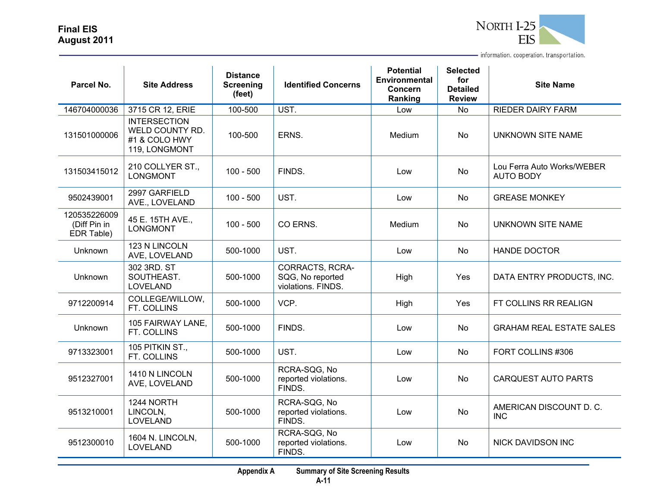

<sup>-</sup> information. cooperation. transportation.

| Parcel No.                                 | <b>Site Address</b>                                                      | <b>Distance</b><br><b>Screening</b><br>(feet) | <b>Identified Concerns</b>                                       | <b>Potential</b><br><b>Environmental</b><br><b>Concern</b><br>Ranking | <b>Selected</b><br>for<br><b>Detailed</b><br><b>Review</b> | <b>Site Name</b>                               |
|--------------------------------------------|--------------------------------------------------------------------------|-----------------------------------------------|------------------------------------------------------------------|-----------------------------------------------------------------------|------------------------------------------------------------|------------------------------------------------|
| 146704000036                               | 3715 CR 12, ERIE                                                         | 100-500                                       | UST.                                                             | Low                                                                   | <b>No</b>                                                  | <b>RIEDER DAIRY FARM</b>                       |
| 131501000006                               | <b>INTERSECTION</b><br>WELD COUNTY RD.<br>#1 & COLO HWY<br>119, LONGMONT | 100-500                                       | ERNS.                                                            | Medium                                                                | <b>No</b>                                                  | <b>UNKNOWN SITE NAME</b>                       |
| 131503415012                               | 210 COLLYER ST.,<br><b>LONGMONT</b>                                      | $100 - 500$                                   | FINDS.                                                           | Low                                                                   | <b>No</b>                                                  | Lou Ferra Auto Works/WEBER<br><b>AUTO BODY</b> |
| 9502439001                                 | 2997 GARFIELD<br>AVE., LOVELAND                                          | $100 - 500$                                   | UST.                                                             | Low                                                                   | <b>No</b>                                                  | <b>GREASE MONKEY</b>                           |
| 120535226009<br>(Diff Pin in<br>EDR Table) | 45 E. 15TH AVE.,<br><b>LONGMONT</b>                                      | $100 - 500$                                   | CO ERNS.                                                         | Medium                                                                | No                                                         | <b>UNKNOWN SITE NAME</b>                       |
| Unknown                                    | 123 N LINCOLN<br>AVE, LOVELAND                                           | 500-1000                                      | UST.                                                             | Low                                                                   | <b>No</b>                                                  | <b>HANDE DOCTOR</b>                            |
| Unknown                                    | 302 3RD. ST<br>SOUTHEAST.<br><b>LOVELAND</b>                             | 500-1000                                      | <b>CORRACTS, RCRA-</b><br>SQG, No reported<br>violations. FINDS. | High                                                                  | Yes                                                        | DATA ENTRY PRODUCTS, INC.                      |
| 9712200914                                 | COLLEGE/WILLOW,<br>FT. COLLINS                                           | 500-1000                                      | VCP.                                                             | High                                                                  | Yes                                                        | FT COLLINS RR REALIGN                          |
| Unknown                                    | 105 FAIRWAY LANE,<br>FT. COLLINS                                         | 500-1000                                      | FINDS.                                                           | Low                                                                   | No                                                         | <b>GRAHAM REAL ESTATE SALES</b>                |
| 9713323001                                 | 105 PITKIN ST.,<br>FT. COLLINS                                           | 500-1000                                      | UST.                                                             | Low                                                                   | No                                                         | FORT COLLINS #306                              |
| 9512327001                                 | 1410 N LINCOLN<br>AVE, LOVELAND                                          | 500-1000                                      | RCRA-SQG, No<br>reported violations.<br>FINDS.                   | Low                                                                   | No                                                         | <b>CARQUEST AUTO PARTS</b>                     |
| 9513210001                                 | 1244 NORTH<br>LINCOLN,<br><b>LOVELAND</b>                                | 500-1000                                      | RCRA-SQG, No<br>reported violations.<br>FINDS.                   | Low                                                                   | No                                                         | AMERICAN DISCOUNT D. C.<br><b>INC</b>          |
| 9512300010                                 | 1604 N. LINCOLN,<br><b>LOVELAND</b>                                      | 500-1000                                      | RCRA-SQG, No<br>reported violations.<br>FINDS.                   | Low                                                                   | <b>No</b>                                                  | <b>NICK DAVIDSON INC</b>                       |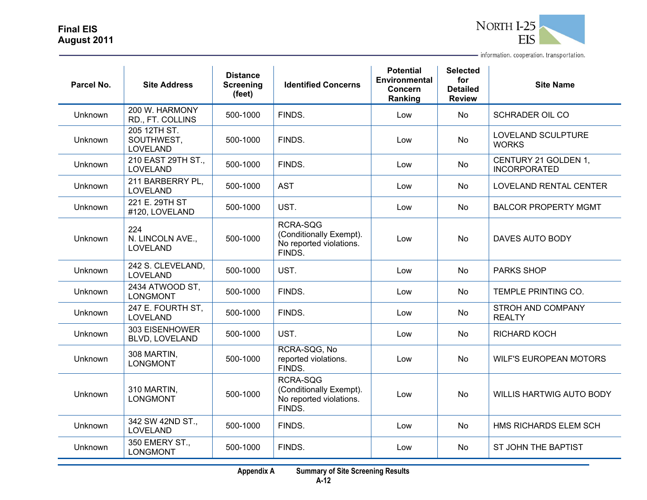

<sup>-</sup> information. cooperation. transportation.

| Parcel No.     | <b>Site Address</b>                           | <b>Distance</b><br><b>Screening</b><br>(feet) | <b>Identified Concerns</b>                                               | <b>Potential</b><br><b>Environmental</b><br><b>Concern</b><br>Ranking | <b>Selected</b><br>for<br><b>Detailed</b><br><b>Review</b> | <b>Site Name</b>                            |
|----------------|-----------------------------------------------|-----------------------------------------------|--------------------------------------------------------------------------|-----------------------------------------------------------------------|------------------------------------------------------------|---------------------------------------------|
| Unknown        | 200 W. HARMONY<br>RD., FT. COLLINS            | 500-1000                                      | FINDS.                                                                   | Low                                                                   | <b>No</b>                                                  | <b>SCHRADER OIL CO</b>                      |
| Unknown        | 205 12TH ST.<br>SOUTHWEST,<br><b>LOVELAND</b> | 500-1000                                      | FINDS.                                                                   | Low                                                                   | No                                                         | LOVELAND SCULPTURE<br><b>WORKS</b>          |
| Unknown        | 210 EAST 29TH ST.,<br><b>LOVELAND</b>         | 500-1000                                      | FINDS.                                                                   | Low                                                                   | No                                                         | CENTURY 21 GOLDEN 1,<br><b>INCORPORATED</b> |
| <b>Unknown</b> | 211 BARBERRY PL.<br><b>LOVELAND</b>           | 500-1000                                      | <b>AST</b>                                                               | Low                                                                   | No                                                         | <b>LOVELAND RENTAL CENTER</b>               |
| Unknown        | 221 E. 29TH ST<br>#120, LOVELAND              | 500-1000                                      | UST.                                                                     | Low                                                                   | <b>No</b>                                                  | <b>BALCOR PROPERTY MGMT</b>                 |
| Unknown        | 224<br>N. LINCOLN AVE.,<br><b>LOVELAND</b>    | 500-1000                                      | RCRA-SQG<br>(Conditionally Exempt).<br>No reported violations.<br>FINDS. | Low                                                                   | <b>No</b>                                                  | DAVES AUTO BODY                             |
| Unknown        | 242 S. CLEVELAND,<br><b>LOVELAND</b>          | 500-1000                                      | UST.                                                                     | Low                                                                   | No.                                                        | <b>PARKS SHOP</b>                           |
| <b>Unknown</b> | 2434 ATWOOD ST,<br><b>LONGMONT</b>            | 500-1000                                      | FINDS.                                                                   | Low                                                                   | <b>No</b>                                                  | TEMPLE PRINTING CO.                         |
| Unknown        | 247 E. FOURTH ST,<br><b>LOVELAND</b>          | 500-1000                                      | FINDS.                                                                   | Low                                                                   | No                                                         | <b>STROH AND COMPANY</b><br><b>REALTY</b>   |
| Unknown        | 303 EISENHOWER<br>BLVD, LOVELAND              | 500-1000                                      | UST.                                                                     | Low                                                                   | No.                                                        | <b>RICHARD KOCH</b>                         |
| Unknown        | 308 MARTIN,<br><b>LONGMONT</b>                | 500-1000                                      | RCRA-SQG, No<br>reported violations.<br>FINDS.                           | Low                                                                   | <b>No</b>                                                  | <b>WILF'S EUROPEAN MOTORS</b>               |
| Unknown        | 310 MARTIN,<br><b>LONGMONT</b>                | 500-1000                                      | RCRA-SQG<br>(Conditionally Exempt).<br>No reported violations.<br>FINDS. | Low                                                                   | No                                                         | <b>WILLIS HARTWIG AUTO BODY</b>             |
| Unknown        | 342 SW 42ND ST.,<br><b>LOVELAND</b>           | 500-1000                                      | FINDS.                                                                   | Low                                                                   | No                                                         | HMS RICHARDS ELEM SCH                       |
| Unknown        | 350 EMERY ST.,<br><b>LONGMONT</b>             | 500-1000                                      | FINDS.                                                                   | Low                                                                   | No                                                         | ST JOHN THE BAPTIST                         |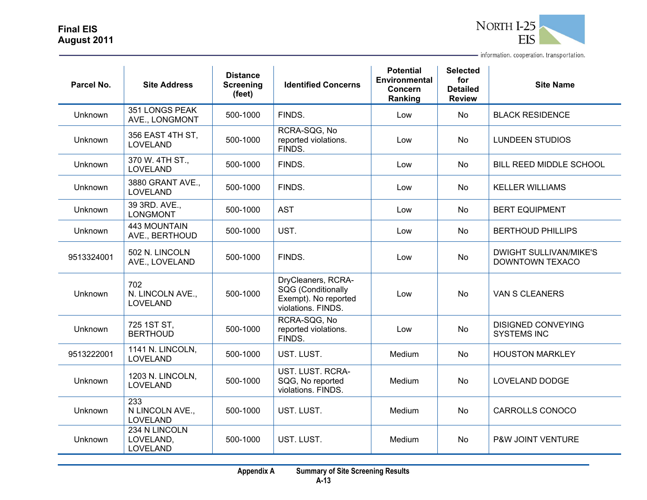

<sup>-</sup> information. cooperation. transportation.

| Parcel No.     | <b>Site Address</b>                           | <b>Distance</b><br><b>Screening</b><br>(feet) | <b>Identified Concerns</b>                                                             | <b>Potential</b><br><b>Environmental</b><br><b>Concern</b><br>Ranking | <b>Selected</b><br>for<br><b>Detailed</b><br><b>Review</b> | <b>Site Name</b>                                        |
|----------------|-----------------------------------------------|-----------------------------------------------|----------------------------------------------------------------------------------------|-----------------------------------------------------------------------|------------------------------------------------------------|---------------------------------------------------------|
| Unknown        | 351 LONGS PEAK<br>AVE., LONGMONT              | 500-1000                                      | FINDS.                                                                                 | Low                                                                   | No                                                         | <b>BLACK RESIDENCE</b>                                  |
| Unknown        | 356 EAST 4TH ST,<br><b>LOVELAND</b>           | 500-1000                                      | RCRA-SQG, No<br>reported violations.<br>FINDS.                                         | Low                                                                   | <b>No</b>                                                  | <b>LUNDEEN STUDIOS</b>                                  |
| Unknown        | 370 W. 4TH ST.,<br><b>LOVELAND</b>            | 500-1000                                      | FINDS.                                                                                 | Low                                                                   | No                                                         | BILL REED MIDDLE SCHOOL                                 |
| <b>Unknown</b> | 3880 GRANT AVE.,<br><b>LOVELAND</b>           | 500-1000                                      | FINDS.                                                                                 | Low                                                                   | No                                                         | <b>KELLER WILLIAMS</b>                                  |
| Unknown        | 39 3RD. AVE.,<br><b>LONGMONT</b>              | 500-1000                                      | <b>AST</b>                                                                             | Low                                                                   | No                                                         | <b>BERT EQUIPMENT</b>                                   |
| Unknown        | <b>443 MOUNTAIN</b><br>AVE., BERTHOUD         | 500-1000                                      | UST.                                                                                   | Low                                                                   | No                                                         | <b>BERTHOUD PHILLIPS</b>                                |
| 9513324001     | 502 N. LINCOLN<br>AVE., LOVELAND              | 500-1000                                      | FINDS.                                                                                 | Low                                                                   | No                                                         | <b>DWIGHT SULLIVAN/MIKE'S</b><br><b>DOWNTOWN TEXACO</b> |
| Unknown        | 702<br>N. LINCOLN AVE.,<br><b>LOVELAND</b>    | 500-1000                                      | DryCleaners, RCRA-<br>SQG (Conditionally<br>Exempt). No reported<br>violations. FINDS. | Low                                                                   | <b>No</b>                                                  | <b>VAN S CLEANERS</b>                                   |
| Unknown        | 725 1ST ST,<br><b>BERTHOUD</b>                | 500-1000                                      | RCRA-SQG, No<br>reported violations.<br>FINDS.                                         | Low                                                                   | No                                                         | <b>DISIGNED CONVEYING</b><br><b>SYSTEMS INC</b>         |
| 9513222001     | 1141 N. LINCOLN,<br><b>LOVELAND</b>           | 500-1000                                      | UST. LUST.                                                                             | Medium                                                                | <b>No</b>                                                  | <b>HOUSTON MARKLEY</b>                                  |
| Unknown        | 1203 N. LINCOLN,<br><b>LOVELAND</b>           | 500-1000                                      | <b>UST. LUST. RCRA-</b><br>SQG, No reported<br>violations. FINDS.                      | Medium                                                                | No                                                         | <b>LOVELAND DODGE</b>                                   |
| Unknown        | 233<br>N LINCOLN AVE.,<br><b>LOVELAND</b>     | 500-1000                                      | UST. LUST.                                                                             | Medium                                                                | <b>No</b>                                                  | <b>CARROLLS CONOCO</b>                                  |
| Unknown        | 234 N LINCOLN<br>LOVELAND,<br><b>LOVELAND</b> | 500-1000                                      | UST. LUST.                                                                             | Medium                                                                | No                                                         | P&W JOINT VENTURE                                       |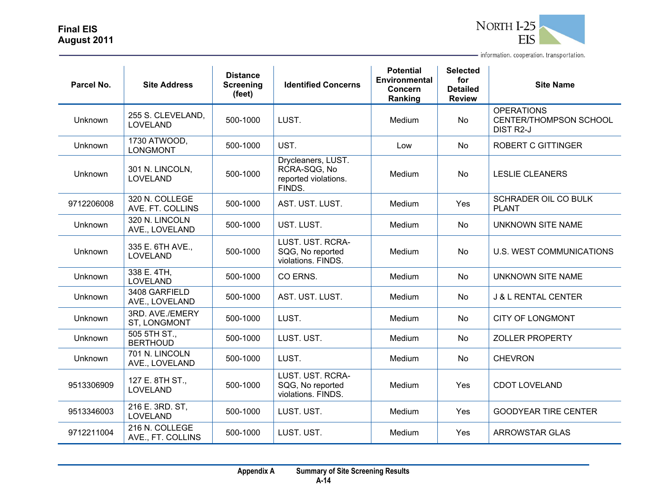

<sup>-</sup> information. cooperation. transportation.

| Parcel No. | <b>Site Address</b>                  | <b>Distance</b><br><b>Screening</b><br>(feet) | <b>Identified Concerns</b>                                           | <b>Potential</b><br><b>Environmental</b><br>Concern<br>Ranking | <b>Selected</b><br>for<br><b>Detailed</b><br><b>Review</b> | <b>Site Name</b>                                         |
|------------|--------------------------------------|-----------------------------------------------|----------------------------------------------------------------------|----------------------------------------------------------------|------------------------------------------------------------|----------------------------------------------------------|
| Unknown    | 255 S. CLEVELAND,<br><b>LOVELAND</b> | 500-1000                                      | LUST.                                                                | Medium                                                         | No                                                         | <b>OPERATIONS</b><br>CENTER/THOMPSON SCHOOL<br>DIST R2-J |
| Unknown    | 1730 ATWOOD,<br><b>LONGMONT</b>      | 500-1000                                      | UST.                                                                 | Low                                                            | <b>No</b>                                                  | <b>ROBERT C GITTINGER</b>                                |
| Unknown    | 301 N. LINCOLN,<br><b>LOVELAND</b>   | 500-1000                                      | Drycleaners, LUST.<br>RCRA-SQG, No<br>reported violations.<br>FINDS. | Medium                                                         | <b>No</b>                                                  | <b>LESLIE CLEANERS</b>                                   |
| 9712206008 | 320 N. COLLEGE<br>AVE. FT. COLLINS   | 500-1000                                      | AST. UST. LUST.                                                      | Medium                                                         | Yes                                                        | SCHRADER OIL CO BULK<br><b>PLANT</b>                     |
| Unknown    | 320 N. LINCOLN<br>AVE., LOVELAND     | 500-1000                                      | UST. LUST.                                                           | Medium                                                         | No                                                         | <b>UNKNOWN SITE NAME</b>                                 |
| Unknown    | 335 E. 6TH AVE.,<br>LOVELAND         | 500-1000                                      | LUST. UST. RCRA-<br>SQG, No reported<br>violations. FINDS.           | Medium                                                         | No                                                         | U.S. WEST COMMUNICATIONS                                 |
| Unknown    | 338 E. 4TH,<br><b>LOVELAND</b>       | 500-1000                                      | CO ERNS.                                                             | Medium                                                         | <b>No</b>                                                  | UNKNOWN SITE NAME                                        |
| Unknown    | 3408 GARFIELD<br>AVE., LOVELAND      | 500-1000                                      | AST. UST. LUST.                                                      | Medium                                                         | No                                                         | <b>J &amp; L RENTAL CENTER</b>                           |
| Unknown    | 3RD. AVE./EMERY<br>ST, LONGMONT      | 500-1000                                      | LUST.                                                                | Medium                                                         | <b>No</b>                                                  | <b>CITY OF LONGMONT</b>                                  |
| Unknown    | 505 5TH ST.,<br><b>BERTHOUD</b>      | 500-1000                                      | LUST. UST.                                                           | Medium                                                         | <b>No</b>                                                  | <b>ZOLLER PROPERTY</b>                                   |
| Unknown    | 701 N. LINCOLN<br>AVE., LOVELAND     | 500-1000                                      | LUST.                                                                | Medium                                                         | No                                                         | <b>CHEVRON</b>                                           |
| 9513306909 | 127 E. 8TH ST.,<br><b>LOVELAND</b>   | 500-1000                                      | LUST. UST. RCRA-<br>SQG, No reported<br>violations. FINDS.           | Medium                                                         | Yes                                                        | <b>CDOT LOVELAND</b>                                     |
| 9513346003 | 216 E. 3RD. ST,<br><b>LOVELAND</b>   | 500-1000                                      | LUST. UST.                                                           | Medium                                                         | Yes                                                        | <b>GOODYEAR TIRE CENTER</b>                              |
| 9712211004 | 216 N. COLLEGE<br>AVE., FT. COLLINS  | 500-1000                                      | LUST. UST.                                                           | Medium                                                         | Yes                                                        | <b>ARROWSTAR GLAS</b>                                    |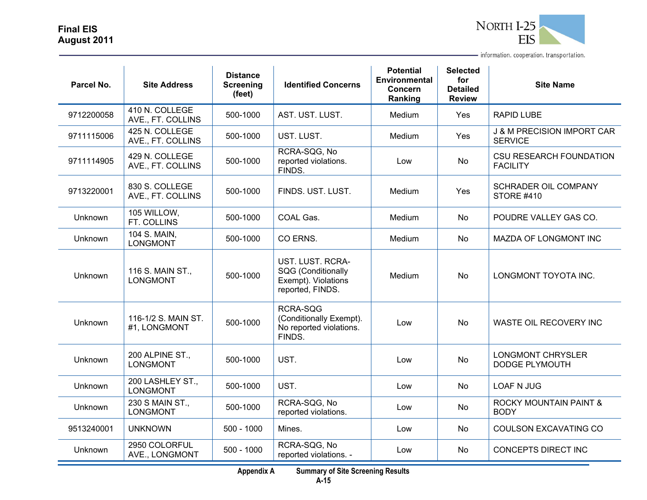

<sup>-</sup> information. cooperation. transportation.

| Parcel No. | <b>Site Address</b>                 | <b>Distance</b><br><b>Screening</b><br>(feet) | <b>Identified Concerns</b>                                                        | <b>Potential</b><br><b>Environmental</b><br>Concern<br>Ranking | <b>Selected</b><br>for<br><b>Detailed</b><br><b>Review</b> | <b>Site Name</b>                                        |
|------------|-------------------------------------|-----------------------------------------------|-----------------------------------------------------------------------------------|----------------------------------------------------------------|------------------------------------------------------------|---------------------------------------------------------|
| 9712200058 | 410 N. COLLEGE<br>AVE., FT. COLLINS | 500-1000                                      | AST. UST. LUST.                                                                   | Medium                                                         | Yes                                                        | <b>RAPID LUBE</b>                                       |
| 9711115006 | 425 N. COLLEGE<br>AVE., FT. COLLINS | 500-1000                                      | UST. LUST.                                                                        | Medium                                                         | Yes                                                        | <b>J &amp; M PRECISION IMPORT CAR</b><br><b>SERVICE</b> |
| 9711114905 | 429 N. COLLEGE<br>AVE., FT. COLLINS | 500-1000                                      | RCRA-SQG, No<br>reported violations.<br>FINDS.                                    | Low                                                            | <b>No</b>                                                  | <b>CSU RESEARCH FOUNDATION</b><br><b>FACILITY</b>       |
| 9713220001 | 830 S. COLLEGE<br>AVE., FT. COLLINS | 500-1000                                      | FINDS. UST. LUST.                                                                 | Medium                                                         | Yes                                                        | SCHRADER OIL COMPANY<br><b>STORE #410</b>               |
| Unknown    | 105 WILLOW,<br>FT. COLLINS          | 500-1000                                      | COAL Gas.                                                                         | Medium                                                         | <b>No</b>                                                  | POUDRE VALLEY GAS CO.                                   |
| Unknown    | 104 S. MAIN,<br><b>LONGMONT</b>     | 500-1000                                      | CO ERNS.                                                                          | Medium                                                         | <b>No</b>                                                  | <b>MAZDA OF LONGMONT INC</b>                            |
| Unknown    | 116 S. MAIN ST.,<br><b>LONGMONT</b> | 500-1000                                      | UST. LUST. RCRA-<br>SQG (Conditionally<br>Exempt). Violations<br>reported, FINDS. | Medium                                                         | <b>No</b>                                                  | LONGMONT TOYOTA INC.                                    |
| Unknown    | 116-1/2 S. MAIN ST.<br>#1, LONGMONT | 500-1000                                      | RCRA-SQG<br>(Conditionally Exempt).<br>No reported violations.<br>FINDS.          | Low                                                            | <b>No</b>                                                  | WASTE OIL RECOVERY INC                                  |
| Unknown    | 200 ALPINE ST.,<br><b>LONGMONT</b>  | 500-1000                                      | UST.                                                                              | Low                                                            | <b>No</b>                                                  | <b>LONGMONT CHRYSLER</b><br><b>DODGE PLYMOUTH</b>       |
| Unknown    | 200 LASHLEY ST.,<br><b>LONGMONT</b> | 500-1000                                      | UST.                                                                              | Low                                                            | <b>No</b>                                                  | <b>LOAF N JUG</b>                                       |
| Unknown    | 230 S MAIN ST.,<br><b>LONGMONT</b>  | 500-1000                                      | RCRA-SQG, No<br>reported violations.                                              | Low                                                            | No                                                         | <b>ROCKY MOUNTAIN PAINT &amp;</b><br><b>BODY</b>        |
| 9513240001 | <b>UNKNOWN</b>                      | $500 - 1000$                                  | Mines.                                                                            | Low                                                            | No                                                         | <b>COULSON EXCAVATING CO</b>                            |
| Unknown    | 2950 COLORFUL<br>AVE., LONGMONT     | $500 - 1000$                                  | RCRA-SQG, No<br>reported violations. -                                            | Low                                                            | <b>No</b>                                                  | <b>CONCEPTS DIRECT INC</b>                              |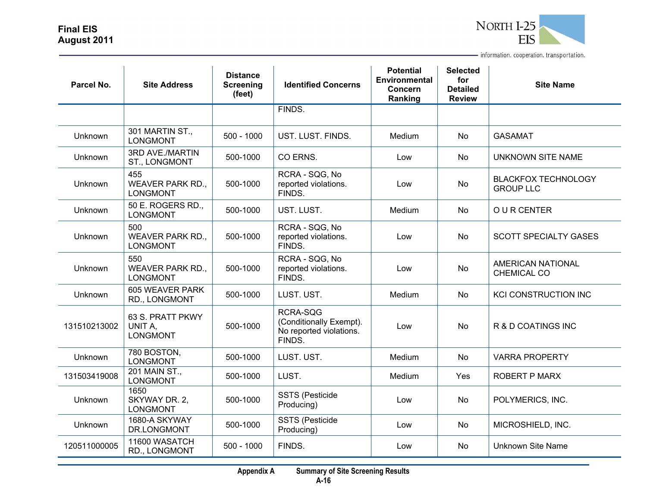

<sup>-</sup> information. cooperation. transportation.

| Parcel No.     | <b>Site Address</b>                               | <b>Distance</b><br><b>Screening</b><br>(feet) | <b>Identified Concerns</b>                                               | <b>Potential</b><br><b>Environmental</b><br>Concern<br>Ranking | <b>Selected</b><br>for<br><b>Detailed</b><br><b>Review</b> | <b>Site Name</b>                               |
|----------------|---------------------------------------------------|-----------------------------------------------|--------------------------------------------------------------------------|----------------------------------------------------------------|------------------------------------------------------------|------------------------------------------------|
|                |                                                   |                                               | FINDS.                                                                   |                                                                |                                                            |                                                |
| Unknown        | 301 MARTIN ST.,<br><b>LONGMONT</b>                | $500 - 1000$                                  | UST. LUST. FINDS.                                                        | Medium                                                         | <b>No</b>                                                  | <b>GASAMAT</b>                                 |
| Unknown        | 3RD AVE./MARTIN<br>ST., LONGMONT                  | 500-1000                                      | CO ERNS.                                                                 | Low                                                            | No                                                         | <b>UNKNOWN SITE NAME</b>                       |
| Unknown        | 455<br><b>WEAVER PARK RD.,</b><br><b>LONGMONT</b> | 500-1000                                      | RCRA - SQG, No<br>reported violations.<br>FINDS.                         | Low                                                            | <b>No</b>                                                  | <b>BLACKFOX TECHNOLOGY</b><br><b>GROUP LLC</b> |
| Unknown        | 50 E. ROGERS RD.,<br><b>LONGMONT</b>              | 500-1000                                      | UST. LUST.                                                               | Medium                                                         | No                                                         | O U R CENTER                                   |
| <b>Unknown</b> | 500<br><b>WEAVER PARK RD.,</b><br><b>LONGMONT</b> | 500-1000                                      | RCRA - SQG, No<br>reported violations.<br>FINDS.                         | Low                                                            | <b>No</b>                                                  | <b>SCOTT SPECIALTY GASES</b>                   |
| Unknown        | 550<br><b>WEAVER PARK RD.,</b><br><b>LONGMONT</b> | 500-1000                                      | RCRA - SQG, No<br>reported violations.<br>FINDS.                         | Low                                                            | No                                                         | <b>AMERICAN NATIONAL</b><br>CHEMICAL CO        |
| Unknown        | 605 WEAVER PARK<br>RD., LONGMONT                  | 500-1000                                      | LUST. UST.                                                               | Medium                                                         | <b>No</b>                                                  | <b>KCI CONSTRUCTION INC</b>                    |
| 131510213002   | 63 S. PRATT PKWY<br>UNIT A,<br><b>LONGMONT</b>    | 500-1000                                      | RCRA-SQG<br>(Conditionally Exempt).<br>No reported violations.<br>FINDS. | Low                                                            | <b>No</b>                                                  | R & D COATINGS INC                             |
| <b>Unknown</b> | 780 BOSTON,<br><b>LONGMONT</b>                    | 500-1000                                      | LUST. UST.                                                               | Medium                                                         | No                                                         | <b>VARRA PROPERTY</b>                          |
| 131503419008   | <b>201 MAIN ST.,</b><br><b>LONGMONT</b>           | 500-1000                                      | LUST.                                                                    | Medium                                                         | Yes                                                        | <b>ROBERT P MARX</b>                           |
| Unknown        | 1650<br>SKYWAY DR. 2,<br><b>LONGMONT</b>          | 500-1000                                      | <b>SSTS (Pesticide</b><br>Producing)                                     | Low                                                            | <b>No</b>                                                  | POLYMERICS, INC.                               |
| Unknown        | 1680-A SKYWAY<br>DR.LONGMONT                      | 500-1000                                      | <b>SSTS (Pesticide</b><br>Producing)                                     | Low                                                            | No                                                         | MICROSHIELD, INC.                              |
| 120511000005   | 11600 WASATCH<br>RD., LONGMONT                    | $500 - 1000$                                  | FINDS.                                                                   | Low                                                            | No                                                         | <b>Unknown Site Name</b>                       |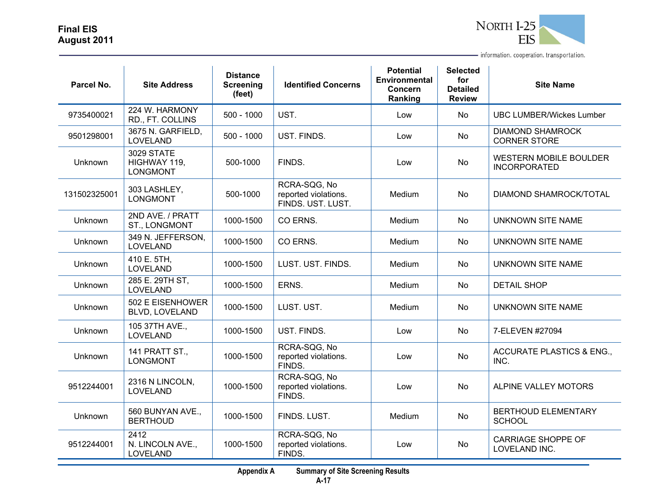

<sup>-</sup> information. cooperation. transportation.

| Parcel No.     | <b>Site Address</b>                                  | <b>Distance</b><br><b>Screening</b><br>(feet) | <b>Identified Concerns</b>                                | <b>Potential</b><br><b>Environmental</b><br>Concern<br>Ranking | <b>Selected</b><br>for<br><b>Detailed</b><br><b>Review</b> | <b>Site Name</b>                                     |
|----------------|------------------------------------------------------|-----------------------------------------------|-----------------------------------------------------------|----------------------------------------------------------------|------------------------------------------------------------|------------------------------------------------------|
| 9735400021     | 224 W. HARMONY<br>RD., FT. COLLINS                   | $500 - 1000$                                  | UST.                                                      | Low                                                            | No                                                         | <b>UBC LUMBER/Wickes Lumber</b>                      |
| 9501298001     | 3675 N. GARFIELD,<br><b>LOVELAND</b>                 | $500 - 1000$                                  | UST. FINDS.                                               | Low                                                            | <b>No</b>                                                  | <b>DIAMOND SHAMROCK</b><br><b>CORNER STORE</b>       |
| Unknown        | <b>3029 STATE</b><br>HIGHWAY 119,<br><b>LONGMONT</b> | 500-1000                                      | FINDS.                                                    | Low                                                            | No                                                         | <b>WESTERN MOBILE BOULDER</b><br><b>INCORPORATED</b> |
| 131502325001   | 303 LASHLEY,<br><b>LONGMONT</b>                      | 500-1000                                      | RCRA-SQG, No<br>reported violations.<br>FINDS. UST. LUST. | Medium                                                         | No                                                         | DIAMOND SHAMROCK/TOTAL                               |
| Unknown        | 2ND AVE. / PRATT<br>ST., LONGMONT                    | 1000-1500                                     | CO ERNS.                                                  | Medium                                                         | No                                                         | UNKNOWN SITE NAME                                    |
| Unknown        | 349 N. JEFFERSON,<br><b>LOVELAND</b>                 | 1000-1500                                     | CO ERNS.                                                  | Medium                                                         | <b>No</b>                                                  | <b>UNKNOWN SITE NAME</b>                             |
| Unknown        | 410 E. 5TH.<br><b>LOVELAND</b>                       | 1000-1500                                     | LUST. UST. FINDS.                                         | Medium                                                         | No                                                         | UNKNOWN SITE NAME                                    |
| Unknown        | 285 E. 29TH ST,<br><b>LOVELAND</b>                   | 1000-1500                                     | ERNS.                                                     | Medium                                                         | No                                                         | <b>DETAIL SHOP</b>                                   |
| Unknown        | 502 E EISENHOWER<br>BLVD, LOVELAND                   | 1000-1500                                     | LUST. UST.                                                | Medium                                                         | No                                                         | UNKNOWN SITE NAME                                    |
| Unknown        | 105 37TH AVE.,<br>LOVELAND                           | 1000-1500                                     | UST. FINDS.                                               | Low                                                            | <b>No</b>                                                  | 7-ELEVEN #27094                                      |
| <b>Unknown</b> | 141 PRATT ST.,<br><b>LONGMONT</b>                    | 1000-1500                                     | RCRA-SQG, No<br>reported violations.<br>FINDS.            | Low                                                            | No                                                         | <b>ACCURATE PLASTICS &amp; ENG.,</b><br>INC.         |
| 9512244001     | 2316 N LINCOLN,<br><b>LOVELAND</b>                   | 1000-1500                                     | RCRA-SQG, No<br>reported violations.<br>FINDS.            | Low                                                            | <b>No</b>                                                  | ALPINE VALLEY MOTORS                                 |
| Unknown        | 560 BUNYAN AVE.,<br><b>BERTHOUD</b>                  | 1000-1500                                     | FINDS, LUST.                                              | Medium                                                         | <b>No</b>                                                  | <b>BERTHOUD ELEMENTARY</b><br><b>SCHOOL</b>          |
| 9512244001     | 2412<br>N. LINCOLN AVE.,<br><b>LOVELAND</b>          | 1000-1500                                     | RCRA-SQG, No<br>reported violations.<br>FINDS.            | Low                                                            | No                                                         | <b>CARRIAGE SHOPPE OF</b><br>LOVELAND INC.           |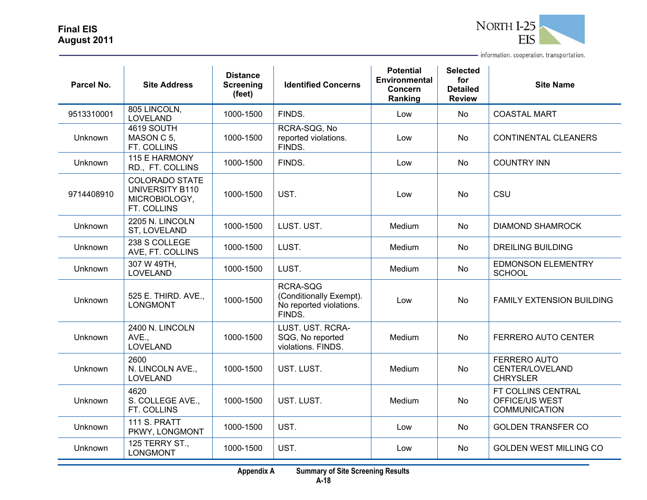

<sup>-</sup> information. cooperation. transportation.

| Parcel No.     | <b>Site Address</b>                                                             | <b>Distance</b><br><b>Screening</b><br>(feet) | <b>Identified Concerns</b>                                               | <b>Potential</b><br><b>Environmental</b><br>Concern<br>Ranking | <b>Selected</b><br>for<br><b>Detailed</b><br><b>Review</b> | <b>Site Name</b>                                             |
|----------------|---------------------------------------------------------------------------------|-----------------------------------------------|--------------------------------------------------------------------------|----------------------------------------------------------------|------------------------------------------------------------|--------------------------------------------------------------|
| 9513310001     | 805 LINCOLN,<br><b>LOVELAND</b>                                                 | 1000-1500                                     | FINDS.                                                                   | Low                                                            | <b>No</b>                                                  | <b>COASTAL MART</b>                                          |
| Unknown        | 4619 SOUTH<br>MASON C 5.<br>FT. COLLINS                                         | 1000-1500                                     | RCRA-SQG, No<br>reported violations.<br>FINDS.                           | Low                                                            | No                                                         | <b>CONTINENTAL CLEANERS</b>                                  |
| <b>Unknown</b> | 115 E HARMONY<br>RD., FT. COLLINS                                               | 1000-1500                                     | FINDS.                                                                   | Low                                                            | No                                                         | <b>COUNTRY INN</b>                                           |
| 9714408910     | <b>COLORADO STATE</b><br><b>UNIVERSITY B110</b><br>MICROBIOLOGY,<br>FT. COLLINS | 1000-1500                                     | UST.                                                                     | Low                                                            | <b>No</b>                                                  | CSU                                                          |
| Unknown        | 2205 N. LINCOLN<br>ST, LOVELAND                                                 | 1000-1500                                     | LUST, UST.                                                               | Medium                                                         | No                                                         | <b>DIAMOND SHAMROCK</b>                                      |
| Unknown        | 238 S COLLEGE<br>AVE, FT. COLLINS                                               | 1000-1500                                     | LUST.                                                                    | Medium                                                         | No                                                         | <b>DREILING BUILDING</b>                                     |
| <b>Unknown</b> | 307 W 49TH,<br><b>LOVELAND</b>                                                  | 1000-1500                                     | LUST.                                                                    | Medium                                                         | <b>No</b>                                                  | <b>EDMONSON ELEMENTRY</b><br><b>SCHOOL</b>                   |
| Unknown        | 525 E. THIRD. AVE.,<br><b>LONGMONT</b>                                          | 1000-1500                                     | RCRA-SQG<br>(Conditionally Exempt).<br>No reported violations.<br>FINDS. | Low                                                            | No                                                         | <b>FAMILY EXTENSION BUILDING</b>                             |
| Unknown        | 2400 N. LINCOLN<br>AVE.,<br><b>LOVELAND</b>                                     | 1000-1500                                     | LUST. UST. RCRA-<br>SQG, No reported<br>violations. FINDS.               | Medium                                                         | No                                                         | <b>FERRERO AUTO CENTER</b>                                   |
| Unknown        | 2600<br>N. LINCOLN AVE.,<br>LOVELAND                                            | 1000-1500                                     | UST. LUST.                                                               | Medium                                                         | No                                                         | <b>FERRERO AUTO</b><br>CENTER/LOVELAND<br><b>CHRYSLER</b>    |
| Unknown        | 4620<br>S. COLLEGE AVE.,<br>FT. COLLINS                                         | 1000-1500                                     | UST. LUST.                                                               | Medium                                                         | No                                                         | FT COLLINS CENTRAL<br>OFFICE/US WEST<br><b>COMMUNICATION</b> |
| <b>Unknown</b> | 111 S. PRATT<br>PKWY, LONGMONT                                                  | 1000-1500                                     | UST.                                                                     | Low                                                            | No                                                         | <b>GOLDEN TRANSFER CO</b>                                    |
| Unknown        | 125 TERRY ST.,<br><b>LONGMONT</b>                                               | 1000-1500                                     | UST.                                                                     | Low                                                            | No                                                         | <b>GOLDEN WEST MILLING CO</b>                                |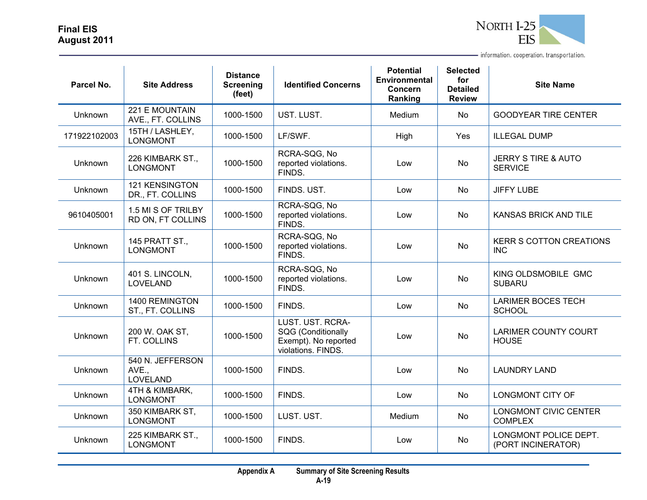

<sup>-</sup> information. cooperation. transportation.

| Parcel No.     | <b>Site Address</b>                          | <b>Distance</b><br><b>Screening</b><br>(feet) | <b>Identified Concerns</b>                                                           | <b>Potential</b><br><b>Environmental</b><br>Concern<br>Ranking | <b>Selected</b><br>for<br><b>Detailed</b><br><b>Review</b> | <b>Site Name</b>                                 |
|----------------|----------------------------------------------|-----------------------------------------------|--------------------------------------------------------------------------------------|----------------------------------------------------------------|------------------------------------------------------------|--------------------------------------------------|
| Unknown        | 221 E MOUNTAIN<br>AVE., FT. COLLINS          | 1000-1500                                     | UST. LUST.                                                                           | Medium                                                         | <b>No</b>                                                  | <b>GOODYEAR TIRE CENTER</b>                      |
| 171922102003   | 15TH / LASHLEY,<br><b>LONGMONT</b>           | 1000-1500                                     | LF/SWF.                                                                              | High                                                           | Yes                                                        | <b>ILLEGAL DUMP</b>                              |
| Unknown        | 226 KIMBARK ST.,<br><b>LONGMONT</b>          | 1000-1500                                     | RCRA-SQG, No<br>reported violations.<br>FINDS.                                       | Low                                                            | No                                                         | <b>JERRY S TIRE &amp; AUTO</b><br><b>SERVICE</b> |
| Unknown        | <b>121 KENSINGTON</b><br>DR., FT. COLLINS    | 1000-1500                                     | FINDS. UST.                                                                          | Low                                                            | <b>No</b>                                                  | <b>JIFFY LUBE</b>                                |
| 9610405001     | 1.5 MI S OF TRILBY<br>RD ON, FT COLLINS      | 1000-1500                                     | RCRA-SQG, No<br>reported violations.<br>FINDS.                                       | Low                                                            | <b>No</b>                                                  | KANSAS BRICK AND TILE                            |
| Unknown        | 145 PRATT ST.,<br><b>LONGMONT</b>            | 1000-1500                                     | RCRA-SQG, No<br>reported violations.<br>FINDS.                                       | Low                                                            | <b>No</b>                                                  | <b>KERR S COTTON CREATIONS</b><br><b>INC</b>     |
| <b>Unknown</b> | 401 S. LINCOLN,<br><b>LOVELAND</b>           | 1000-1500                                     | RCRA-SQG, No<br>reported violations.<br>FINDS.                                       | Low                                                            | No                                                         | KING OLDSMOBILE GMC<br><b>SUBARU</b>             |
| Unknown        | 1400 REMINGTON<br>ST., FT. COLLINS           | 1000-1500                                     | FINDS.                                                                               | Low                                                            | No                                                         | <b>LARIMER BOCES TECH</b><br><b>SCHOOL</b>       |
| Unknown        | 200 W. OAK ST,<br>FT. COLLINS                | 1000-1500                                     | LUST. UST. RCRA-<br>SQG (Conditionally<br>Exempt). No reported<br>violations. FINDS. | Low                                                            | <b>No</b>                                                  | <b>LARIMER COUNTY COURT</b><br><b>HOUSE</b>      |
| Unknown        | 540 N. JEFFERSON<br>AVE.,<br><b>LOVELAND</b> | 1000-1500                                     | FINDS.                                                                               | Low                                                            | No                                                         | <b>LAUNDRY LAND</b>                              |
| Unknown        | 4TH & KIMBARK,<br><b>LONGMONT</b>            | 1000-1500                                     | FINDS.                                                                               | Low                                                            | <b>No</b>                                                  | LONGMONT CITY OF                                 |
| Unknown        | 350 KIMBARK ST,<br><b>LONGMONT</b>           | 1000-1500                                     | LUST. UST.                                                                           | Medium                                                         | No                                                         | LONGMONT CIVIC CENTER<br><b>COMPLEX</b>          |
| Unknown        | 225 KIMBARK ST.,<br><b>LONGMONT</b>          | 1000-1500                                     | FINDS.                                                                               | Low                                                            | No                                                         | LONGMONT POLICE DEPT.<br>(PORT INCINERATOR)      |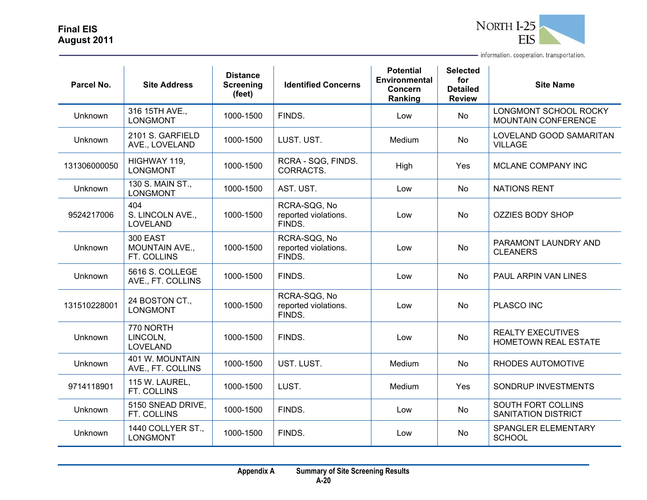

<sup>-</sup> information. cooperation. transportation.

| Parcel No.     | <b>Site Address</b>                                     | <b>Distance</b><br><b>Screening</b><br>(feet) | <b>Identified Concerns</b>                     | <b>Potential</b><br><b>Environmental</b><br>Concern<br>Ranking | <b>Selected</b><br>for<br><b>Detailed</b><br><b>Review</b> | <b>Site Name</b>                                    |
|----------------|---------------------------------------------------------|-----------------------------------------------|------------------------------------------------|----------------------------------------------------------------|------------------------------------------------------------|-----------------------------------------------------|
| Unknown        | 316 15TH AVE.,<br><b>LONGMONT</b>                       | 1000-1500                                     | FINDS.                                         | Low                                                            | <b>No</b>                                                  | LONGMONT SCHOOL ROCKY<br><b>MOUNTAIN CONFERENCE</b> |
| <b>Unknown</b> | 2101 S. GARFIELD<br>AVE., LOVELAND                      | 1000-1500                                     | LUST. UST.                                     | Medium                                                         | No                                                         | LOVELAND GOOD SAMARITAN<br><b>VILLAGE</b>           |
| 131306000050   | HIGHWAY 119,<br><b>LONGMONT</b>                         | 1000-1500                                     | RCRA - SQG, FINDS.<br>CORRACTS.                | High                                                           | Yes                                                        | MCLANE COMPANY INC                                  |
| Unknown        | 130 S. MAIN ST.,<br><b>LONGMONT</b>                     | 1000-1500                                     | AST. UST.                                      | Low                                                            | <b>No</b>                                                  | <b>NATIONS RENT</b>                                 |
| 9524217006     | 404<br>S. LINCOLN AVE.,<br><b>LOVELAND</b>              | 1000-1500                                     | RCRA-SQG, No<br>reported violations.<br>FINDS. | Low                                                            | <b>No</b>                                                  | <b>OZZIES BODY SHOP</b>                             |
| Unknown        | <b>300 EAST</b><br><b>MOUNTAIN AVE.,</b><br>FT. COLLINS | 1000-1500                                     | RCRA-SQG, No<br>reported violations.<br>FINDS. | Low                                                            | <b>No</b>                                                  | PARAMONT LAUNDRY AND<br><b>CLEANERS</b>             |
| Unknown        | 5616 S. COLLEGE<br>AVE., FT. COLLINS                    | 1000-1500                                     | FINDS.                                         | Low                                                            | <b>No</b>                                                  | <b>PAUL ARPIN VAN LINES</b>                         |
| 131510228001   | 24 BOSTON CT.,<br><b>LONGMONT</b>                       | 1000-1500                                     | RCRA-SQG, No<br>reported violations.<br>FINDS. | Low                                                            | <b>No</b>                                                  | PLASCO INC                                          |
| <b>Unknown</b> | 770 NORTH<br>LINCOLN,<br><b>LOVELAND</b>                | 1000-1500                                     | FINDS.                                         | Low                                                            | No                                                         | <b>REALTY EXECUTIVES</b><br>HOMETOWN REAL ESTATE    |
| Unknown        | 401 W. MOUNTAIN<br>AVE., FT. COLLINS                    | 1000-1500                                     | UST. LUST.                                     | Medium                                                         | <b>No</b>                                                  | RHODES AUTOMOTIVE                                   |
| 9714118901     | 115 W. LAUREL,<br>FT. COLLINS                           | 1000-1500                                     | LUST.                                          | Medium                                                         | Yes                                                        | SONDRUP INVESTMENTS                                 |
| <b>Unknown</b> | 5150 SNEAD DRIVE,<br>FT. COLLINS                        | 1000-1500                                     | FINDS.                                         | Low                                                            | <b>No</b>                                                  | SOUTH FORT COLLINS<br><b>SANITATION DISTRICT</b>    |
| Unknown        | 1440 COLLYER ST.,<br><b>LONGMONT</b>                    | 1000-1500                                     | FINDS.                                         | Low                                                            | <b>No</b>                                                  | SPANGLER ELEMENTARY<br><b>SCHOOL</b>                |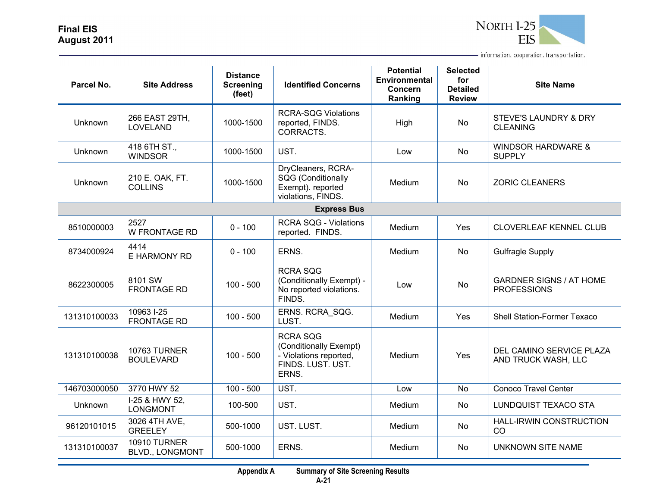

<sup>-</sup> information. cooperation. transportation.

| Parcel No.     | <b>Site Address</b>                           | <b>Distance</b><br><b>Screening</b><br>(feet) | <b>Identified Concerns</b>                                                                        | <b>Potential</b><br><b>Environmental</b><br><b>Concern</b><br>Ranking | <b>Selected</b><br>for<br><b>Detailed</b><br><b>Review</b> | <b>Site Name</b>                                     |
|----------------|-----------------------------------------------|-----------------------------------------------|---------------------------------------------------------------------------------------------------|-----------------------------------------------------------------------|------------------------------------------------------------|------------------------------------------------------|
| <b>Unknown</b> | 266 EAST 29TH,<br><b>LOVELAND</b>             | 1000-1500                                     | <b>RCRA-SQG Violations</b><br>reported, FINDS.<br>CORRACTS.                                       | High                                                                  | <b>No</b>                                                  | <b>STEVE'S LAUNDRY &amp; DRY</b><br><b>CLEANING</b>  |
| <b>Unknown</b> | 418 6TH ST.,<br><b>WINDSOR</b>                | 1000-1500                                     | UST.                                                                                              | Low                                                                   | <b>No</b>                                                  | <b>WINDSOR HARDWARE &amp;</b><br><b>SUPPLY</b>       |
| Unknown        | 210 E. OAK, FT.<br><b>COLLINS</b>             | 1000-1500                                     | DryCleaners, RCRA-<br>SQG (Conditionally<br>Exempt). reported<br>violations, FINDS.               | Medium                                                                | <b>No</b>                                                  | <b>ZORIC CLEANERS</b>                                |
|                |                                               |                                               | <b>Express Bus</b>                                                                                |                                                                       |                                                            |                                                      |
| 8510000003     | 2527<br><b>W FRONTAGE RD</b>                  | $0 - 100$                                     | <b>RCRA SQG - Violations</b><br>reported. FINDS.                                                  | Medium                                                                | Yes                                                        | <b>CLOVERLEAF KENNEL CLUB</b>                        |
| 8734000924     | 4414<br>E HARMONY RD                          | $0 - 100$                                     | ERNS.                                                                                             | Medium                                                                | <b>No</b>                                                  | <b>Gulfragle Supply</b>                              |
| 8622300005     | 8101 SW<br><b>FRONTAGE RD</b>                 | $100 - 500$                                   | <b>RCRA SQG</b><br>(Conditionally Exempt) -<br>No reported violations.<br>FINDS.                  | Low                                                                   | <b>No</b>                                                  | <b>GARDNER SIGNS / AT HOME</b><br><b>PROFESSIONS</b> |
| 131310100033   | 10963 I-25<br><b>FRONTAGE RD</b>              | $100 - 500$                                   | ERNS. RCRA_SQG.<br>LUST.                                                                          | Medium                                                                | Yes                                                        | <b>Shell Station-Former Texaco</b>                   |
| 131310100038   | <b>10763 TURNER</b><br><b>BOULEVARD</b>       | $100 - 500$                                   | <b>RCRA SQG</b><br>(Conditionally Exempt)<br>- Violations reported,<br>FINDS. LUST. UST.<br>ERNS. | Medium                                                                | Yes                                                        | DEL CAMINO SERVICE PLAZA<br>AND TRUCK WASH, LLC      |
| 146703000050   | 3770 HWY 52                                   | $100 - 500$                                   | UST.                                                                                              | Low                                                                   | <b>No</b>                                                  | <b>Conoco Travel Center</b>                          |
| <b>Unknown</b> | I-25 & HWY 52,<br><b>LONGMONT</b>             | 100-500                                       | UST.                                                                                              | Medium                                                                | No                                                         | <b>LUNDQUIST TEXACO STA</b>                          |
| 96120101015    | 3026 4TH AVE,<br><b>GREELEY</b>               | 500-1000                                      | UST. LUST.                                                                                        | Medium                                                                | <b>No</b>                                                  | HALL-IRWIN CONSTRUCTION<br>CO                        |
| 131310100037   | <b>10910 TURNER</b><br><b>BLVD., LONGMONT</b> | 500-1000                                      | ERNS.                                                                                             | Medium                                                                | No                                                         | <b>UNKNOWN SITE NAME</b>                             |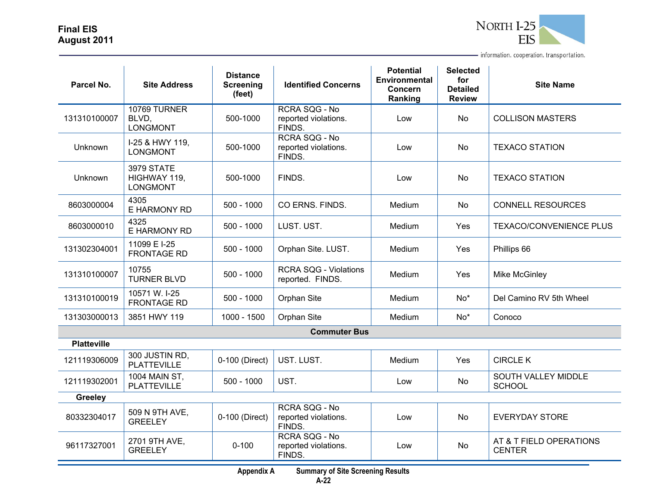

<sup>-</sup> information. cooperation. transportation.

| Parcel No.         | <b>Site Address</b>                             | <b>Distance</b><br><b>Screening</b><br>(feet) | <b>Identified Concerns</b>                       | <b>Potential</b><br><b>Environmental</b><br><b>Concern</b><br>Ranking | <b>Selected</b><br>for<br><b>Detailed</b><br><b>Review</b> | <b>Site Name</b>                         |
|--------------------|-------------------------------------------------|-----------------------------------------------|--------------------------------------------------|-----------------------------------------------------------------------|------------------------------------------------------------|------------------------------------------|
| 131310100007       | <b>10769 TURNER</b><br>BLVD,<br><b>LONGMONT</b> | 500-1000                                      | RCRA SQG - No<br>reported violations.<br>FINDS.  | Low                                                                   | No                                                         | <b>COLLISON MASTERS</b>                  |
| Unknown            | I-25 & HWY 119,<br><b>LONGMONT</b>              | 500-1000                                      | RCRA SQG - No<br>reported violations.<br>FINDS.  | Low                                                                   | <b>No</b>                                                  | <b>TEXACO STATION</b>                    |
| Unknown            | 3979 STATE<br>HIGHWAY 119,<br><b>LONGMONT</b>   | 500-1000                                      | FINDS.                                           | Low                                                                   | No                                                         | <b>TEXACO STATION</b>                    |
| 8603000004         | 4305<br>E HARMONY RD                            | $500 - 1000$                                  | CO ERNS, FINDS.                                  | Medium                                                                | No                                                         | <b>CONNELL RESOURCES</b>                 |
| 8603000010         | 4325<br>E HARMONY RD                            | $500 - 1000$                                  | LUST. UST.                                       | Medium                                                                | Yes                                                        | <b>TEXACO/CONVENIENCE PLUS</b>           |
| 131302304001       | 11099 E I-25<br><b>FRONTAGE RD</b>              | $500 - 1000$                                  | Orphan Site. LUST.                               | Medium                                                                | Yes                                                        | Phillips 66                              |
| 131310100007       | 10755<br><b>TURNER BLVD</b>                     | $500 - 1000$                                  | <b>RCRA SQG - Violations</b><br>reported. FINDS. | Medium                                                                | Yes                                                        | Mike McGinley                            |
| 131310100019       | 10571 W. I-25<br><b>FRONTAGE RD</b>             | $500 - 1000$                                  | Orphan Site                                      | Medium                                                                | No <sup>*</sup>                                            | Del Camino RV 5th Wheel                  |
| 131303000013       | 3851 HWY 119                                    | 1000 - 1500                                   | Orphan Site                                      | Medium                                                                | $No*$                                                      | Conoco                                   |
|                    |                                                 |                                               | <b>Commuter Bus</b>                              |                                                                       |                                                            |                                          |
| <b>Platteville</b> |                                                 |                                               |                                                  |                                                                       |                                                            |                                          |
| 121119306009       | 300 JUSTIN RD,<br><b>PLATTEVILLE</b>            | 0-100 (Direct)                                | UST. LUST.                                       | Medium                                                                | Yes                                                        | <b>CIRCLE K</b>                          |
| 121119302001       | <b>1004 MAIN ST,</b><br><b>PLATTEVILLE</b>      | $500 - 1000$                                  | UST.                                             | Low                                                                   | <b>No</b>                                                  | SOUTH VALLEY MIDDLE<br><b>SCHOOL</b>     |
| <b>Greeley</b>     |                                                 |                                               |                                                  |                                                                       |                                                            |                                          |
| 80332304017        | 509 N 9TH AVE,<br><b>GREELEY</b>                | 0-100 (Direct)                                | RCRA SQG - No<br>reported violations.<br>FINDS.  | Low                                                                   | No                                                         | <b>EVERYDAY STORE</b>                    |
| 96117327001        | 2701 9TH AVE,<br><b>GREELEY</b>                 | $0 - 100$                                     | RCRA SQG - No<br>reported violations.<br>FINDS.  | Low                                                                   | <b>No</b>                                                  | AT & T FIELD OPERATIONS<br><b>CENTER</b> |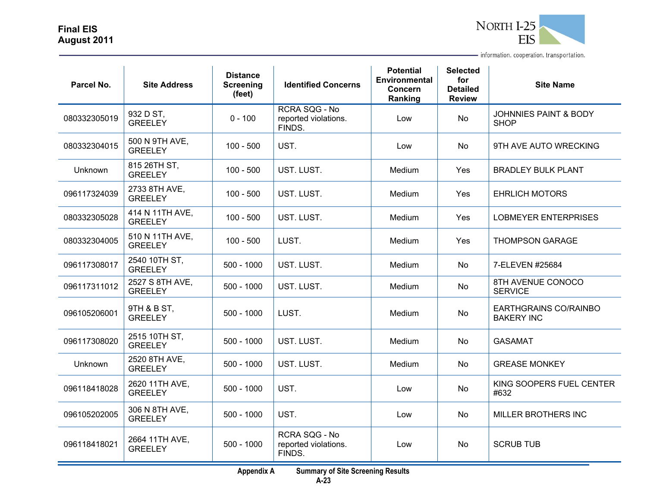

<sup>-</sup> information. cooperation. transportation.

| Parcel No.   | <b>Site Address</b>               | <b>Distance</b><br><b>Screening</b><br>(feet) | <b>Identified Concerns</b>                      | <b>Potential</b><br>Environmental<br>Concern<br>Ranking | <b>Selected</b><br>for<br><b>Detailed</b><br><b>Review</b> | <b>Site Name</b>                                  |
|--------------|-----------------------------------|-----------------------------------------------|-------------------------------------------------|---------------------------------------------------------|------------------------------------------------------------|---------------------------------------------------|
| 080332305019 | 932 D ST,<br><b>GREELEY</b>       | $0 - 100$                                     | RCRA SQG - No<br>reported violations.<br>FINDS. | Low                                                     | <b>No</b>                                                  | <b>JOHNNIES PAINT &amp; BODY</b><br><b>SHOP</b>   |
| 080332304015 | 500 N 9TH AVE,<br><b>GREELEY</b>  | $100 - 500$                                   | UST.                                            | Low                                                     | <b>No</b>                                                  | 9TH AVE AUTO WRECKING                             |
| Unknown      | 815 26TH ST.<br><b>GREELEY</b>    | $100 - 500$                                   | UST. LUST.                                      | Medium                                                  | Yes                                                        | <b>BRADLEY BULK PLANT</b>                         |
| 096117324039 | 2733 8TH AVE,<br><b>GREELEY</b>   | $100 - 500$                                   | UST. LUST.                                      | Medium                                                  | Yes                                                        | <b>EHRLICH MOTORS</b>                             |
| 080332305028 | 414 N 11TH AVE,<br><b>GREELEY</b> | $100 - 500$                                   | UST. LUST.                                      | Medium                                                  | Yes                                                        | <b>LOBMEYER ENTERPRISES</b>                       |
| 080332304005 | 510 N 11TH AVE,<br><b>GREELEY</b> | $100 - 500$                                   | LUST.                                           | Medium                                                  | Yes                                                        | <b>THOMPSON GARAGE</b>                            |
| 096117308017 | 2540 10TH ST,<br><b>GREELEY</b>   | $500 - 1000$                                  | UST. LUST.                                      | Medium                                                  | <b>No</b>                                                  | 7-ELEVEN #25684                                   |
| 096117311012 | 2527 S 8TH AVE,<br><b>GREELEY</b> | $500 - 1000$                                  | UST. LUST.                                      | Medium                                                  | No                                                         | 8TH AVENUE CONOCO<br><b>SERVICE</b>               |
| 096105206001 | 9TH & B ST,<br><b>GREELEY</b>     | $500 - 1000$                                  | LUST.                                           | Medium                                                  | No                                                         | <b>EARTHGRAINS CO/RAINBO</b><br><b>BAKERY INC</b> |
| 096117308020 | 2515 10TH ST,<br><b>GREELEY</b>   | $500 - 1000$                                  | UST. LUST.                                      | Medium                                                  | <b>No</b>                                                  | <b>GASAMAT</b>                                    |
| Unknown      | 2520 8TH AVE,<br><b>GREELEY</b>   | $500 - 1000$                                  | UST. LUST.                                      | Medium                                                  | <b>No</b>                                                  | <b>GREASE MONKEY</b>                              |
| 096118418028 | 2620 11TH AVE,<br><b>GREELEY</b>  | $500 - 1000$                                  | UST.                                            | Low                                                     | No                                                         | KING SOOPERS FUEL CENTER<br>#632                  |
| 096105202005 | 306 N 8TH AVE,<br><b>GREELEY</b>  | $500 - 1000$                                  | UST.                                            | Low                                                     | No                                                         | MILLER BROTHERS INC                               |
| 096118418021 | 2664 11TH AVE,<br><b>GREELEY</b>  | $500 - 1000$                                  | RCRA SQG - No<br>reported violations.<br>FINDS. | Low                                                     | <b>No</b>                                                  | <b>SCRUB TUB</b>                                  |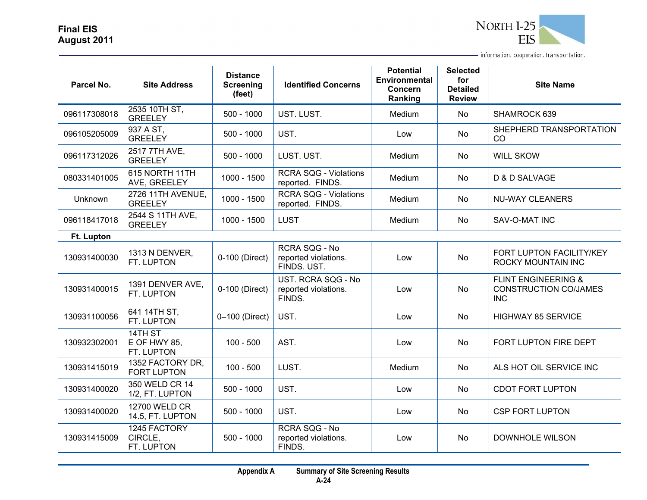

<sup>-</sup> information. cooperation. transportation.

| Parcel No.     | <b>Site Address</b>                      | <b>Distance</b><br><b>Screening</b><br>(feet) | <b>Identified Concerns</b>                           | <b>Potential</b><br><b>Environmental</b><br><b>Concern</b><br>Ranking | <b>Selected</b><br>for<br><b>Detailed</b><br><b>Review</b> | <b>Site Name</b>                                                             |
|----------------|------------------------------------------|-----------------------------------------------|------------------------------------------------------|-----------------------------------------------------------------------|------------------------------------------------------------|------------------------------------------------------------------------------|
| 096117308018   | 2535 10TH ST,<br><b>GREELEY</b>          | $500 - 1000$                                  | UST. LUST.                                           | Medium                                                                | <b>No</b>                                                  | SHAMROCK 639                                                                 |
| 096105205009   | 937 A ST.<br><b>GREELEY</b>              | $500 - 1000$                                  | UST.                                                 | Low                                                                   | No                                                         | SHEPHERD TRANSPORTATION<br><b>CO</b>                                         |
| 096117312026   | 2517 7TH AVE,<br><b>GREELEY</b>          | $500 - 1000$                                  | LUST. UST.                                           | Medium                                                                | No                                                         | <b>WILL SKOW</b>                                                             |
| 080331401005   | 615 NORTH 11TH<br>AVE, GREELEY           | 1000 - 1500                                   | <b>RCRA SQG - Violations</b><br>reported. FINDS.     | Medium                                                                | <b>No</b>                                                  | D & D SALVAGE                                                                |
| <b>Unknown</b> | 2726 11TH AVENUE,<br><b>GREELEY</b>      | $1000 - 1500$                                 | <b>RCRA SQG - Violations</b><br>reported. FINDS.     | Medium                                                                | <b>No</b>                                                  | <b>NU-WAY CLEANERS</b>                                                       |
| 096118417018   | 2544 S 11TH AVE,<br><b>GREELEY</b>       | 1000 - 1500                                   | <b>LUST</b>                                          | Medium                                                                | <b>No</b>                                                  | SAV-O-MAT INC                                                                |
| Ft. Lupton     |                                          |                                               |                                                      |                                                                       |                                                            |                                                                              |
| 130931400030   | 1313 N DENVER,<br>FT. LUPTON             | 0-100 (Direct)                                | RCRA SQG - No<br>reported violations.<br>FINDS. UST. | Low                                                                   | <b>No</b>                                                  | FORT LUPTON FACILITY/KEY<br>ROCKY MOUNTAIN INC                               |
| 130931400015   | 1391 DENVER AVE,<br>FT. LUPTON           | 0-100 (Direct)                                | UST. RCRA SQG - No<br>reported violations.<br>FINDS. | Low                                                                   | No                                                         | <b>FLINT ENGINEERING &amp;</b><br><b>CONSTRUCTION CO/JAMES</b><br><b>INC</b> |
| 130931100056   | 641 14TH ST.<br>FT. LUPTON               | 0-100 (Direct)                                | UST.                                                 | Low                                                                   | No                                                         | <b>HIGHWAY 85 SERVICE</b>                                                    |
| 130932302001   | 14TH ST<br>E OF HWY 85.<br>FT. LUPTON    | $100 - 500$                                   | AST.                                                 | Low                                                                   | <b>No</b>                                                  | FORT LUPTON FIRE DEPT                                                        |
| 130931415019   | 1352 FACTORY DR,<br><b>FORT LUPTON</b>   | $100 - 500$                                   | LUST.                                                | Medium                                                                | No                                                         | ALS HOT OIL SERVICE INC                                                      |
| 130931400020   | 350 WELD CR 14<br>1/2, FT. LUPTON        | $500 - 1000$                                  | UST.                                                 | Low                                                                   | No                                                         | <b>CDOT FORT LUPTON</b>                                                      |
| 130931400020   | <b>12700 WELD CR</b><br>14.5, FT. LUPTON | $500 - 1000$                                  | UST.                                                 | Low                                                                   | No                                                         | <b>CSP FORT LUPTON</b>                                                       |
| 130931415009   | 1245 FACTORY<br>CIRCLE,<br>FT. LUPTON    | $500 - 1000$                                  | RCRA SQG - No<br>reported violations.<br>FINDS.      | Low                                                                   | No                                                         | <b>DOWNHOLE WILSON</b>                                                       |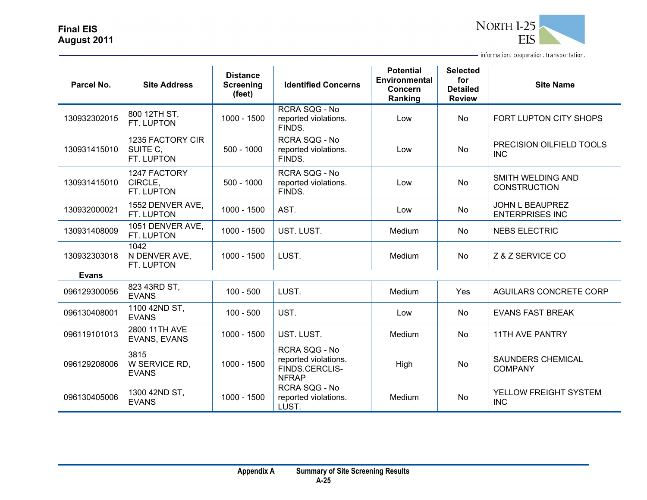

<sup>-</sup> information. cooperation. transportation.

| Parcel No.   | <b>Site Address</b>                        | <b>Distance</b><br><b>Screening</b><br>(feet) | <b>Identified Concerns</b>                                              | <b>Potential</b><br><b>Environmental</b><br><b>Concern</b><br>Ranking | <b>Selected</b><br>for<br><b>Detailed</b><br><b>Review</b> | <b>Site Name</b>                                 |
|--------------|--------------------------------------------|-----------------------------------------------|-------------------------------------------------------------------------|-----------------------------------------------------------------------|------------------------------------------------------------|--------------------------------------------------|
| 130932302015 | 800 12TH ST,<br>FT. LUPTON                 | $1000 - 1500$                                 | RCRA SQG - No<br>reported violations.<br>FINDS.                         | Low                                                                   | <b>No</b>                                                  | <b>FORT LUPTON CITY SHOPS</b>                    |
| 130931415010 | 1235 FACTORY CIR<br>SUITE C.<br>FT. LUPTON | $500 - 1000$                                  | RCRA SQG - No<br>reported violations.<br>FINDS.                         | Low                                                                   | <b>No</b>                                                  | PRECISION OILFIELD TOOLS<br><b>INC</b>           |
| 130931415010 | 1247 FACTORY<br>CIRCLE,<br>FT. LUPTON      | $500 - 1000$                                  | RCRA SQG - No<br>reported violations.<br>FINDS.                         | Low                                                                   | <b>No</b>                                                  | <b>SMITH WELDING AND</b><br><b>CONSTRUCTION</b>  |
| 130932000021 | 1552 DENVER AVE,<br>FT. LUPTON             | 1000 - 1500                                   | AST.                                                                    | Low                                                                   | <b>No</b>                                                  | <b>JOHN L BEAUPREZ</b><br><b>ENTERPRISES INC</b> |
| 130931408009 | 1051 DENVER AVE,<br>FT. LUPTON             | 1000 - 1500                                   | UST. LUST.                                                              | Medium                                                                | No                                                         | <b>NEBS ELECTRIC</b>                             |
| 130932303018 | 1042<br>N DENVER AVE,<br>FT. LUPTON        | 1000 - 1500                                   | LUST.                                                                   | Medium                                                                | <b>No</b>                                                  | Z & Z SERVICE CO                                 |
| <b>Evans</b> |                                            |                                               |                                                                         |                                                                       |                                                            |                                                  |
| 096129300056 | 823 43RD ST,<br><b>EVANS</b>               | $100 - 500$                                   | LUST.                                                                   | Medium                                                                | Yes                                                        | AGUILARS CONCRETE CORP                           |
| 096130408001 | 1100 42ND ST,<br><b>EVANS</b>              | $100 - 500$                                   | UST.                                                                    | Low                                                                   | <b>No</b>                                                  | <b>EVANS FAST BREAK</b>                          |
| 096119101013 | 2800 11TH AVE<br>EVANS, EVANS              | 1000 - 1500                                   | UST. LUST.                                                              | Medium                                                                | No                                                         | <b>11TH AVE PANTRY</b>                           |
| 096129208006 | 3815<br>W SERVICE RD,<br><b>EVANS</b>      | 1000 - 1500                                   | RCRA SQG - No<br>reported violations.<br>FINDS.CERCLIS-<br><b>NFRAP</b> | High                                                                  | <b>No</b>                                                  | <b>SAUNDERS CHEMICAL</b><br><b>COMPANY</b>       |
| 096130405006 | 1300 42ND ST,<br><b>EVANS</b>              | 1000 - 1500                                   | RCRA SQG - No<br>reported violations.<br>LUST.                          | Medium                                                                | No                                                         | YELLOW FREIGHT SYSTEM<br><b>INC</b>              |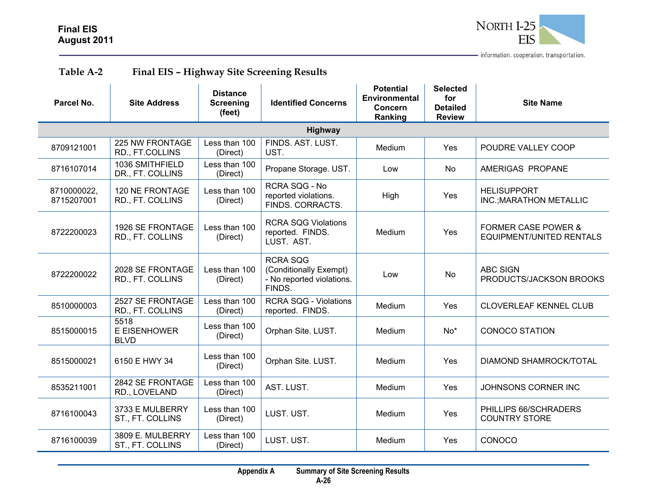

- information. cooperation. transportation.

| Table A-2                 | <b>Final EIS - Highway Site Screening Results</b> |                                               |                                                                                  |                                                                |                                                            |                                                                   |  |  |
|---------------------------|---------------------------------------------------|-----------------------------------------------|----------------------------------------------------------------------------------|----------------------------------------------------------------|------------------------------------------------------------|-------------------------------------------------------------------|--|--|
| Parcel No.                | <b>Site Address</b>                               | <b>Distance</b><br><b>Screening</b><br>(feet) | <b>Identified Concerns</b>                                                       | <b>Potential</b><br><b>Environmental</b><br>Concern<br>Ranking | <b>Selected</b><br>for<br><b>Detailed</b><br><b>Review</b> | <b>Site Name</b>                                                  |  |  |
|                           |                                                   |                                               | Highway                                                                          |                                                                |                                                            |                                                                   |  |  |
| 8709121001                | 225 NW FRONTAGE<br>RD., FT.COLLINS                | Less than 100<br>(Direct)                     | FINDS. AST. LUST.<br>UST.                                                        | Medium                                                         | Yes                                                        | POUDRE VALLEY COOP                                                |  |  |
| 8716107014                | 1036 SMITHFIELD<br>DR., FT. COLLINS               | Less than 100<br>(Direct)                     | Propane Storage. UST.                                                            | Low                                                            | No                                                         | AMERIGAS PROPANE                                                  |  |  |
| 8710000022,<br>8715207001 | 120 NE FRONTAGE<br>RD., FT. COLLINS               | Less than 100<br>(Direct)                     | RCRA SQG - No<br>reported violations.<br>FINDS. CORRACTS.                        | High                                                           | Yes                                                        | <b>HELISUPPORT</b><br>INC.; MARATHON METALLIC                     |  |  |
| 8722200023                | 1926 SE FRONTAGE<br>RD., FT. COLLINS              | Less than 100<br>(Direct)                     | <b>RCRA SQG Violations</b><br>reported. FINDS.<br>LUST. AST.                     | Medium                                                         | Yes                                                        | <b>FORMER CASE POWER &amp;</b><br><b>EQUIPMENT/UNITED RENTALS</b> |  |  |
| 8722200022                | 2028 SE FRONTAGE<br>RD., FT. COLLINS              | Less than 100<br>(Direct)                     | <b>RCRA SQG</b><br>(Conditionally Exempt)<br>- No reported violations.<br>FINDS. | Low                                                            | No                                                         | <b>ABC SIGN</b><br>PRODUCTS/JACKSON BROOKS                        |  |  |
| 8510000003                | 2527 SE FRONTAGE<br>RD., FT. COLLINS              | Less than 100<br>(Direct)                     | <b>RCRA SQG - Violations</b><br>reported. FINDS.                                 | Medium                                                         | Yes                                                        | CLOVERLEAF KENNEL CLUB                                            |  |  |
| 8515000015                | 5518<br>E EISENHOWER<br><b>BLVD</b>               | Less than 100<br>(Direct)                     | Orphan Site. LUST.                                                               | Medium                                                         | No <sup>*</sup>                                            | <b>CONOCO STATION</b>                                             |  |  |
| 8515000021                | 6150 E HWY 34                                     | Less than 100<br>(Direct)                     | Orphan Site. LUST.                                                               | Medium                                                         | Yes                                                        | DIAMOND SHAMROCK/TOTAL                                            |  |  |
| 8535211001                | 2842 SE FRONTAGE<br>RD., LOVELAND                 | Less than 100<br>(Direct)                     | AST. LUST.                                                                       | Medium                                                         | Yes                                                        | JOHNSONS CORNER INC                                               |  |  |
| 8716100043                | 3733 E MULBERRY<br>ST., FT. COLLINS               | Less than 100<br>(Direct)                     | LUST. UST.                                                                       | Medium                                                         | Yes                                                        | PHILLIPS 66/SCHRADERS<br><b>COUNTRY STORE</b>                     |  |  |
| 8716100039                | 3809 E. MULBERRY<br>ST., FT. COLLINS              | Less than 100<br>(Direct)                     | LUST. UST.                                                                       | Medium                                                         | Yes                                                        | CONOCO                                                            |  |  |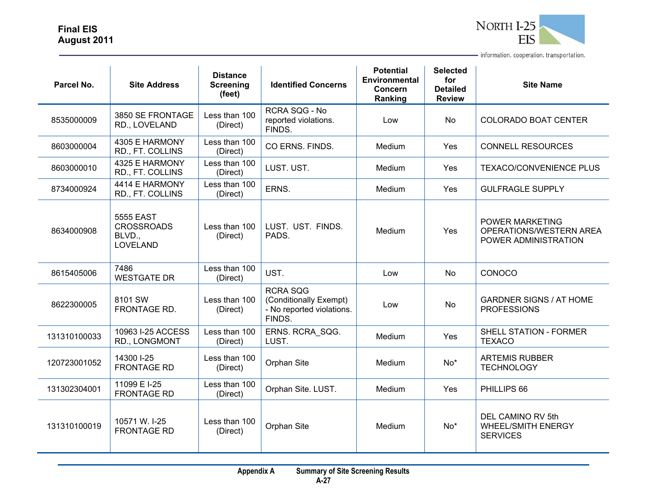

<sup>-</sup> information. cooperation. transportation.

| Parcel No.   | <b>Site Address</b>                                         | <b>Distance</b><br><b>Screening</b><br>(feet) | <b>Identified Concerns</b>                                                       | <b>Potential</b><br><b>Environmental</b><br><b>Concern</b><br>Ranking | <b>Selected</b><br>for<br><b>Detailed</b><br><b>Review</b> | <b>Site Name</b>                                                          |
|--------------|-------------------------------------------------------------|-----------------------------------------------|----------------------------------------------------------------------------------|-----------------------------------------------------------------------|------------------------------------------------------------|---------------------------------------------------------------------------|
| 8535000009   | 3850 SE FRONTAGE<br>RD., LOVELAND                           | Less than 100<br>(Direct)                     | RCRA SQG - No<br>reported violations.<br>FINDS.                                  | Low                                                                   | <b>No</b>                                                  | <b>COLORADO BOAT CENTER</b>                                               |
| 8603000004   | 4305 E HARMONY<br>RD., FT. COLLINS                          | Less than 100<br>(Direct)                     | CO ERNS. FINDS.                                                                  | Medium                                                                | Yes                                                        | <b>CONNELL RESOURCES</b>                                                  |
| 8603000010   | 4325 E HARMONY<br>RD., FT. COLLINS                          | Less than 100<br>(Direct)                     | LUST. UST.                                                                       | Medium                                                                | Yes                                                        | <b>TEXACO/CONVENIENCE PLUS</b>                                            |
| 8734000924   | 4414 E HARMONY<br>RD., FT. COLLINS                          | Less than 100<br>(Direct)                     | ERNS.                                                                            | Medium                                                                | Yes                                                        | <b>GULFRAGLE SUPPLY</b>                                                   |
| 8634000908   | <b>5555 EAST</b><br><b>CROSSROADS</b><br>BLVD.,<br>LOVELAND | Less than 100<br>(Direct)                     | LUST. UST. FINDS.<br>PADS.                                                       | Medium                                                                | <b>Yes</b>                                                 | <b>POWER MARKETING</b><br>OPERATIONS/WESTERN AREA<br>POWER ADMINISTRATION |
| 8615405006   | 7486<br><b>WESTGATE DR</b>                                  | Less than 100<br>(Direct)                     | UST.                                                                             | Low                                                                   | No                                                         | CONOCO                                                                    |
| 8622300005   | 8101 SW<br>FRONTAGE RD.                                     | Less than 100<br>(Direct)                     | <b>RCRA SQG</b><br>(Conditionally Exempt)<br>- No reported violations.<br>FINDS. | Low                                                                   | <b>No</b>                                                  | <b>GARDNER SIGNS / AT HOME</b><br><b>PROFESSIONS</b>                      |
| 131310100033 | 10963 I-25 ACCESS<br>RD., LONGMONT                          | Less than 100<br>(Direct)                     | ERNS. RCRA_SQG.<br>LUST.                                                         | Medium                                                                | Yes                                                        | SHELL STATION - FORMER<br><b>TEXACO</b>                                   |
| 120723001052 | 14300 I-25<br><b>FRONTAGE RD</b>                            | Less than 100<br>(Direct)                     | Orphan Site                                                                      | Medium                                                                | No <sup>*</sup>                                            | <b>ARTEMIS RUBBER</b><br><b>TECHNOLOGY</b>                                |
| 131302304001 | 11099 E I-25<br><b>FRONTAGE RD</b>                          | Less than 100<br>(Direct)                     | Orphan Site. LUST.                                                               | Medium                                                                | Yes                                                        | PHILLIPS 66                                                               |
| 131310100019 | 10571 W. I-25<br><b>FRONTAGE RD</b>                         | Less than 100<br>(Direct)                     | Orphan Site                                                                      | Medium                                                                | $No*$                                                      | DEL CAMINO RV 5th<br><b>WHEEL/SMITH ENERGY</b><br><b>SERVICES</b>         |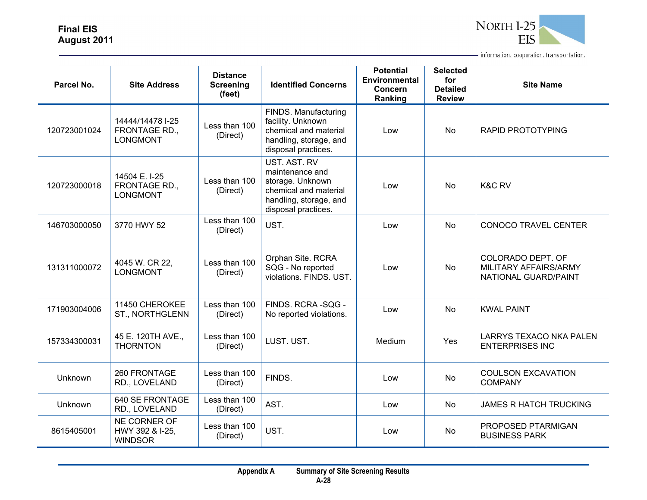

<sup>-</sup> information. cooperation. transportation.

| Parcel No.     | <b>Site Address</b>                                  | <b>Distance</b><br><b>Screening</b><br>(feet) | <b>Identified Concerns</b>                                                                                                    | <b>Potential</b><br><b>Environmental</b><br>Concern<br>Ranking | <b>Selected</b><br>for<br><b>Detailed</b><br><b>Review</b> | <b>Site Name</b>                                                   |
|----------------|------------------------------------------------------|-----------------------------------------------|-------------------------------------------------------------------------------------------------------------------------------|----------------------------------------------------------------|------------------------------------------------------------|--------------------------------------------------------------------|
| 120723001024   | 14444/14478 I-25<br>FRONTAGE RD.,<br><b>LONGMONT</b> | Less than 100<br>(Direct)                     | FINDS. Manufacturing<br>facility. Unknown<br>chemical and material<br>handling, storage, and<br>disposal practices.           | Low                                                            | <b>No</b>                                                  | <b>RAPID PROTOTYPING</b>                                           |
| 120723000018   | 14504 E. I-25<br>FRONTAGE RD.,<br><b>LONGMONT</b>    | Less than 100<br>(Direct)                     | UST. AST. RV<br>maintenance and<br>storage. Unknown<br>chemical and material<br>handling, storage, and<br>disposal practices. | Low                                                            | No                                                         | <b>K&amp;C RV</b>                                                  |
| 146703000050   | 3770 HWY 52                                          | Less than 100<br>(Direct)                     | UST.                                                                                                                          | Low                                                            | <b>No</b>                                                  | <b>CONOCO TRAVEL CENTER</b>                                        |
| 131311000072   | 4045 W. CR 22,<br><b>LONGMONT</b>                    | Less than 100<br>(Direct)                     | Orphan Site. RCRA<br>SQG - No reported<br>violations. FINDS. UST.                                                             | Low                                                            | <b>No</b>                                                  | COLORADO DEPT. OF<br>MILITARY AFFAIRS/ARMY<br>NATIONAL GUARD/PAINT |
| 171903004006   | 11450 CHEROKEE<br>ST., NORTHGLENN                    | Less than 100<br>(Direct)                     | FINDS. RCRA-SQG-<br>No reported violations.                                                                                   | Low                                                            | No                                                         | <b>KWAL PAINT</b>                                                  |
| 157334300031   | 45 E. 120TH AVE.,<br><b>THORNTON</b>                 | Less than 100<br>(Direct)                     | LUST. UST.                                                                                                                    | Medium                                                         | Yes                                                        | <b>LARRYS TEXACO NKA PALEN</b><br><b>ENTERPRISES INC</b>           |
| Unknown        | 260 FRONTAGE<br>RD., LOVELAND                        | Less than 100<br>(Direct)                     | FINDS.                                                                                                                        | Low                                                            | <b>No</b>                                                  | <b>COULSON EXCAVATION</b><br><b>COMPANY</b>                        |
| <b>Unknown</b> | <b>640 SE FRONTAGE</b><br>RD., LOVELAND              | Less than 100<br>(Direct)                     | AST.                                                                                                                          | Low                                                            | No                                                         | <b>JAMES R HATCH TRUCKING</b>                                      |
| 8615405001     | NE CORNER OF<br>HWY 392 & I-25,<br><b>WINDSOR</b>    | Less than 100<br>(Direct)                     | UST.                                                                                                                          | Low                                                            | <b>No</b>                                                  | PROPOSED PTARMIGAN<br><b>BUSINESS PARK</b>                         |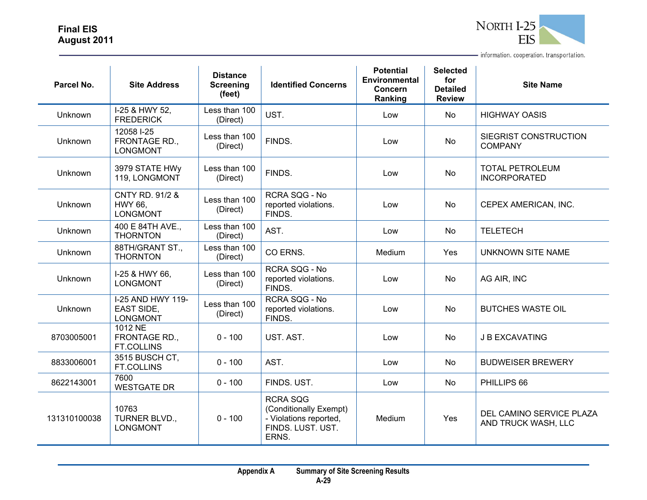

<sup>-</sup> information. cooperation. transportation.

| Parcel No.     | <b>Site Address</b>                                       | <b>Distance</b><br><b>Screening</b><br>(feet) | <b>Identified Concerns</b>                                                                        | <b>Potential</b><br><b>Environmental</b><br><b>Concern</b><br>Ranking | <b>Selected</b><br>for<br><b>Detailed</b><br><b>Review</b> | <b>Site Name</b>                                |
|----------------|-----------------------------------------------------------|-----------------------------------------------|---------------------------------------------------------------------------------------------------|-----------------------------------------------------------------------|------------------------------------------------------------|-------------------------------------------------|
| <b>Unknown</b> | I-25 & HWY 52,<br><b>FREDERICK</b>                        | Less than 100<br>(Direct)                     | UST.                                                                                              | Low                                                                   | <b>No</b>                                                  | <b>HIGHWAY OASIS</b>                            |
| Unknown        | 12058 I-25<br><b>FRONTAGE RD.,</b><br><b>LONGMONT</b>     | Less than 100<br>(Direct)                     | FINDS.                                                                                            | Low                                                                   | <b>No</b>                                                  | SIEGRIST CONSTRUCTION<br><b>COMPANY</b>         |
| <b>Unknown</b> | 3979 STATE HWy<br>119, LONGMONT                           | Less than 100<br>(Direct)                     | FINDS.                                                                                            | Low                                                                   | <b>No</b>                                                  | <b>TOTAL PETROLEUM</b><br><b>INCORPORATED</b>   |
| Unknown        | CNTY RD. 91/2 &<br>HWY 66,<br><b>LONGMONT</b>             | Less than 100<br>(Direct)                     | RCRA SQG - No<br>reported violations.<br>FINDS.                                                   | Low                                                                   | <b>No</b>                                                  | CEPEX AMERICAN, INC.                            |
| Unknown        | 400 E 84TH AVE.,<br><b>THORNTON</b>                       | Less than 100<br>(Direct)                     | AST.                                                                                              | Low                                                                   | <b>No</b>                                                  | <b>TELETECH</b>                                 |
| Unknown        | 88TH/GRANT ST.,<br><b>THORNTON</b>                        | Less than 100<br>(Direct)                     | CO ERNS.                                                                                          | Medium                                                                | Yes                                                        | <b>UNKNOWN SITE NAME</b>                        |
| <b>Unknown</b> | I-25 & HWY 66,<br><b>LONGMONT</b>                         | Less than 100<br>(Direct)                     | RCRA SQG - No<br>reported violations.<br>FINDS.                                                   | Low                                                                   | <b>No</b>                                                  | AG AIR, INC                                     |
| Unknown        | I-25 AND HWY 119-<br><b>EAST SIDE,</b><br><b>LONGMONT</b> | Less than 100<br>(Direct)                     | RCRA SQG - No<br>reported violations.<br>FINDS.                                                   | Low                                                                   | <b>No</b>                                                  | <b>BUTCHES WASTE OIL</b>                        |
| 8703005001     | 1012 NE<br><b>FRONTAGE RD.,</b><br><b>FT.COLLINS</b>      | $0 - 100$                                     | UST. AST.                                                                                         | Low                                                                   | <b>No</b>                                                  | <b>J B EXCAVATING</b>                           |
| 8833006001     | 3515 BUSCH CT,<br><b>FT.COLLINS</b>                       | $0 - 100$                                     | AST.                                                                                              | Low                                                                   | No                                                         | <b>BUDWEISER BREWERY</b>                        |
| 8622143001     | 7600<br><b>WESTGATE DR</b>                                | $0 - 100$                                     | FINDS. UST.                                                                                       | Low                                                                   | No                                                         | PHILLIPS 66                                     |
| 131310100038   | 10763<br>TURNER BLVD.,<br><b>LONGMONT</b>                 | $0 - 100$                                     | <b>RCRA SQG</b><br>(Conditionally Exempt)<br>- Violations reported,<br>FINDS. LUST. UST.<br>ERNS. | Medium                                                                | Yes                                                        | DEL CAMINO SERVICE PLAZA<br>AND TRUCK WASH, LLC |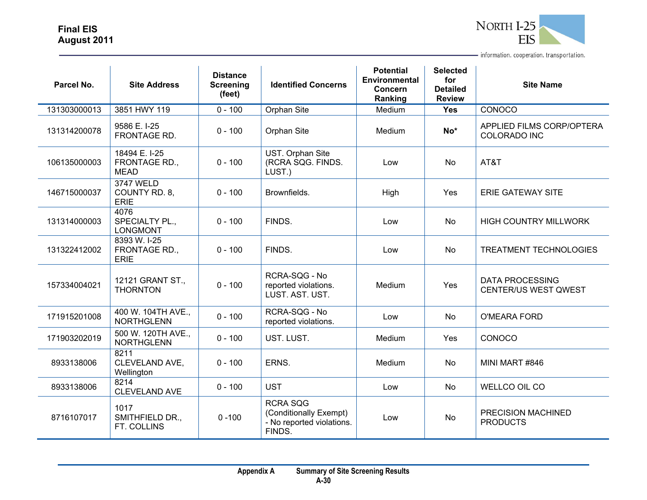

<sup>-</sup> information. cooperation. transportation.

| Parcel No.   | <b>Site Address</b>                              | <b>Distance</b><br><b>Screening</b><br>(feet) | <b>Identified Concerns</b>                                                       | <b>Potential</b><br><b>Environmental</b><br>Concern<br>Ranking | <b>Selected</b><br>for<br><b>Detailed</b><br><b>Review</b> | <b>Site Name</b>                                      |
|--------------|--------------------------------------------------|-----------------------------------------------|----------------------------------------------------------------------------------|----------------------------------------------------------------|------------------------------------------------------------|-------------------------------------------------------|
| 131303000013 | 3851 HWY 119                                     | $0 - 100$                                     | Orphan Site                                                                      | Medium                                                         | <b>Yes</b>                                                 | CONOCO                                                |
| 131314200078 | 9586 E. I-25<br>FRONTAGE RD.                     | $0 - 100$                                     | Orphan Site                                                                      | Medium                                                         | $No*$                                                      | APPLIED FILMS CORP/OPTERA<br>COLORADO INC             |
| 106135000003 | 18494 E. I-25<br>FRONTAGE RD.,<br><b>MEAD</b>    | $0 - 100$                                     | UST. Orphan Site<br>(RCRA SQG. FINDS.<br>LUST.)                                  | Low                                                            | <b>No</b>                                                  | AT&T                                                  |
| 146715000037 | <b>3747 WELD</b><br>COUNTY RD. 8,<br><b>ERIE</b> | $0 - 100$                                     | Brownfields.                                                                     | High                                                           | Yes                                                        | <b>ERIE GATEWAY SITE</b>                              |
| 131314000003 | 4076<br>SPECIALTY PL.,<br><b>LONGMONT</b>        | $0 - 100$                                     | FINDS.                                                                           | Low                                                            | <b>No</b>                                                  | <b>HIGH COUNTRY MILLWORK</b>                          |
| 131322412002 | 8393 W. I-25<br>FRONTAGE RD.,<br><b>ERIE</b>     | $0 - 100$                                     | FINDS.                                                                           | Low                                                            | <b>No</b>                                                  | <b>TREATMENT TECHNOLOGIES</b>                         |
| 157334004021 | 12121 GRANT ST.,<br><b>THORNTON</b>              | $0 - 100$                                     | RCRA-SQG - No<br>reported violations.<br>LUST. AST. UST.                         | Medium                                                         | Yes                                                        | <b>DATA PROCESSING</b><br><b>CENTER/US WEST QWEST</b> |
| 171915201008 | 400 W. 104TH AVE.,<br><b>NORTHGLENN</b>          | $0 - 100$                                     | RCRA-SQG - No<br>reported violations.                                            | Low                                                            | No                                                         | <b>O'MEARA FORD</b>                                   |
| 171903202019 | 500 W. 120TH AVE.,<br><b>NORTHGLENN</b>          | $0 - 100$                                     | UST. LUST.                                                                       | Medium                                                         | Yes                                                        | CONOCO                                                |
| 8933138006   | 8211<br>CLEVELAND AVE,<br>Wellington             | $0 - 100$                                     | ERNS.                                                                            | Medium                                                         | <b>No</b>                                                  | MINI MART #846                                        |
| 8933138006   | 8214<br><b>CLEVELAND AVE</b>                     | $0 - 100$                                     | <b>UST</b>                                                                       | Low                                                            | <b>No</b>                                                  | WELLCO OIL CO                                         |
| 8716107017   | 1017<br>SMITHFIELD DR.,<br>FT. COLLINS           | $0 - 100$                                     | <b>RCRA SQG</b><br>(Conditionally Exempt)<br>- No reported violations.<br>FINDS. | Low                                                            | No                                                         | PRECISION MACHINED<br><b>PRODUCTS</b>                 |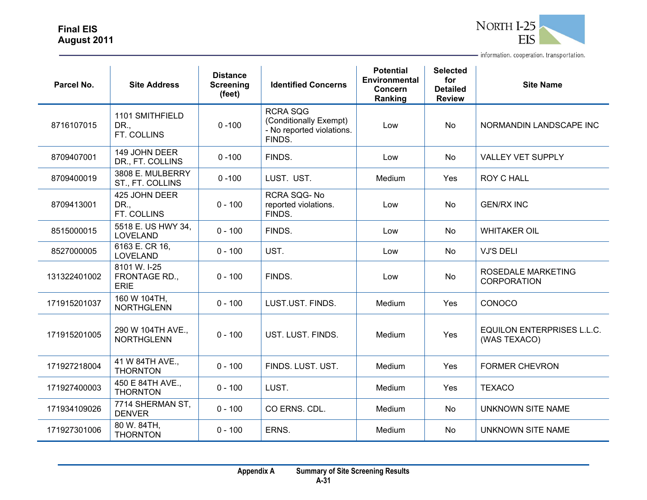

<sup>-</sup> information. cooperation. transportation.

| Parcel No.   | <b>Site Address</b>                          | <b>Distance</b><br><b>Screening</b><br>(feet) | <b>Identified Concerns</b>                                                       | <b>Potential</b><br><b>Environmental</b><br>Concern<br>Ranking | <b>Selected</b><br>for<br><b>Detailed</b><br><b>Review</b> | <b>Site Name</b>                                  |
|--------------|----------------------------------------------|-----------------------------------------------|----------------------------------------------------------------------------------|----------------------------------------------------------------|------------------------------------------------------------|---------------------------------------------------|
| 8716107015   | 1101 SMITHFIELD<br>DR.,<br>FT. COLLINS       | $0 - 100$                                     | <b>RCRA SQG</b><br>(Conditionally Exempt)<br>- No reported violations.<br>FINDS. | Low                                                            | No                                                         | NORMANDIN LANDSCAPE INC                           |
| 8709407001   | 149 JOHN DEER<br>DR., FT. COLLINS            | $0 - 100$                                     | FINDS.                                                                           | Low                                                            | <b>No</b>                                                  | <b>VALLEY VET SUPPLY</b>                          |
| 8709400019   | 3808 E. MULBERRY<br>ST., FT. COLLINS         | $0 - 100$                                     | LUST. UST.                                                                       | Medium                                                         | Yes                                                        | <b>ROY C HALL</b>                                 |
| 8709413001   | 425 JOHN DEER<br>DR.,<br>FT. COLLINS         | $0 - 100$                                     | <b>RCRA SQG-No</b><br>reported violations.<br>FINDS.                             | Low                                                            | No                                                         | <b>GEN/RX INC</b>                                 |
| 8515000015   | 5518 E. US HWY 34,<br>LOVELAND               | $0 - 100$                                     | FINDS.                                                                           | Low                                                            | No                                                         | <b>WHITAKER OIL</b>                               |
| 8527000005   | 6163 E. CR 16,<br>LOVELAND                   | $0 - 100$                                     | UST.                                                                             | Low                                                            | No                                                         | <b>VJ'S DELI</b>                                  |
| 131322401002 | 8101 W. I-25<br>FRONTAGE RD.,<br><b>ERIE</b> | $0 - 100$                                     | FINDS.                                                                           | Low                                                            | No                                                         | ROSEDALE MARKETING<br><b>CORPORATION</b>          |
| 171915201037 | 160 W 104TH,<br><b>NORTHGLENN</b>            | $0 - 100$                                     | LUST.UST. FINDS.                                                                 | Medium                                                         | Yes                                                        | CONOCO                                            |
| 171915201005 | 290 W 104TH AVE.,<br><b>NORTHGLENN</b>       | $0 - 100$                                     | UST. LUST. FINDS.                                                                | Medium                                                         | Yes                                                        | <b>EQUILON ENTERPRISES L.L.C.</b><br>(WAS TEXACO) |
| 171927218004 | 41 W 84TH AVE.,<br><b>THORNTON</b>           | $0 - 100$                                     | FINDS, LUST, UST.                                                                | Medium                                                         | Yes                                                        | <b>FORMER CHEVRON</b>                             |
| 171927400003 | 450 E 84TH AVE.,<br><b>THORNTON</b>          | $0 - 100$                                     | LUST.                                                                            | Medium                                                         | Yes                                                        | <b>TEXACO</b>                                     |
| 171934109026 | 7714 SHERMAN ST,<br><b>DENVER</b>            | $0 - 100$                                     | CO ERNS. CDL.                                                                    | Medium                                                         | No                                                         | <b>UNKNOWN SITE NAME</b>                          |
| 171927301006 | 80 W. 84TH.<br><b>THORNTON</b>               | $0 - 100$                                     | ERNS.                                                                            | Medium                                                         | No                                                         | <b>UNKNOWN SITE NAME</b>                          |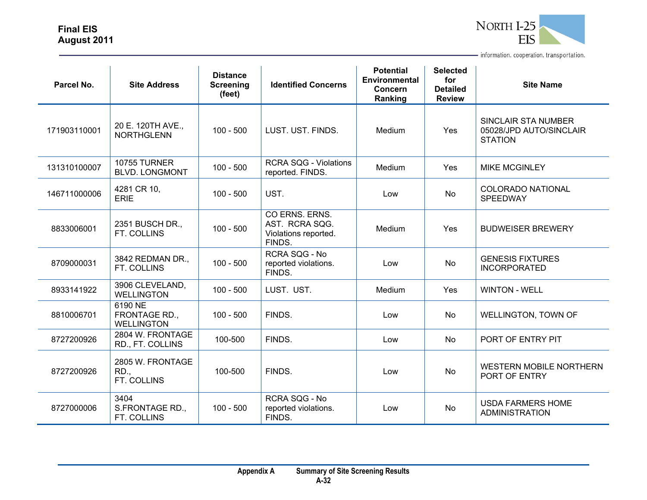

<sup>-</sup> information. cooperation. transportation.

| Parcel No.   | <b>Site Address</b>                           | <b>Distance</b><br><b>Screening</b><br>(feet) | <b>Identified Concerns</b>                                         | <b>Potential</b><br><b>Environmental</b><br>Concern<br>Ranking | <b>Selected</b><br>for<br><b>Detailed</b><br><b>Review</b> | <b>Site Name</b>                                                 |
|--------------|-----------------------------------------------|-----------------------------------------------|--------------------------------------------------------------------|----------------------------------------------------------------|------------------------------------------------------------|------------------------------------------------------------------|
| 171903110001 | 20 E. 120TH AVE.,<br><b>NORTHGLENN</b>        | $100 - 500$                                   | LUST. UST. FINDS.                                                  | Medium                                                         | Yes                                                        | SINCLAIR STA NUMBER<br>05028/JPD AUTO/SINCLAIR<br><b>STATION</b> |
| 131310100007 | <b>10755 TURNER</b><br><b>BLVD. LONGMONT</b>  | $100 - 500$                                   | <b>RCRA SQG - Violations</b><br>reported. FINDS.                   | Medium                                                         | Yes                                                        | <b>MIKE MCGINLEY</b>                                             |
| 146711000006 | 4281 CR 10,<br><b>ERIE</b>                    | $100 - 500$                                   | UST.                                                               | Low                                                            | No                                                         | <b>COLORADO NATIONAL</b><br>SPEEDWAY                             |
| 8833006001   | 2351 BUSCH DR.,<br>FT. COLLINS                | $100 - 500$                                   | CO ERNS. ERNS.<br>AST. RCRA SQG.<br>Violations reported.<br>FINDS. | Medium                                                         | Yes                                                        | <b>BUDWEISER BREWERY</b>                                         |
| 8709000031   | 3842 REDMAN DR.,<br>FT. COLLINS               | $100 - 500$                                   | RCRA SQG - No<br>reported violations.<br>FINDS.                    | Low                                                            | No                                                         | <b>GENESIS FIXTURES</b><br><b>INCORPORATED</b>                   |
| 8933141922   | 3906 CLEVELAND,<br><b>WELLINGTON</b>          | $100 - 500$                                   | LUST. UST.                                                         | Medium                                                         | Yes                                                        | <b>WINTON - WELL</b>                                             |
| 8810006701   | 6190 NE<br>FRONTAGE RD.,<br><b>WELLINGTON</b> | $100 - 500$                                   | FINDS.                                                             | Low                                                            | No                                                         | <b>WELLINGTON, TOWN OF</b>                                       |
| 8727200926   | 2804 W. FRONTAGE<br>RD., FT. COLLINS          | 100-500                                       | FINDS.                                                             | Low                                                            | No.                                                        | PORT OF ENTRY PIT                                                |
| 8727200926   | 2805 W. FRONTAGE<br>RD.,<br>FT. COLLINS       | 100-500                                       | FINDS.                                                             | Low                                                            | <b>No</b>                                                  | <b>WESTERN MOBILE NORTHERN</b><br>PORT OF ENTRY                  |
| 8727000006   | 3404<br>S.FRONTAGE RD.,<br>FT. COLLINS        | $100 - 500$                                   | RCRA SQG - No<br>reported violations.<br>FINDS.                    | Low                                                            | No.                                                        | <b>USDA FARMERS HOME</b><br><b>ADMINISTRATION</b>                |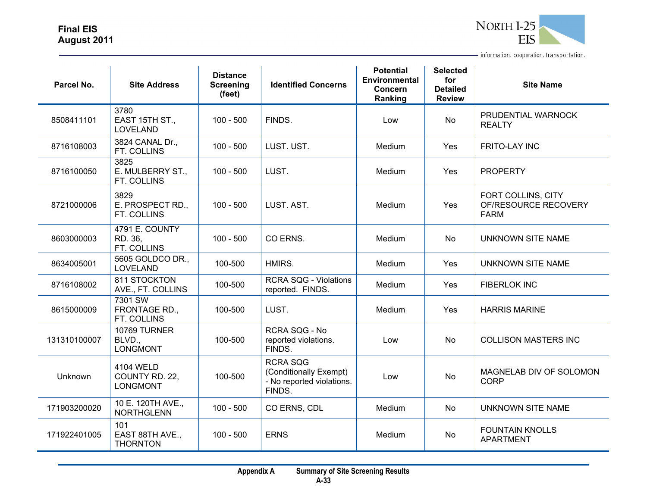

<sup>-</sup> information. cooperation. transportation.

| Parcel No.   | <b>Site Address</b>                            | <b>Distance</b><br><b>Screening</b><br>(feet) | <b>Identified Concerns</b>                                                       | <b>Potential</b><br><b>Environmental</b><br>Concern<br>Ranking | <b>Selected</b><br>for<br><b>Detailed</b><br><b>Review</b> | <b>Site Name</b>                                          |
|--------------|------------------------------------------------|-----------------------------------------------|----------------------------------------------------------------------------------|----------------------------------------------------------------|------------------------------------------------------------|-----------------------------------------------------------|
| 8508411101   | 3780<br>EAST 15TH ST.,<br><b>LOVELAND</b>      | $100 - 500$                                   | FINDS.                                                                           | Low                                                            | No                                                         | PRUDENTIAL WARNOCK<br><b>REALTY</b>                       |
| 8716108003   | 3824 CANAL Dr.,<br>FT. COLLINS                 | $100 - 500$                                   | LUST. UST.                                                                       | Medium                                                         | Yes                                                        | <b>FRITO-LAY INC</b>                                      |
| 8716100050   | 3825<br>E. MULBERRY ST.,<br>FT. COLLINS        | $100 - 500$                                   | LUST.                                                                            | Medium                                                         | Yes                                                        | <b>PROPERTY</b>                                           |
| 8721000006   | 3829<br>E. PROSPECT RD.,<br>FT. COLLINS        | $100 - 500$                                   | LUST. AST.                                                                       | Medium                                                         | Yes                                                        | FORT COLLINS, CITY<br>OF/RESOURCE RECOVERY<br><b>FARM</b> |
| 8603000003   | 4791 E. COUNTY<br>RD. 36.<br>FT. COLLINS       | $100 - 500$                                   | CO ERNS.                                                                         | Medium                                                         | No                                                         | <b>UNKNOWN SITE NAME</b>                                  |
| 8634005001   | 5605 GOLDCO DR.,<br><b>LOVELAND</b>            | 100-500                                       | HMIRS.                                                                           | Medium                                                         | Yes                                                        | <b>UNKNOWN SITE NAME</b>                                  |
| 8716108002   | 811 STOCKTON<br>AVE., FT. COLLINS              | 100-500                                       | <b>RCRA SQG - Violations</b><br>reported. FINDS.                                 | Medium                                                         | Yes                                                        | <b>FIBERLOK INC</b>                                       |
| 8615000009   | 7301 SW<br>FRONTAGE RD.,<br>FT. COLLINS        | 100-500                                       | LUST.                                                                            | Medium                                                         | Yes                                                        | <b>HARRIS MARINE</b>                                      |
| 131310100007 | 10769 TURNER<br>BLVD.,<br><b>LONGMONT</b>      | 100-500                                       | RCRA SQG - No<br>reported violations.<br>FINDS.                                  | Low                                                            | No                                                         | <b>COLLISON MASTERS INC</b>                               |
| Unknown      | 4104 WELD<br>COUNTY RD. 22,<br><b>LONGMONT</b> | 100-500                                       | <b>RCRA SQG</b><br>(Conditionally Exempt)<br>- No reported violations.<br>FINDS. | Low                                                            | <b>No</b>                                                  | MAGNELAB DIV OF SOLOMON<br><b>CORP</b>                    |
| 171903200020 | 10 E. 120TH AVE.,<br><b>NORTHGLENN</b>         | $100 - 500$                                   | CO ERNS, CDL                                                                     | Medium                                                         | No                                                         | <b>UNKNOWN SITE NAME</b>                                  |
| 171922401005 | 101<br>EAST 88TH AVE.,<br><b>THORNTON</b>      | $100 - 500$                                   | <b>ERNS</b>                                                                      | Medium                                                         | <b>No</b>                                                  | <b>FOUNTAIN KNOLLS</b><br><b>APARTMENT</b>                |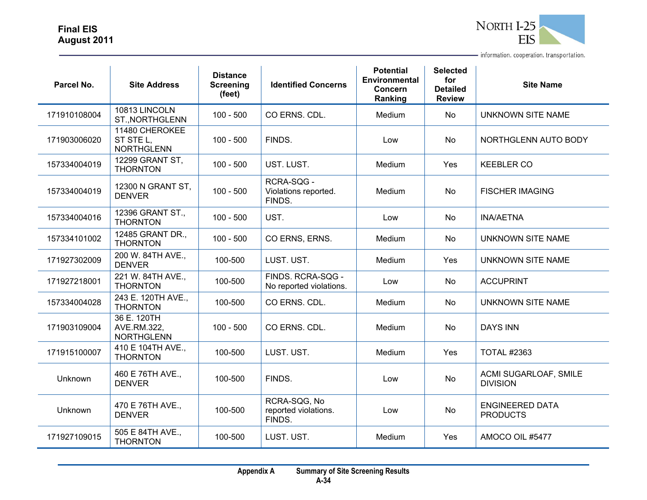

<sup>-</sup> information. cooperation. transportation.

| Parcel No.   | <b>Site Address</b>                              | <b>Distance</b><br><b>Screening</b><br>(feet) | <b>Identified Concerns</b>                     | <b>Potential</b><br><b>Environmental</b><br>Concern<br>Ranking | <b>Selected</b><br>for<br><b>Detailed</b><br><b>Review</b> | <b>Site Name</b>                          |
|--------------|--------------------------------------------------|-----------------------------------------------|------------------------------------------------|----------------------------------------------------------------|------------------------------------------------------------|-------------------------------------------|
| 171910108004 | 10813 LINCOLN<br>ST., NORTHGLENN                 | $100 - 500$                                   | CO ERNS. CDL.                                  | Medium                                                         | No                                                         | <b>UNKNOWN SITE NAME</b>                  |
| 171903006020 | 11480 CHEROKEE<br>ST STE L.<br><b>NORTHGLENN</b> | $100 - 500$                                   | FINDS.                                         | Low                                                            | <b>No</b>                                                  | NORTHGLENN AUTO BODY                      |
| 157334004019 | 12299 GRANT ST.<br><b>THORNTON</b>               | $100 - 500$                                   | UST. LUST.                                     | Medium                                                         | Yes                                                        | <b>KEEBLER CO</b>                         |
| 157334004019 | 12300 N GRANT ST,<br><b>DENVER</b>               | $100 - 500$                                   | RCRA-SQG -<br>Violations reported.<br>FINDS.   | Medium                                                         | <b>No</b>                                                  | <b>FISCHER IMAGING</b>                    |
| 157334004016 | 12396 GRANT ST.,<br><b>THORNTON</b>              | $100 - 500$                                   | UST.                                           | Low                                                            | No                                                         | <b>INA/AETNA</b>                          |
| 157334101002 | 12485 GRANT DR.,<br><b>THORNTON</b>              | $100 - 500$                                   | CO ERNS, ERNS.                                 | Medium                                                         | No                                                         | <b>UNKNOWN SITE NAME</b>                  |
| 171927302009 | 200 W. 84TH AVE.,<br><b>DENVER</b>               | 100-500                                       | LUST. UST.                                     | Medium                                                         | Yes                                                        | <b>UNKNOWN SITE NAME</b>                  |
| 171927218001 | 221 W. 84TH AVE.,<br><b>THORNTON</b>             | 100-500                                       | FINDS. RCRA-SQG -<br>No reported violations.   | Low                                                            | No                                                         | <b>ACCUPRINT</b>                          |
| 157334004028 | 243 E. 120TH AVE.,<br><b>THORNTON</b>            | 100-500                                       | CO ERNS. CDL.                                  | Medium                                                         | No.                                                        | <b>UNKNOWN SITE NAME</b>                  |
| 171903109004 | 36 E. 120TH<br>AVE.RM.322,<br><b>NORTHGLENN</b>  | $100 - 500$                                   | CO ERNS. CDL.                                  | Medium                                                         | No                                                         | <b>DAYS INN</b>                           |
| 171915100007 | 410 E 104TH AVE.,<br><b>THORNTON</b>             | 100-500                                       | LUST. UST.                                     | Medium                                                         | Yes                                                        | <b>TOTAL #2363</b>                        |
| Unknown      | 460 E 76TH AVE.,<br><b>DENVER</b>                | 100-500                                       | FINDS.                                         | Low                                                            | No                                                         | ACMI SUGARLOAF, SMILE<br><b>DIVISION</b>  |
| Unknown      | 470 E 76TH AVE.,<br><b>DENVER</b>                | 100-500                                       | RCRA-SQG, No<br>reported violations.<br>FINDS. | Low                                                            | <b>No</b>                                                  | <b>ENGINEERED DATA</b><br><b>PRODUCTS</b> |
| 171927109015 | 505 E 84TH AVE.,<br><b>THORNTON</b>              | 100-500                                       | LUST. UST.                                     | Medium                                                         | Yes                                                        | AMOCO OIL #5477                           |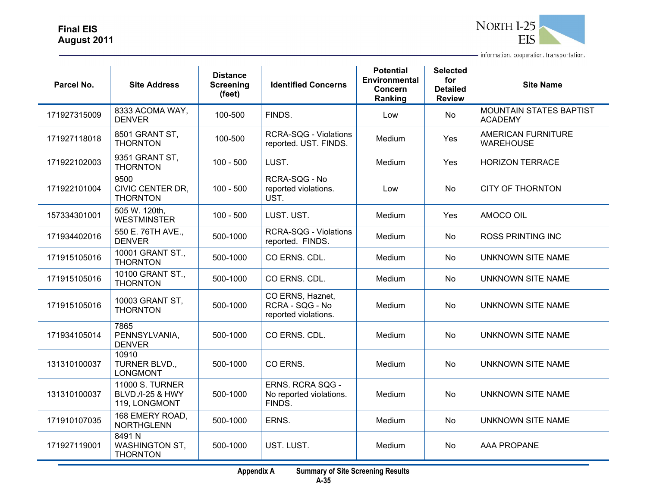

<sup>-</sup> information. cooperation. transportation.

| Parcel No.   | <b>Site Address</b>                                                    | <b>Distance</b><br><b>Screening</b><br>(feet) | <b>Identified Concerns</b>                                  | <b>Potential</b><br><b>Environmental</b><br>Concern<br>Ranking | <b>Selected</b><br>for<br><b>Detailed</b><br><b>Review</b> | <b>Site Name</b>                                 |
|--------------|------------------------------------------------------------------------|-----------------------------------------------|-------------------------------------------------------------|----------------------------------------------------------------|------------------------------------------------------------|--------------------------------------------------|
| 171927315009 | 8333 ACOMA WAY,<br><b>DENVER</b>                                       | 100-500                                       | FINDS.                                                      | Low                                                            | <b>No</b>                                                  | <b>MOUNTAIN STATES BAPTIST</b><br><b>ACADEMY</b> |
| 171927118018 | 8501 GRANT ST,<br><b>THORNTON</b>                                      | 100-500                                       | RCRA-SQG - Violations<br>reported. UST. FINDS.              | Medium                                                         | Yes                                                        | AMERICAN FURNITURE<br><b>WAREHOUSE</b>           |
| 171922102003 | 9351 GRANT ST,<br><b>THORNTON</b>                                      | $100 - 500$                                   | LUST.                                                       | Medium                                                         | Yes                                                        | <b>HORIZON TERRACE</b>                           |
| 171922101004 | 9500<br><b>CIVIC CENTER DR.</b><br><b>THORNTON</b>                     | $100 - 500$                                   | RCRA-SQG - No<br>reported violations.<br>UST.               | Low                                                            | No.                                                        | <b>CITY OF THORNTON</b>                          |
| 157334301001 | 505 W. 120th,<br><b>WESTMINSTER</b>                                    | $100 - 500$                                   | LUST. UST.                                                  | Medium                                                         | Yes                                                        | AMOCO OIL                                        |
| 171934402016 | 550 E. 76TH AVE.,<br><b>DENVER</b>                                     | 500-1000                                      | <b>RCRA-SQG - Violations</b><br>reported. FINDS.            | Medium                                                         | No                                                         | <b>ROSS PRINTING INC</b>                         |
| 171915105016 | 10001 GRANT ST.,<br><b>THORNTON</b>                                    | 500-1000                                      | CO ERNS. CDL.                                               | Medium                                                         | No                                                         | UNKNOWN SITE NAME                                |
| 171915105016 | 10100 GRANT ST.,<br><b>THORNTON</b>                                    | 500-1000                                      | CO ERNS. CDL.                                               | Medium                                                         | No                                                         | <b>UNKNOWN SITE NAME</b>                         |
| 171915105016 | 10003 GRANT ST.<br><b>THORNTON</b>                                     | 500-1000                                      | CO ERNS, Haznet,<br>RCRA - SQG - No<br>reported violations. | Medium                                                         | No.                                                        | <b>UNKNOWN SITE NAME</b>                         |
| 171934105014 | 7865<br>PENNSYLVANIA,<br><b>DENVER</b>                                 | 500-1000                                      | CO ERNS. CDL.                                               | Medium                                                         | <b>No</b>                                                  | <b>UNKNOWN SITE NAME</b>                         |
| 131310100037 | 10910<br>TURNER BLVD.,<br><b>LONGMONT</b>                              | 500-1000                                      | CO ERNS.                                                    | Medium                                                         | <b>No</b>                                                  | <b>UNKNOWN SITE NAME</b>                         |
| 131310100037 | <b>11000 S. TURNER</b><br><b>BLVD./I-25 &amp; HWY</b><br>119, LONGMONT | 500-1000                                      | ERNS. RCRA SQG -<br>No reported violations.<br>FINDS.       | Medium                                                         | <b>No</b>                                                  | UNKNOWN SITE NAME                                |
| 171910107035 | 168 EMERY ROAD,<br><b>NORTHGLENN</b>                                   | 500-1000                                      | ERNS.                                                       | Medium                                                         | <b>No</b>                                                  | <b>UNKNOWN SITE NAME</b>                         |
| 171927119001 | 8491N<br><b>WASHINGTON ST,</b><br><b>THORNTON</b>                      | 500-1000                                      | UST. LUST.                                                  | Medium                                                         | No                                                         | AAA PROPANE                                      |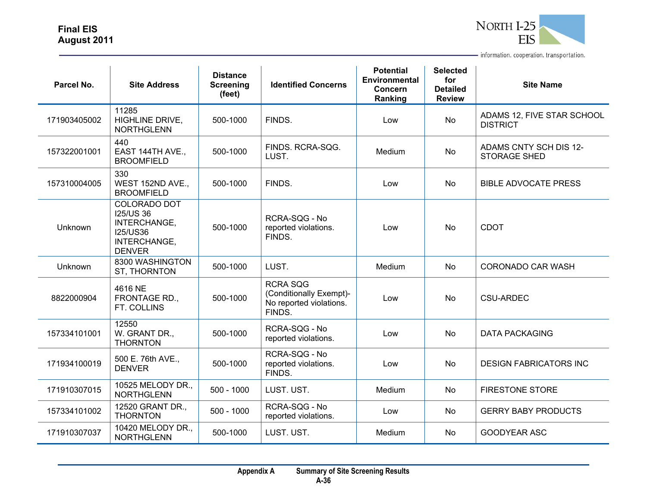

<sup>-</sup> information. cooperation. transportation.

| Parcel No.   | <b>Site Address</b>                                                                                         | <b>Distance</b><br><b>Screening</b><br>(feet) | <b>Identified Concerns</b>                                                      | <b>Potential</b><br><b>Environmental</b><br>Concern<br>Ranking | <b>Selected</b><br>for<br><b>Detailed</b><br><b>Review</b> | <b>Site Name</b>                              |
|--------------|-------------------------------------------------------------------------------------------------------------|-----------------------------------------------|---------------------------------------------------------------------------------|----------------------------------------------------------------|------------------------------------------------------------|-----------------------------------------------|
| 171903405002 | 11285<br><b>HIGHLINE DRIVE,</b><br><b>NORTHGLENN</b>                                                        | 500-1000                                      | FINDS.                                                                          | Low                                                            | No                                                         | ADAMS 12, FIVE STAR SCHOOL<br><b>DISTRICT</b> |
| 157322001001 | 440<br>EAST 144TH AVE.,<br><b>BROOMFIELD</b>                                                                | 500-1000                                      | FINDS, RCRA-SQG.<br>LUST.                                                       | Medium                                                         | No                                                         | ADAMS CNTY SCH DIS 12-<br><b>STORAGE SHED</b> |
| 157310004005 | 330<br>WEST 152ND AVE.,<br><b>BROOMFIELD</b>                                                                | 500-1000                                      | FINDS.                                                                          | Low                                                            | <b>No</b>                                                  | <b>BIBLE ADVOCATE PRESS</b>                   |
| Unknown      | <b>COLORADO DOT</b><br><b>I25/US 36</b><br>INTERCHANGE,<br><b>I25/US36</b><br>INTERCHANGE,<br><b>DENVER</b> | 500-1000                                      | RCRA-SQG - No<br>reported violations.<br>FINDS.                                 | Low                                                            | <b>No</b>                                                  | <b>CDOT</b>                                   |
| Unknown      | 8300 WASHINGTON<br>ST, THORNTON                                                                             | 500-1000                                      | LUST.                                                                           | Medium                                                         | <b>No</b>                                                  | <b>CORONADO CAR WASH</b>                      |
| 8822000904   | 4616 NE<br>FRONTAGE RD.,<br>FT. COLLINS                                                                     | 500-1000                                      | <b>RCRA SQG</b><br>(Conditionally Exempt)-<br>No reported violations.<br>FINDS. | Low                                                            | <b>No</b>                                                  | <b>CSU-ARDEC</b>                              |
| 157334101001 | 12550<br>W. GRANT DR.,<br><b>THORNTON</b>                                                                   | 500-1000                                      | RCRA-SQG - No<br>reported violations.                                           | Low                                                            | <b>No</b>                                                  | <b>DATA PACKAGING</b>                         |
| 171934100019 | 500 E. 76th AVE.,<br><b>DENVER</b>                                                                          | 500-1000                                      | RCRA-SQG - No<br>reported violations.<br>FINDS.                                 | Low                                                            | <b>No</b>                                                  | <b>DESIGN FABRICATORS INC</b>                 |
| 171910307015 | 10525 MELODY DR.,<br><b>NORTHGLENN</b>                                                                      | $500 - 1000$                                  | LUST. UST.                                                                      | Medium                                                         | <b>No</b>                                                  | <b>FIRESTONE STORE</b>                        |
| 157334101002 | 12520 GRANT DR.,<br><b>THORNTON</b>                                                                         | $500 - 1000$                                  | RCRA-SQG - No<br>reported violations.                                           | Low                                                            | No                                                         | <b>GERRY BABY PRODUCTS</b>                    |
| 171910307037 | 10420 MELODY DR.,<br><b>NORTHGLENN</b>                                                                      | 500-1000                                      | LUST. UST.                                                                      | Medium                                                         | No                                                         | <b>GOODYEAR ASC</b>                           |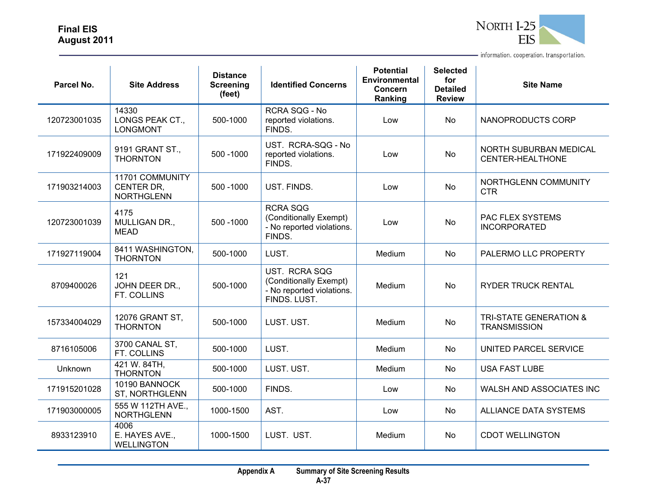

<sup>-</sup> information. cooperation. transportation.

| Parcel No.   | <b>Site Address</b>                                | <b>Distance</b><br><b>Screening</b><br>(feet) | <b>Identified Concerns</b>                                                           | <b>Potential</b><br><b>Environmental</b><br><b>Concern</b><br>Ranking | <b>Selected</b><br>for<br><b>Detailed</b><br><b>Review</b> | <b>Site Name</b>                                         |
|--------------|----------------------------------------------------|-----------------------------------------------|--------------------------------------------------------------------------------------|-----------------------------------------------------------------------|------------------------------------------------------------|----------------------------------------------------------|
| 120723001035 | 14330<br>LONGS PEAK CT.,<br><b>LONGMONT</b>        | 500-1000                                      | RCRA SQG - No<br>reported violations.<br>FINDS.                                      | Low                                                                   | No                                                         | NANOPRODUCTS CORP                                        |
| 171922409009 | 9191 GRANT ST.,<br><b>THORNTON</b>                 | 500 - 1000                                    | UST. RCRA-SQG - No<br>reported violations.<br>FINDS.                                 | Low                                                                   | No                                                         | NORTH SUBURBAN MEDICAL<br><b>CENTER-HEALTHONE</b>        |
| 171903214003 | 11701 COMMUNITY<br>CENTER DR.<br><b>NORTHGLENN</b> | 500 - 1000                                    | UST. FINDS.                                                                          | Low                                                                   | <b>No</b>                                                  | NORTHGLENN COMMUNITY<br><b>CTR</b>                       |
| 120723001039 | 4175<br>MULLIGAN DR.,<br><b>MEAD</b>               | 500 - 1000                                    | <b>RCRA SQG</b><br>(Conditionally Exempt)<br>- No reported violations.<br>FINDS.     | Low                                                                   | <b>No</b>                                                  | <b>PAC FLEX SYSTEMS</b><br><b>INCORPORATED</b>           |
| 171927119004 | 8411 WASHINGTON,<br><b>THORNTON</b>                | 500-1000                                      | LUST.                                                                                | Medium                                                                | No                                                         | PALERMO LLC PROPERTY                                     |
| 8709400026   | 121<br>JOHN DEER DR.,<br>FT. COLLINS               | 500-1000                                      | UST. RCRA SQG<br>(Conditionally Exempt)<br>- No reported violations.<br>FINDS. LUST. | Medium                                                                | <b>No</b>                                                  | RYDER TRUCK RENTAL                                       |
| 157334004029 | 12076 GRANT ST,<br><b>THORNTON</b>                 | 500-1000                                      | LUST. UST.                                                                           | Medium                                                                | No                                                         | <b>TRI-STATE GENERATION &amp;</b><br><b>TRANSMISSION</b> |
| 8716105006   | 3700 CANAL ST,<br>FT. COLLINS                      | 500-1000                                      | LUST.                                                                                | Medium                                                                | No                                                         | UNITED PARCEL SERVICE                                    |
| Unknown      | 421 W. 84TH,<br><b>THORNTON</b>                    | 500-1000                                      | LUST. UST.                                                                           | Medium                                                                | No                                                         | <b>USA FAST LUBE</b>                                     |
| 171915201028 | 10190 BANNOCK<br>ST, NORTHGLENN                    | 500-1000                                      | FINDS.                                                                               | Low                                                                   | No.                                                        | <b>WALSH AND ASSOCIATES INC</b>                          |
| 171903000005 | 555 W 112TH AVE.,<br><b>NORTHGLENN</b>             | 1000-1500                                     | AST.                                                                                 | Low                                                                   | No                                                         | <b>ALLIANCE DATA SYSTEMS</b>                             |
| 8933123910   | 4006<br>E. HAYES AVE.,<br><b>WELLINGTON</b>        | 1000-1500                                     | LUST. UST.                                                                           | Medium                                                                | No                                                         | <b>CDOT WELLINGTON</b>                                   |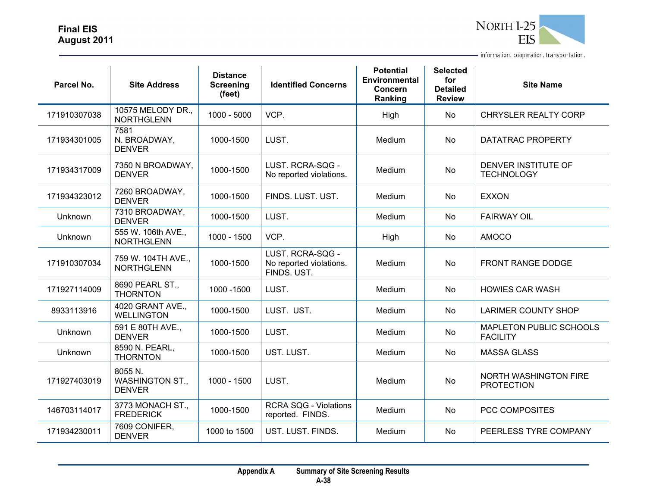

<sup>-</sup> information. cooperation. transportation.

| Parcel No.   | <b>Site Address</b>                                | <b>Distance</b><br><b>Screening</b><br>(feet) | <b>Identified Concerns</b>                                 | <b>Potential</b><br><b>Environmental</b><br>Concern<br>Ranking | <b>Selected</b><br>for<br><b>Detailed</b><br><b>Review</b> | <b>Site Name</b>                                  |
|--------------|----------------------------------------------------|-----------------------------------------------|------------------------------------------------------------|----------------------------------------------------------------|------------------------------------------------------------|---------------------------------------------------|
| 171910307038 | 10575 MELODY DR.,<br><b>NORTHGLENN</b>             | $1000 - 5000$                                 | VCP.                                                       | High                                                           | <b>No</b>                                                  | <b>CHRYSLER REALTY CORP</b>                       |
| 171934301005 | 7581<br>N. BROADWAY,<br><b>DENVER</b>              | 1000-1500                                     | LUST.                                                      | Medium                                                         | No                                                         | DATATRAC PROPERTY                                 |
| 171934317009 | 7350 N BROADWAY,<br><b>DENVER</b>                  | 1000-1500                                     | LUST. RCRA-SQG -<br>No reported violations.                | Medium                                                         | No                                                         | DENVER INSTITUTE OF<br><b>TECHNOLOGY</b>          |
| 171934323012 | 7260 BROADWAY,<br><b>DENVER</b>                    | 1000-1500                                     | FINDS. LUST. UST.                                          | Medium                                                         | No                                                         | <b>EXXON</b>                                      |
| Unknown      | 7310 BROADWAY,<br><b>DENVER</b>                    | 1000-1500                                     | LUST.                                                      | Medium                                                         | No                                                         | <b>FAIRWAY OIL</b>                                |
| Unknown      | 555 W. 106th AVE.,<br><b>NORTHGLENN</b>            | 1000 - 1500                                   | VCP.                                                       | High                                                           | No                                                         | <b>AMOCO</b>                                      |
| 171910307034 | 759 W. 104TH AVE.,<br><b>NORTHGLENN</b>            | 1000-1500                                     | LUST. RCRA-SQG -<br>No reported violations.<br>FINDS, UST. | Medium                                                         | No                                                         | <b>FRONT RANGE DODGE</b>                          |
| 171927114009 | 8690 PEARL ST.,<br><b>THORNTON</b>                 | 1000 - 1500                                   | LUST.                                                      | Medium                                                         | No                                                         | <b>HOWIES CAR WASH</b>                            |
| 8933113916   | 4020 GRANT AVE.,<br><b>WELLINGTON</b>              | 1000-1500                                     | LUST. UST.                                                 | Medium                                                         | No                                                         | <b>LARIMER COUNTY SHOP</b>                        |
| Unknown      | 591 E 80TH AVE.,<br><b>DENVER</b>                  | 1000-1500                                     | LUST.                                                      | Medium                                                         | No                                                         | MAPLETON PUBLIC SCHOOLS<br><b>FACILITY</b>        |
| Unknown      | 8590 N. PEARL,<br><b>THORNTON</b>                  | 1000-1500                                     | UST. LUST.                                                 | Medium                                                         | No                                                         | <b>MASSA GLASS</b>                                |
| 171927403019 | 8055 N.<br><b>WASHINGTON ST.,</b><br><b>DENVER</b> | 1000 - 1500                                   | LUST.                                                      | Medium                                                         | No                                                         | <b>NORTH WASHINGTON FIRE</b><br><b>PROTECTION</b> |
| 146703114017 | 3773 MONACH ST.,<br><b>FREDERICK</b>               | 1000-1500                                     | <b>RCRA SQG - Violations</b><br>reported. FINDS.           | Medium                                                         | No                                                         | <b>PCC COMPOSITES</b>                             |
| 171934230011 | 7609 CONIFER,<br><b>DENVER</b>                     | 1000 to 1500                                  | UST. LUST. FINDS.                                          | Medium                                                         | No                                                         | PEERLESS TYRE COMPANY                             |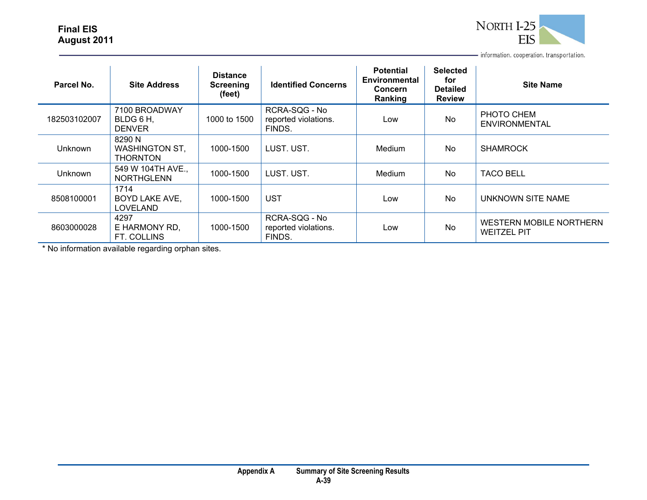

- information. cooperation. transportation.

| Parcel No.     | <b>Site Address</b>                                | <b>Distance</b><br>Screening<br>(feet) | <b>Identified Concerns</b>                      | <b>Potential</b><br><b>Environmental</b><br><b>Concern</b><br>Ranking | <b>Selected</b><br>for<br><b>Detailed</b><br><b>Review</b> | <b>Site Name</b>                              |
|----------------|----------------------------------------------------|----------------------------------------|-------------------------------------------------|-----------------------------------------------------------------------|------------------------------------------------------------|-----------------------------------------------|
| 182503102007   | 7100 BROADWAY<br>BLDG 6 H.<br><b>DENVER</b>        | 1000 to 1500                           | RCRA-SQG - No<br>reported violations.<br>FINDS. | Low                                                                   | N <sub>o</sub>                                             | PHOTO CHEM<br><b>ENVIRONMENTAL</b>            |
| <b>Unknown</b> | 8290 N<br><b>WASHINGTON ST,</b><br><b>THORNTON</b> | 1000-1500                              | LUST. UST.                                      | Medium                                                                | No.                                                        | <b>SHAMROCK</b>                               |
| <b>Unknown</b> | 549 W 104TH AVE.,<br><b>NORTHGLENN</b>             | 1000-1500                              | LUST. UST.                                      | Medium                                                                | No                                                         | <b>TACO BELL</b>                              |
| 8508100001     | 1714<br><b>BOYD LAKE AVE,</b><br><b>LOVELAND</b>   | 1000-1500                              | UST                                             | Low                                                                   | N <sub>o</sub>                                             | UNKNOWN SITE NAME                             |
| 8603000028     | 4297<br>E HARMONY RD,<br>FT. COLLINS               | 1000-1500                              | RCRA-SQG - No<br>reported violations.<br>FINDS. | Low                                                                   | N <sub>o</sub>                                             | WESTERN MOBILE NORTHERN<br><b>WEITZEL PIT</b> |

\* No information available regarding orphan sites.